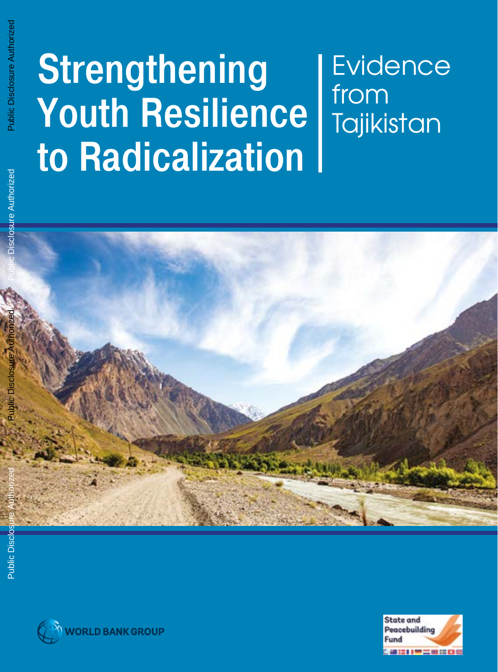# Public Disclosure Authorized Public Disclosure Authorized

# Strengthening Youth Resilience to Radicalization Evidence from **Tajikistan**





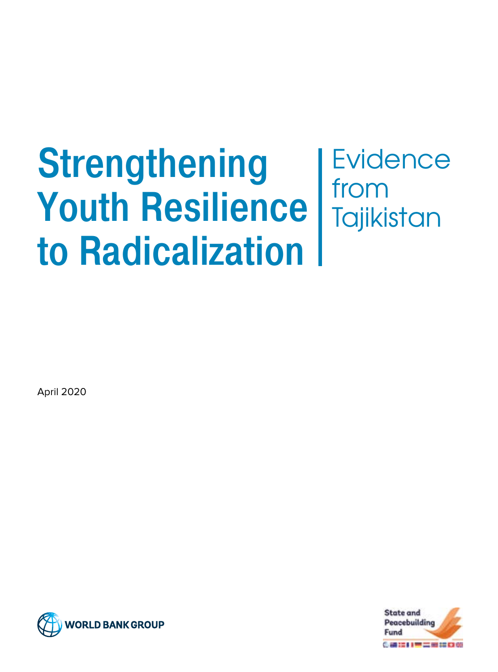# **Strengthening** Youth Resilience to Radicalization **Evidence** from **Tajikistan**

April 2020



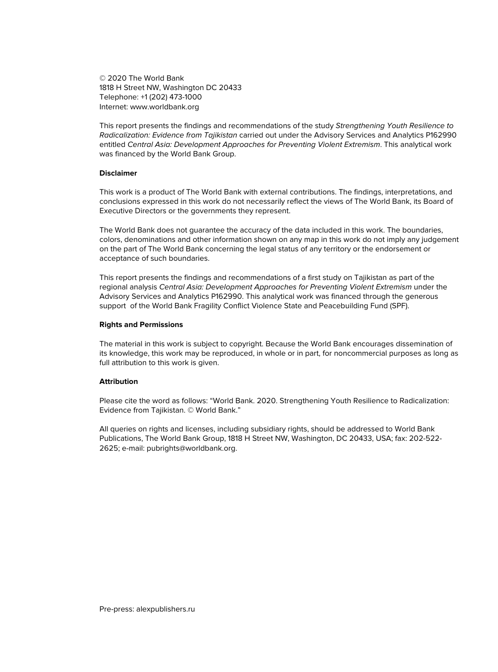© 2020 The World Bank 1818 H Street NW, Washington DC 20433 Telephone: +1 (202) 473-1000 Internet: www.worldbank.org

This report presents the findings and recommendations of the study Strengthening Youth Resilience to Radicalization: Evidence from Tajikistan carried out under the Advisory Services and Analytics P162990 entitled Central Asia: Development Approaches for Preventing Violent Extremism. This analytical work was financed by the World Bank Group.

#### **Disclaimer**

This work is a product of The World Bank with external contributions. The findings, interpretations, and conclusions expressed in this work do not necessarily reflect the views of The World Bank, its Board of Executive Directors or the governments they represent.

The World Bank does not guarantee the accuracy of the data included in this work. The boundaries, colors, denominations and other information shown on any map in this work do not imply any judgement on the part of The World Bank concerning the legal status of any territory or the endorsement or acceptance of such boundaries.

This report presents the findings and recommendations of a first study on Tajikistan as part of the regional analysis Central Asia: Development Approaches for Preventing Violent Extremism under the Advisory Services and Analytics P162990. This analytical work was financed through the generous support of the World Bank Fragility Conflict Violence State and Peacebuilding Fund (SPF).

#### **Rights and Permissions**

The material in this work is subject to copyright. Because the World Bank encourages dissemination of its knowledge, this work may be reproduced, in whole or in part, for noncommercial purposes as long as full attribution to this work is given.

#### **Attribution**

Please cite the word as follows: "World Bank. 2020. Strengthening Youth Resilience to Radicalization: Evidence from Tajikistan. © World Bank."

All queries on rights and licenses, including subsidiary rights, should be addressed to World Bank Publications, The World Bank Group, 1818 H Street NW, Washington, DC 20433, USA; fax: 202-522- 2625; e-mail: pubrights@worldbank.org.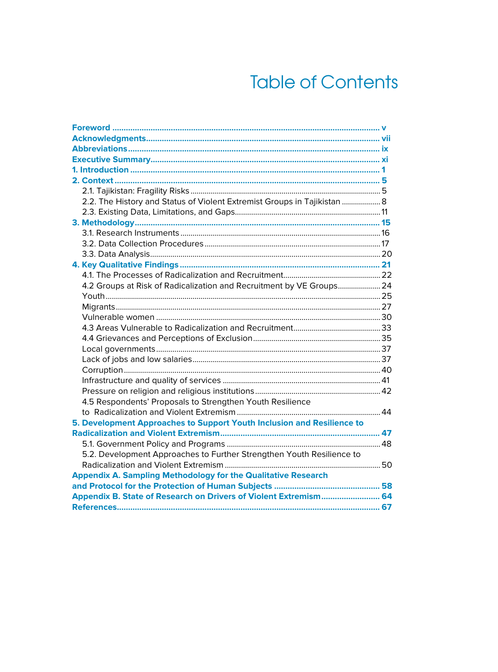# **Table of Contents**

| 2.2. The History and Status of Violent Extremist Groups in Tajikistan  8 |  |
|--------------------------------------------------------------------------|--|
|                                                                          |  |
|                                                                          |  |
|                                                                          |  |
|                                                                          |  |
|                                                                          |  |
|                                                                          |  |
|                                                                          |  |
| 4.2 Groups at Risk of Radicalization and Recruitment by VE Groups 24     |  |
|                                                                          |  |
|                                                                          |  |
|                                                                          |  |
|                                                                          |  |
|                                                                          |  |
|                                                                          |  |
|                                                                          |  |
|                                                                          |  |
|                                                                          |  |
|                                                                          |  |
| 4.5 Respondents' Proposals to Strengthen Youth Resilience                |  |
|                                                                          |  |
| 5. Development Approaches to Support Youth Inclusion and Resilience to   |  |
|                                                                          |  |
|                                                                          |  |
| 5.2. Development Approaches to Further Strengthen Youth Resilience to    |  |
|                                                                          |  |
| <b>Appendix A. Sampling Methodology for the Qualitative Research</b>     |  |
|                                                                          |  |
| Appendix B. State of Research on Drivers of Violent Extremism 64         |  |
|                                                                          |  |
|                                                                          |  |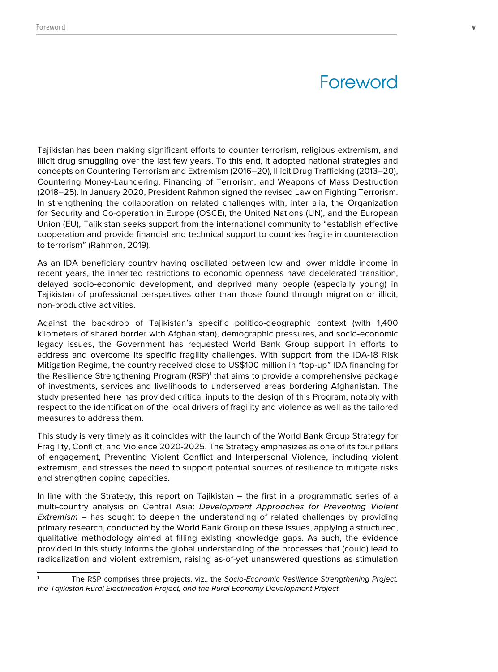# **Foreword**

Tajikistan has been making significant efforts to counter terrorism, religious extremism, and illicit drug smuggling over the last few years. To this end, it adopted national strategies and concepts on Countering Terrorism and Extremism (2016–20), Illicit Drug Trafficking (2013–20), Countering Money-Laundering, Financing of Terrorism, and Weapons of Mass Destruction (2018–25). In January 2020, President Rahmon signed the revised Law on Fighting Terrorism. In strengthening the collaboration on related challenges with, inter alia, the Organization for Security and Co-operation in Europe (OSCE), the United Nations (UN), and the European Union (EU), Tajikistan seeks support from the international community to "establish effective cooperation and provide financial and technical support to countries fragile in counteraction to terrorism" (Rahmon, 2019).

As an IDA beneficiary country having oscillated between low and lower middle income in recent years, the inherited restrictions to economic openness have decelerated transition, delayed socio-economic development, and deprived many people (especially young) in Tajikistan of professional perspectives other than those found through migration or illicit, non-productive activities.

Against the backdrop of Tajikistan's specific politico-geographic context (with 1,400 kilometers of shared border with Afghanistan), demographic pressures, and socio-economic legacy issues, the Government has requested World Bank Group support in efforts to address and overcome its specific fragility challenges. With support from the IDA-18 Risk Mitigation Regime, the country received close to US\$100 million in "top-up" IDA financing for the Resilience Strengthening Program (RSP)<sup>1</sup> that aims to provide a comprehensive package of investments, services and livelihoods to underserved areas bordering Afghanistan. The study presented here has provided critical inputs to the design of this Program, notably with respect to the identification of the local drivers of fragility and violence as well as the tailored measures to address them.

This study is very timely as it coincides with the launch of the World Bank Group Strategy for Fragility, Conflict, and Violence 2020-2025. The Strategy emphasizes as one of its four pillars of engagement, Preventing Violent Conflict and Interpersonal Violence, including violent extremism, and stresses the need to support potential sources of resilience to mitigate risks and strengthen coping capacities.

In line with the Strategy, this report on Tajikistan – the first in a programmatic series of a multi-country analysis on Central Asia: Development Approaches for Preventing Violent *Extremism –* has sought to deepen the understanding of related challenges by providing primary research, conducted by the World Bank Group on these issues, applying a structured, qualitative methodology aimed at filling existing knowledge gaps. As such, the evidence provided in this study informs the global understanding of the processes that (could) lead to radicalization and violent extremism, raising as-of-yet unanswered questions as stimulation

The RSP comprises three projects, viz., the Socio-Economic Resilience Strengthening Project, the Tajikistan Rural Electrification Project, and the Rural Economy Development Project.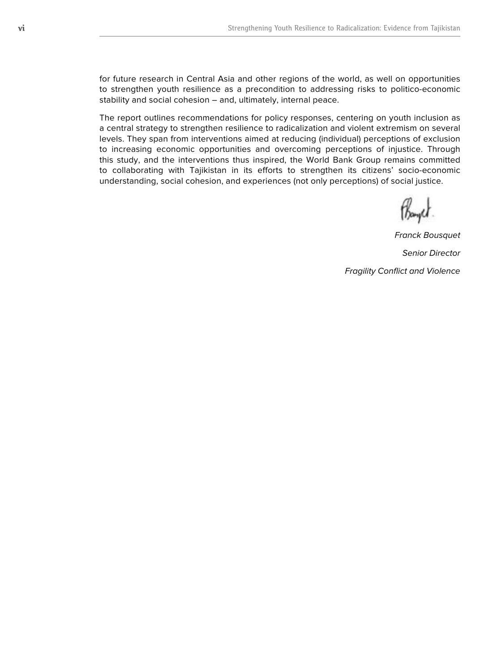for future research in Central Asia and other regions of the world, as well on opportunities to strengthen youth resilience as a precondition to addressing risks to politico-economic stability and social cohesion – and, ultimately, internal peace.

The report outlines recommendations for policy responses, centering on youth inclusion as a central strategy to strengthen resilience to radicalization and violent extremism on several levels. They span from interventions aimed at reducing (individual) perceptions of exclusion to increasing economic opportunities and overcoming perceptions of injustice. Through this study, and the interventions thus inspired, the World Bank Group remains committed to collaborating with Tajikistan in its efforts to strengthen its citizens' socio-economic understanding, social cohesion, and experiences (not only perceptions) of social justice.

Franck Bousquet

Senior Director

Fragility Conflict and Violence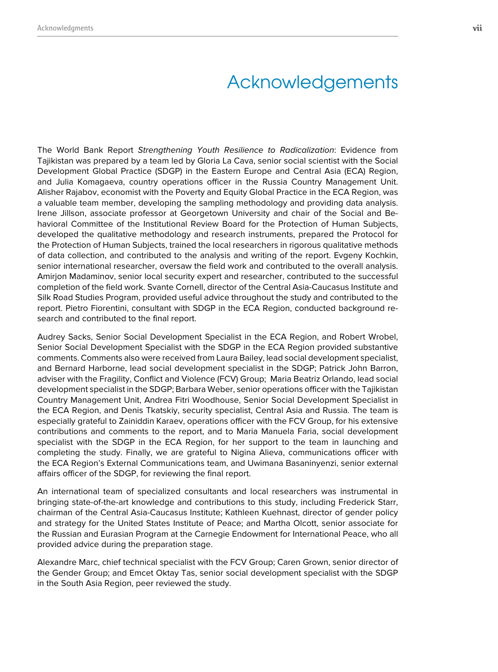# Acknowledgements

The World Bank Report Strengthening Youth Resilience to Radicalization: Evidence from Tajikistan was prepared by a team led by Gloria La Cava, senior social scientist with the Social Development Global Practice (SDGP) in the Eastern Europe and Central Asia (ECA) Region, and Julia Komagaeva, country operations officer in the Russia Country Management Unit. Alisher Rajabov, economist with the Poverty and Equity Global Practice in the ECA Region, was a valuable team member, developing the sampling methodology and providing data analysis. Irene Jillson, associate professor at Georgetown University and chair of the Social and Behavioral Committee of the Institutional Review Board for the Protection of Human Subjects, developed the qualitative methodology and research instruments, prepared the Protocol for the Protection of Human Subjects, trained the local researchers in rigorous qualitative methods of data collection, and contributed to the analysis and writing of the report. Evgeny Kochkin, senior international researcher, oversaw the field work and contributed to the overall analysis. Amirjon Madaminov, senior local security expert and researcher, contributed to the successful completion of the field work. Svante Cornell, director of the Central Asia-Caucasus Institute and Silk Road Studies Program, provided useful advice throughout the study and contributed to the report. Pietro Fiorentini, consultant with SDGP in the ECA Region, conducted background research and contributed to the final report.

Audrey Sacks, Senior Social Development Specialist in the ECA Region, and Robert Wrobel, Senior Social Development Specialist with the SDGP in the ECA Region provided substantive comments. Comments also were received from Laura Bailey, lead social development specialist, and Bernard Harborne, lead social development specialist in the SDGP; Patrick John Barron, adviser with the Fragility, Conflict and Violence (FCV) Group; Maria Beatriz Orlando, lead social development specialist in the SDGP; Barbara Weber, senior operations officer with the Tajikistan Country Management Unit, Andrea Fitri Woodhouse, Senior Social Development Specialist in the ECA Region, and Denis Tkatskiy, security specialist, Central Asia and Russia. The team is especially grateful to Zainiddin Karaev, operations officer with the FCV Group, for his extensive contributions and comments to the report, and to Maria Manuela Faria, social development specialist with the SDGP in the ECA Region, for her support to the team in launching and completing the study. Finally, we are grateful to Nigina Alieva, communications officer with the ECA Region's External Communications team, and Uwimana Basaninyenzi, senior external affairs officer of the SDGP, for reviewing the final report.

An international team of specialized consultants and local researchers was instrumental in bringing state-of-the-art knowledge and contributions to this study, including Frederick Starr, chairman of the Central Asia-Caucasus Institute; Kathleen Kuehnast, director of gender policy and strategy for the United States Institute of Peace; and Martha Olcott, senior associate for the Russian and Eurasian Program at the Carnegie Endowment for International Peace, who all provided advice during the preparation stage.

Alexandre Marc, chief technical specialist with the FCV Group; Caren Grown, senior director of the Gender Group; and Emcet Oktay Tas, senior social development specialist with the SDGP in the South Asia Region, peer reviewed the study.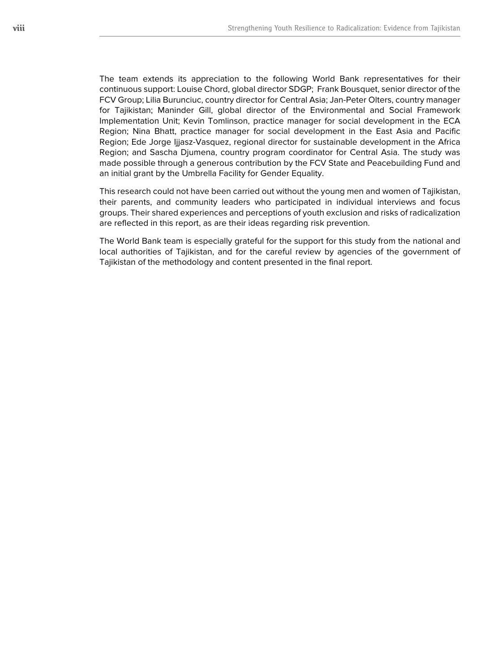The team extends its appreciation to the following World Bank representatives for their continuous support: Louise Chord, global director SDGP; Frank Bousquet, senior director of the FCV Group; Lilia Burunciuc, country director for Central Asia; Jan-Peter Olters, country manager for Tajikistan; Maninder Gill, global director of the Environmental and Social Framework Implementation Unit; Kevin Tomlinson, practice manager for social development in the ECA Region; Nina Bhatt, practice manager for social development in the East Asia and Pacific Region; Ede Jorge Ijjasz-Vasquez, regional director for sustainable development in the Africa Region; and Sascha Djumena, country program coordinator for Central Asia. The study was made possible through a generous contribution by the FCV State and Peacebuilding Fund and an initial grant by the Umbrella Facility for Gender Equality.

This research could not have been carried out without the young men and women of Tajikistan, their parents, and community leaders who participated in individual interviews and focus groups. Their shared experiences and perceptions of youth exclusion and risks of radicalization are reflected in this report, as are their ideas regarding risk prevention.

The World Bank team is especially grateful for the support for this study from the national and local authorities of Tajikistan, and for the careful review by agencies of the government of Tajikistan of the methodology and content presented in the final report.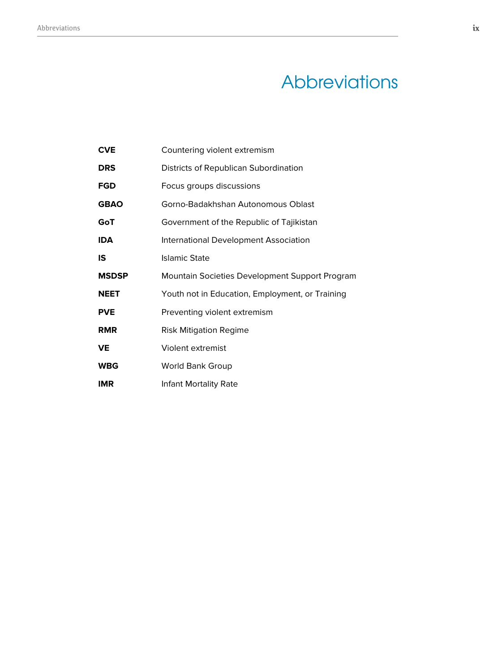# **Abbreviations**

| <b>CVE</b>   | Countering violent extremism                    |
|--------------|-------------------------------------------------|
| <b>DRS</b>   | Districts of Republican Subordination           |
| <b>FGD</b>   | Focus groups discussions                        |
| <b>GBAO</b>  | Gorno-Badakhshan Autonomous Oblast              |
| GoT          | Government of the Republic of Tajikistan        |
| <b>IDA</b>   | International Development Association           |
| IS           | Islamic State                                   |
| <b>MSDSP</b> | Mountain Societies Development Support Program  |
| <b>NEET</b>  | Youth not in Education, Employment, or Training |
| <b>PVE</b>   | Preventing violent extremism                    |
| <b>RMR</b>   | Risk Mitigation Regime                          |
| <b>VE</b>    | Violent extremist                               |
| <b>WBG</b>   | <b>World Bank Group</b>                         |
| <b>IMR</b>   | Infant Mortality Rate                           |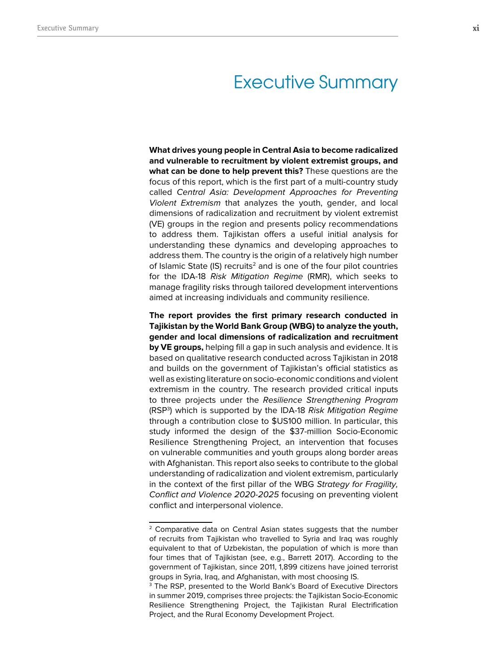## Executive Summary

**What drives young people in Central Asia to become radicalized and vulnerable to recruitment by violent extremist groups, and what can be done to help prevent this?** These questions are the focus of this report, which is the first part of a multi-country study called Central Asia: Development Approaches for Preventing Violent Extremism that analyzes the youth, gender, and local dimensions of radicalization and recruitment by violent extremist (VE) groups in the region and presents policy recommendations to address them. Tajikistan offers a useful initial analysis for understanding these dynamics and developing approaches to address them. The country is the origin of a relatively high number of Islamic State  $(IS)$  recruits<sup>2</sup> and is one of the four pilot countries for the IDA-18 Risk Mitigation Regime (RMR), which seeks to manage fragility risks through tailored development interventions aimed at increasing individuals and community resilience.

**The report provides the first primary research conducted in Tajikistan by the World Bank Group (WBG) to analyze the youth, gender and local dimensions of radicalization and recruitment by VE groups,** helping fill a gap in such analysis and evidence. It is based on qualitative research conducted across Tajikistan in 2018 and builds on the government of Tajikistan's official statistics as well as existing literature on socio-economic conditions and violent extremism in the country. The research provided critical inputs to three projects under the Resilience Strengthening Program (RSP<sup>3</sup>) which is supported by the IDA-18 *Risk Mitigation Regime* through a contribution close to \$US100 million. In particular, this study informed the design of the \$37-million Socio-Economic Resilience Strengthening Project, an intervention that focuses on vulnerable communities and youth groups along border areas with Afghanistan. This report also seeks to contribute to the global understanding of radicalization and violent extremism, particularly in the context of the first pillar of the WBG Strategy for Fragility, Conflict and Violence 2020-2025 focusing on preventing violent conflict and interpersonal violence.

<sup>&</sup>lt;sup>2</sup> Comparative data on Central Asian states suggests that the number of recruits from Tajikistan who travelled to Syria and Iraq was roughly equivalent to that of Uzbekistan, the population of which is more than four times that of Tajikistan (see, e.g., Barrett 2017). According to the government of Tajikistan, since 2011, 1,899 citizens have joined terrorist groups in Syria, Iraq, and Afghanistan, with most choosing IS.

<sup>3</sup> The RSP, presented to the World Bank's Board of Executive Directors in summer 2019, comprises three projects: the Tajikistan Socio-Economic Resilience Strengthening Project, the Tajikistan Rural Electrification Project, and the Rural Economy Development Project.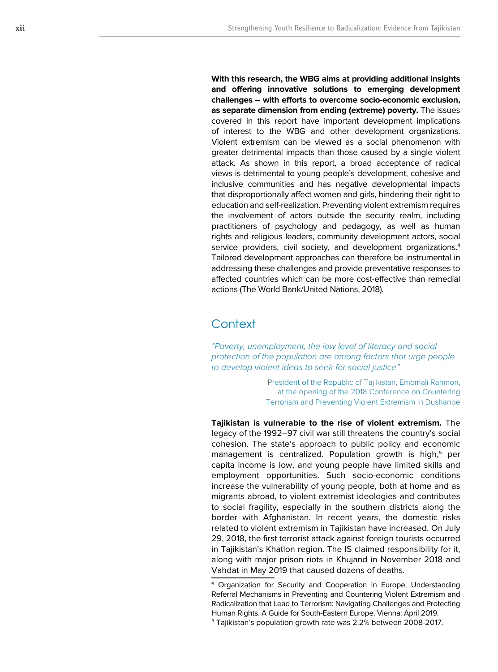**With this research, the WBG aims at providing additional insights and offering innovative solutions to emerging development challenges – with efforts to overcome socio-economic exclusion, as separate dimension from ending (extreme) poverty.** The issues covered in this report have important development implications of interest to the WBG and other development organizations. Violent extremism can be viewed as a social phenomenon with greater detrimental impacts than those caused by a single violent attack. As shown in this report, a broad acceptance of radical views is detrimental to young people's development, cohesive and inclusive communities and has negative developmental impacts that disproportionally affect women and girls, hindering their right to education and self-realization. Preventing violent extremism requires the involvement of actors outside the security realm, including practitioners of psychology and pedagogy, as well as human rights and religious leaders, community development actors, social service providers, civil society, and development organizations. 4 Tailored development approaches can therefore be instrumental in addressing these challenges and provide preventative responses to affected countries which can be more cost-effective than remedial actions (The World Bank/United Nations, 2018).

## **Context**

*"Poverty, unemployment, the low level of literacy and social protection of the population are among factors that urge people to develop violent ideas to seek for social justice"*

> President of the Republic of Tajikistan, Emomali Rahmon, at the opening of the 2018 Conference on Countering Terrorism and Preventing Violent Extremism in Dushanbe

**Tajikistan is vulnerable to the rise of violent extremism.** The legacy of the 1992–97 civil war still threatens the country's social cohesion. The state's approach to public policy and economic management is centralized. Population growth is high, 5 per capita income is low, and young people have limited skills and employment opportunities. Such socio-economic conditions increase the vulnerability of young people, both at home and as migrants abroad, to violent extremist ideologies and contributes to social fragility, especially in the southern districts along the border with Afghanistan. In recent years, the domestic risks related to violent extremism in Tajikistan have increased. On July 29, 2018, the first terrorist attack against foreign tourists occurred in Tajikistan's Khatlon region. The IS claimed responsibility for it, along with major prison riots in Khujand in November 2018 and Vahdat in May 2019 that caused dozens of deaths.

<sup>4</sup> Organization for Security and Cooperation in Europe, Understanding Referral Mechanisms in Preventing and Countering Violent Extremism and Radicalization that Lead to Terrorism: Navigating Challenges and Protecting Human Rights. A Guide for South-Eastern Europe. Vienna: April 2019.

<sup>5</sup> Tajikistan's population growth rate was 2.2% between 2008-2017.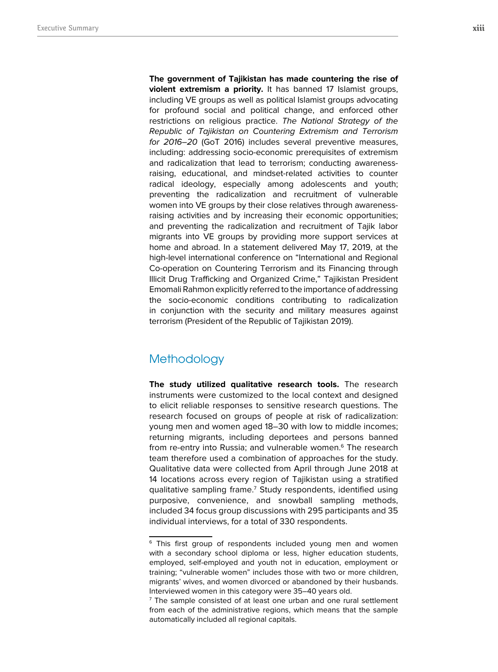**The government of Tajikistan has made countering the rise of violent extremism a priority.** It has banned 17 Islamist groups, including VE groups as well as political Islamist groups advocating for profound social and political change, and enforced other restrictions on religious practice. The National Strategy of the Republic of Tajikistan on Countering Extremism and Terrorism for 2016–20 (GoT 2016) includes several preventive measures, including: addressing socio-economic prerequisites of extremism and radicalization that lead to terrorism; conducting awarenessraising, educational, and mindset-related activities to counter radical ideology, especially among adolescents and youth; preventing the radicalization and recruitment of vulnerable women into VE groups by their close relatives through awarenessraising activities and by increasing their economic opportunities; and preventing the radicalization and recruitment of Tajik labor migrants into VE groups by providing more support services at home and abroad. In a statement delivered May 17, 2019, at the high-level international conference on "International and Regional Co-operation on Countering Terrorism and its Financing through Illicit Drug Trafficking and Organized Crime," Tajikistan President Emomali Rahmon explicitly referred to the importance of addressing the socio-economic conditions contributing to radicalization in conjunction with the security and military measures against terrorism (President of the Republic of Tajikistan 2019).

## **Methodology**

**The study utilized qualitative research tools.** The research instruments were customized to the local context and designed to elicit reliable responses to sensitive research questions. The research focused on groups of people at risk of radicalization: young men and women aged 18–30 with low to middle incomes; returning migrants, including deportees and persons banned from re-entry into Russia; and vulnerable women.<sup>6</sup> The research team therefore used a combination of approaches for the study. Qualitative data were collected from April through June 2018 at 14 locations across every region of Tajikistan using a stratified qualitative sampling frame.<sup>7</sup> Study respondents, identified using purposive, convenience, and snowball sampling methods, included 34 focus group discussions with 295 participants and 35 individual interviews, for a total of 330 respondents.

<sup>&</sup>lt;sup>6</sup> This first group of respondents included young men and women with a secondary school diploma or less, higher education students, employed, self-employed and youth not in education, employment or training; "vulnerable women" includes those with two or more children, migrants' wives, and women divorced or abandoned by their husbands. Interviewed women in this category were 35–40 years old.

<sup>&</sup>lt;sup>7</sup> The sample consisted of at least one urban and one rural settlement from each of the administrative regions, which means that the sample automatically included all regional capitals.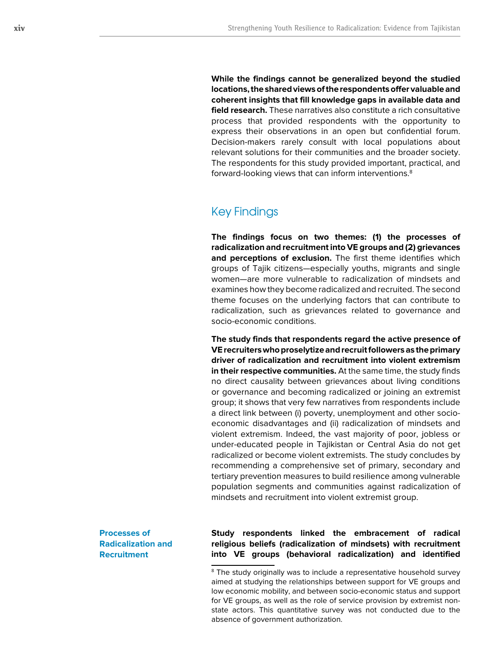**While the findings cannot be generalized beyond the studied locations, the shared views of the respondents offer valuable and coherent insights that fill knowledge gaps in available data and field research.** These narratives also constitute a rich consultative process that provided respondents with the opportunity to express their observations in an open but confidential forum. Decision-makers rarely consult with local populations about relevant solutions for their communities and the broader society. The respondents for this study provided important, practical, and forward-looking views that can inform interventions.<sup>8</sup>

## Key Findings

**The findings focus on two themes: (1) the processes of radicalization and recruitment into VE groups and (2) grievances and perceptions of exclusion.** The first theme identifies which groups of Tajik citizens—especially youths, migrants and single women—are more vulnerable to radicalization of mindsets and examines how they become radicalized and recruited. The second theme focuses on the underlying factors that can contribute to radicalization, such as grievances related to governance and socio-economic conditions.

**The study finds that respondents regard the active presence of VE recruiters who proselytize and recruit followers as the primary driver of radicalization and recruitment into violent extremism in their respective communities.** At the same time, the study finds no direct causality between grievances about living conditions or governance and becoming radicalized or joining an extremist group; it shows that very few narratives from respondents include a direct link between (i) poverty, unemployment and other socioeconomic disadvantages and (ii) radicalization of mindsets and violent extremism. Indeed, the vast majority of poor, jobless or under-educated people in Tajikistan or Central Asia do not get radicalized or become violent extremists. The study concludes by recommending a comprehensive set of primary, secondary and tertiary prevention measures to build resilience among vulnerable population segments and communities against radicalization of mindsets and recruitment into violent extremist group.

**Processes of Radicalization and Recruitment**

**Study respondents linked the embracement of radical religious beliefs (radicalization of mindsets) with recruitment into VE groups (behavioral radicalization) and identified** 

<sup>&</sup>lt;sup>8</sup> The study originally was to include a representative household survey aimed at studying the relationships between support for VE groups and low economic mobility, and between socio-economic status and support for VE groups, as well as the role of service provision by extremist nonstate actors. This quantitative survey was not conducted due to the absence of government authorization.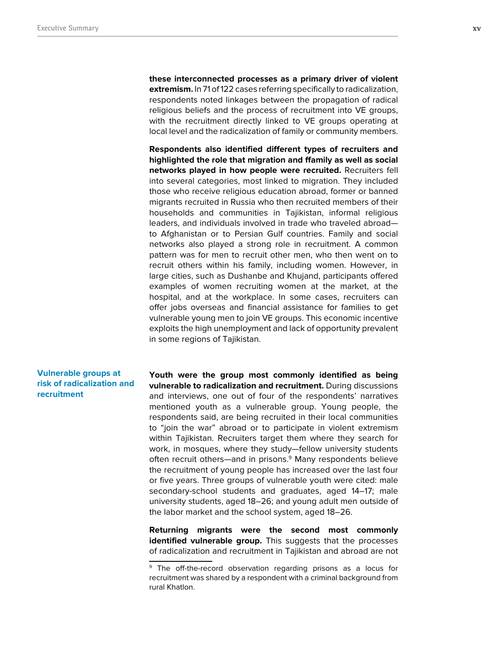**these interconnected processes as a primary driver of violent extremism.** In 71 of 122 cases referring specifically to radicalization, respondents noted linkages between the propagation of radical religious beliefs and the process of recruitment into VE groups, with the recruitment directly linked to VE groups operating at local level and the radicalization of family or community members.

**Respondents also identified different types of recruiters and highlighted the role that migration and ffamily as well as social networks played in how people were recruited.** Recruiters fell into several categories, most linked to migration. They included those who receive religious education abroad, former or banned migrants recruited in Russia who then recruited members of their households and communities in Tajikistan, informal religious leaders, and individuals involved in trade who traveled abroad to Afghanistan or to Persian Gulf countries. Family and social networks also played a strong role in recruitment. A common pattern was for men to recruit other men, who then went on to recruit others within his family, including women. However, in large cities, such as Dushanbe and Khujand, participants offered examples of women recruiting women at the market, at the hospital, and at the workplace. In some cases, recruiters can offer jobs overseas and financial assistance for families to get vulnerable young men to join VE groups. This economic incentive exploits the high unemployment and lack of opportunity prevalent in some regions of Tajikistan.

### **Vulnerable groups at risk of radicalization and recruitment**

**Youth were the group most commonly identified as being vulnerable to radicalization and recruitment.** During discussions and interviews, one out of four of the respondents' narratives mentioned youth as a vulnerable group. Young people, the respondents said, are being recruited in their local communities to "join the war" abroad or to participate in violent extremism within Tajikistan. Recruiters target them where they search for work, in mosques, where they study—fellow university students often recruit others—and in prisons.<sup>9</sup> Many respondents believe the recruitment of young people has increased over the last four or five years. Three groups of vulnerable youth were cited: male secondary-school students and graduates, aged 14–17; male university students, aged 18–26; and young adult men outside of the labor market and the school system, aged 18–26.

**Returning migrants were the second most commonly identified vulnerable group.** This suggests that the processes of radicalization and recruitment in Tajikistan and abroad are not

<sup>&</sup>lt;sup>9</sup> The off-the-record observation regarding prisons as a locus for recruitment was shared by a respondent with a criminal background from rural Khatlon.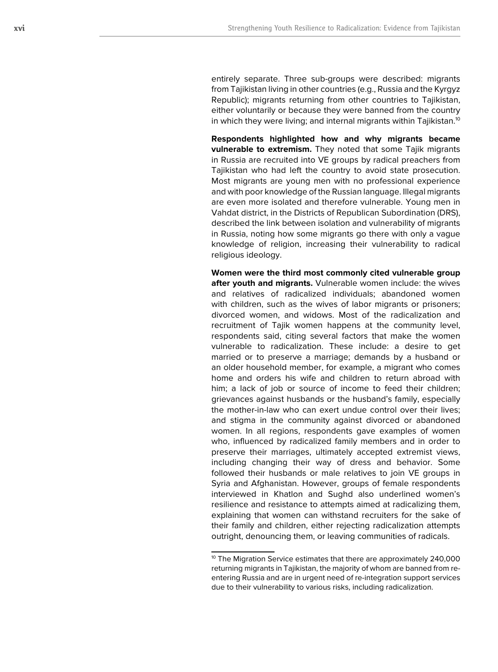entirely separate. Three sub-groups were described: migrants from Tajikistan living in other countries (e.g., Russia and the Kyrgyz Republic); migrants returning from other countries to Tajikistan, either voluntarily or because they were banned from the country in which they were living; and internal migrants within Tajikistan.<sup>10</sup>

**Respondents highlighted how and why migrants became vulnerable to extremism.** They noted that some Tajik migrants in Russia are recruited into VE groups by radical preachers from Tajikistan who had left the country to avoid state prosecution. Most migrants are young men with no professional experience and with poor knowledge of the Russian language. Illegal migrants are even more isolated and therefore vulnerable. Young men in Vahdat district, in the Districts of Republican Subordination (DRS), described the link between isolation and vulnerability of migrants in Russia, noting how some migrants go there with only a vague knowledge of religion, increasing their vulnerability to radical religious ideology.

**Women were the third most commonly cited vulnerable group after youth and migrants.** Vulnerable women include: the wives and relatives of radicalized individuals; abandoned women with children, such as the wives of labor migrants or prisoners; divorced women, and widows. Most of the radicalization and recruitment of Tajik women happens at the community level, respondents said, citing several factors that make the women vulnerable to radicalization. These include: a desire to get married or to preserve a marriage; demands by a husband or an older household member, for example, a migrant who comes home and orders his wife and children to return abroad with him; a lack of job or source of income to feed their children; grievances against husbands or the husband's family, especially the mother-in-law who can exert undue control over their lives; and stigma in the community against divorced or abandoned women. In all regions, respondents gave examples of women who, influenced by radicalized family members and in order to preserve their marriages, ultimately accepted extremist views, including changing their way of dress and behavior. Some followed their husbands or male relatives to join VE groups in Syria and Afghanistan. However, groups of female respondents interviewed in Khatlon and Sughd also underlined women's resilience and resistance to attempts aimed at radicalizing them, explaining that women can withstand recruiters for the sake of their family and children, either rejecting radicalization attempts outright, denouncing them, or leaving communities of radicals.

<sup>&</sup>lt;sup>10</sup> The Migration Service estimates that there are approximately 240,000 returning migrants in Tajikistan, the majority of whom are banned from reentering Russia and are in urgent need of re-integration support services due to their vulnerability to various risks, including radicalization.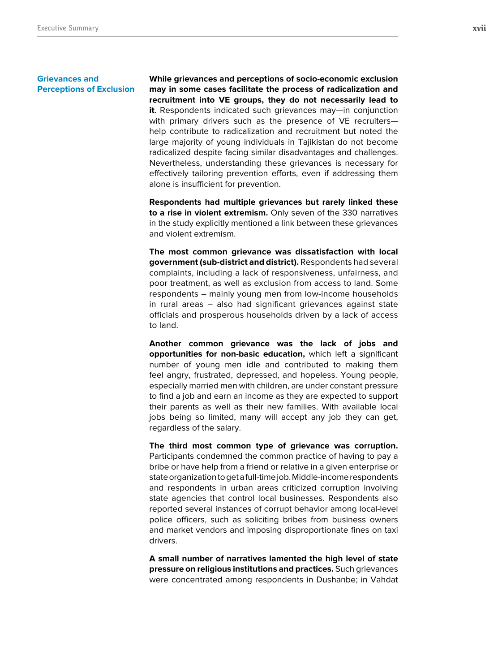#### **Grievances and Perceptions of Exclusion**

**While grievances and perceptions of socio-economic exclusion may in some cases facilitate the process of radicalization and recruitment into VE groups, they do not necessarily lead to it**. Respondents indicated such grievances may—in conjunction with primary drivers such as the presence of VE recruiters help contribute to radicalization and recruitment but noted the large majority of young individuals in Tajikistan do not become radicalized despite facing similar disadvantages and challenges. Nevertheless, understanding these grievances is necessary for effectively tailoring prevention efforts, even if addressing them alone is insufficient for prevention.

**Respondents had multiple grievances but rarely linked these to a rise in violent extremism.** Only seven of the 330 narratives in the study explicitly mentioned a link between these grievances and violent extremism.

**The most common grievance was dissatisfaction with local government (sub-district and district).** Respondents had several complaints, including a lack of responsiveness, unfairness, and poor treatment, as well as exclusion from access to land. Some respondents – mainly young men from low-income households in rural areas – also had significant grievances against state officials and prosperous households driven by a lack of access to land.

**Another common grievance was the lack of jobs and opportunities for non-basic education,** which left a significant number of young men idle and contributed to making them feel angry, frustrated, depressed, and hopeless. Young people, especially married men with children, are under constant pressure to find a job and earn an income as they are expected to support their parents as well as their new families. With available local jobs being so limited, many will accept any job they can get, regardless of the salary.

**The third most common type of grievance was corruption.** Participants condemned the common practice of having to pay a bribe or have help from a friend or relative in a given enterprise or state organization to get a full-time job. Middle-income respondents and respondents in urban areas criticized corruption involving state agencies that control local businesses. Respondents also reported several instances of corrupt behavior among local-level police officers, such as soliciting bribes from business owners and market vendors and imposing disproportionate fines on taxi drivers.

**A small number of narratives lamented the high level of state pressure on religious institutions and practices.** Such grievances were concentrated among respondents in Dushanbe; in Vahdat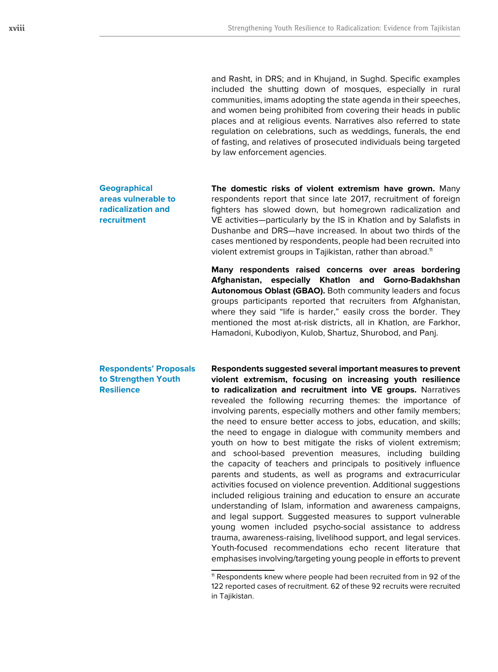and Rasht, in DRS; and in Khujand, in Sughd. Specific examples included the shutting down of mosques, especially in rural communities, imams adopting the state agenda in their speeches, and women being prohibited from covering their heads in public places and at religious events. Narratives also referred to state regulation on celebrations, such as weddings, funerals, the end of fasting, and relatives of prosecuted individuals being targeted by law enforcement agencies.

**Geographical areas vulnerable to radicalization and recruitment**

**The domestic risks of violent extremism have grown.** Many respondents report that since late 2017, recruitment of foreign fighters has slowed down, but homegrown radicalization and VE activities—particularly by the IS in Khatlon and by Salafists in Dushanbe and DRS—have increased. In about two thirds of the cases mentioned by respondents, people had been recruited into violent extremist groups in Tajikistan, rather than abroad.<sup>11</sup>

**Many respondents raised concerns over areas bordering Afghanistan, especially Khatlon and Gorno-Badakhshan Autonomous Oblast (GBAO).** Both community leaders and focus groups participants reported that recruiters from Afghanistan, where they said "life is harder," easily cross the border. They mentioned the most at-risk districts, all in Khatlon, are Farkhor, Hamadoni, Kubodiyon, Kulob, Shartuz, Shurobod, and Panj.

**Respondents' Proposals to Strengthen Youth Resilience** 

**Respondents suggested several important measures to prevent violent extremism, focusing on increasing youth resilience to radicalization and recruitment into VE groups.** Narratives revealed the following recurring themes: the importance of involving parents, especially mothers and other family members; the need to ensure better access to jobs, education, and skills; the need to engage in dialogue with community members and youth on how to best mitigate the risks of violent extremism; and school-based prevention measures, including building the capacity of teachers and principals to positively influence parents and students, as well as programs and extracurricular activities focused on violence prevention. Additional suggestions included religious training and education to ensure an accurate understanding of Islam, information and awareness campaigns, and legal support. Suggested measures to support vulnerable young women included psycho-social assistance to address trauma, awareness-raising, livelihood support, and legal services. Youth-focused recommendations echo recent literature that emphasises involving/targeting young people in efforts to prevent

<sup>&</sup>lt;sup>11</sup> Respondents knew where people had been recruited from in 92 of the 122 reported cases of recruitment. 62 of these 92 recruits were recruited in Tajikistan.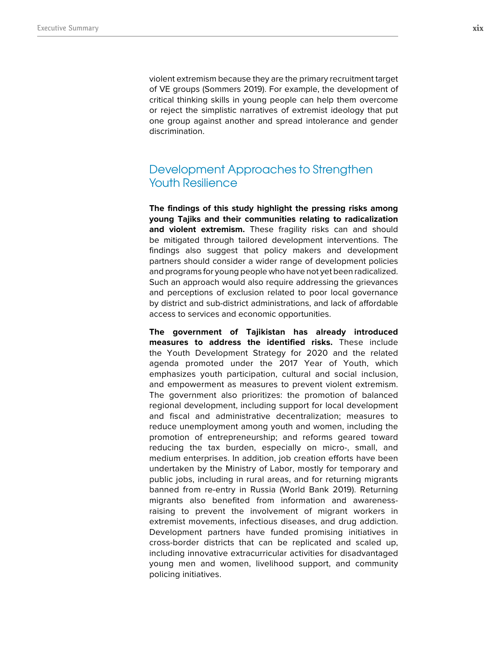violent extremism because they are the primary recruitment target of VE groups (Sommers 2019). For example, the development of critical thinking skills in young people can help them overcome or reject the simplistic narratives of extremist ideology that put one group against another and spread intolerance and gender discrimination.

## Development Approaches to Strengthen Youth Resilience

**The findings of this study highlight the pressing risks among young Tajiks and their communities relating to radicalization**  and violent extremism. These fragility risks can and should be mitigated through tailored development interventions. The findings also suggest that policy makers and development partners should consider a wider range of development policies and programs for young people who have not yet been radicalized. Such an approach would also require addressing the grievances and perceptions of exclusion related to poor local governance by district and sub-district administrations, and lack of affordable access to services and economic opportunities.

**The government of Tajikistan has already introduced measures to address the identified risks.** These include the Youth Development Strategy for 2020 and the related agenda promoted under the 2017 Year of Youth, which emphasizes youth participation, cultural and social inclusion, and empowerment as measures to prevent violent extremism. The government also prioritizes: the promotion of balanced regional development, including support for local development and fiscal and administrative decentralization; measures to reduce unemployment among youth and women, including the promotion of entrepreneurship; and reforms geared toward reducing the tax burden, especially on micro-, small, and medium enterprises. In addition, job creation efforts have been undertaken by the Ministry of Labor, mostly for temporary and public jobs, including in rural areas, and for returning migrants banned from re-entry in Russia (World Bank 2019). Returning migrants also benefited from information and awarenessraising to prevent the involvement of migrant workers in extremist movements, infectious diseases, and drug addiction. Development partners have funded promising initiatives in cross-border districts that can be replicated and scaled up, including innovative extracurricular activities for disadvantaged young men and women, livelihood support, and community policing initiatives.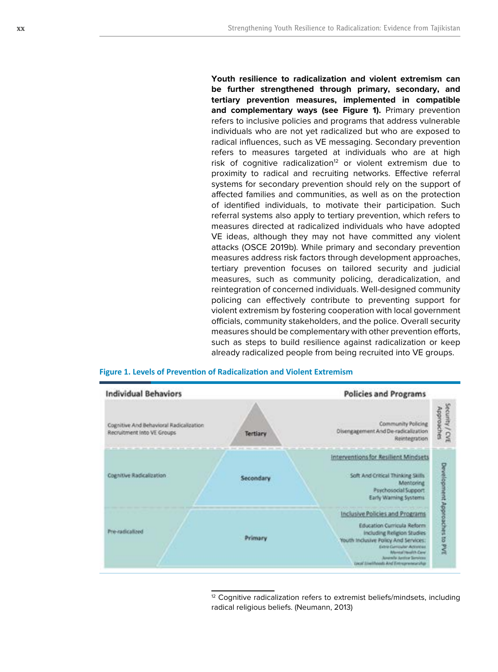**Youth resilience to radicalization and violent extremism can be further strengthened through primary, secondary, and tertiary prevention measures, implemented in compatible**  and complementary ways (see Figure 1). Primary prevention refers to inclusive policies and programs that address vulnerable individuals who are not yet radicalized but who are exposed to radical influences, such as VE messaging. Secondary prevention refers to measures targeted at individuals who are at high risk of cognitive radicalization $12$  or violent extremism due to proximity to radical and recruiting networks. Effective referral systems for secondary prevention should rely on the support of affected families and communities, as well as on the protection of identified individuals, to motivate their participation. Such referral systems also apply to tertiary prevention, which refers to measures directed at radicalized individuals who have adopted VE ideas, although they may not have committed any violent attacks (OSCE 2019b). While primary and secondary prevention measures address risk factors through development approaches, tertiary prevention focuses on tailored security and judicial measures, such as community policing, deradicalization, and reintegration of concerned individuals. Well-designed community policing can effectively contribute to preventing support for violent extremism by fostering cooperation with local government officials, community stakeholders, and the police. Overall security measures should be complementary with other prevention efforts, such as steps to build resilience against radicalization or keep already radicalized people from being recruited into VE groups.





<sup>12</sup> Cognitive radicalization refers to extremist beliefs/mindsets, including radical religious beliefs. (Neumann, 2013)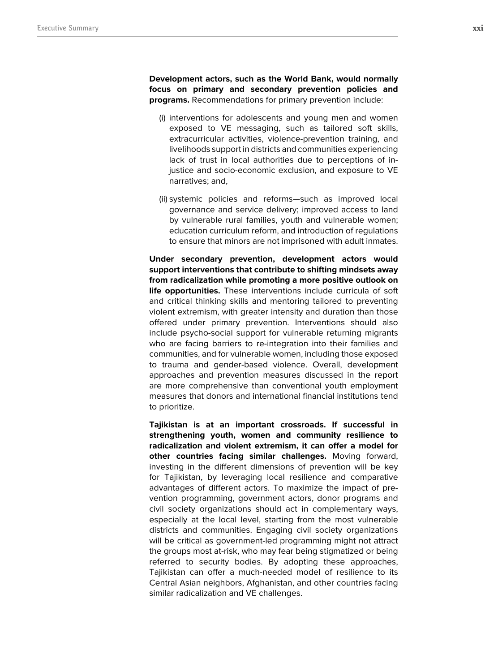**Development actors, such as the World Bank, would normally focus on primary and secondary prevention policies and programs.** Recommendations for primary prevention include:

- (i) interventions for adolescents and young men and women exposed to VE messaging, such as tailored soft skills, extracurricular activities, violence-prevention training, and livelihoods support in districts and communities experiencing lack of trust in local authorities due to perceptions of injustice and socio-economic exclusion, and exposure to VE narratives; and,
- (ii) systemic policies and reforms—such as improved local governance and service delivery; improved access to land by vulnerable rural families, youth and vulnerable women; education curriculum reform, and introduction of regulations to ensure that minors are not imprisoned with adult inmates.

**Under secondary prevention, development actors would support interventions that contribute to shifting mindsets away from radicalization while promoting a more positive outlook on life opportunities.** These interventions include curricula of soft and critical thinking skills and mentoring tailored to preventing violent extremism, with greater intensity and duration than those offered under primary prevention. Interventions should also include psycho-social support for vulnerable returning migrants who are facing barriers to re-integration into their families and communities, and for vulnerable women, including those exposed to trauma and gender-based violence. Overall, development approaches and prevention measures discussed in the report are more comprehensive than conventional youth employment measures that donors and international financial institutions tend to prioritize.

**Tajikistan is at an important crossroads. If successful in strengthening youth, women and community resilience to radicalization and violent extremism, it can offer a model for other countries facing similar challenges.** Moving forward, investing in the different dimensions of prevention will be key for Tajikistan, by leveraging local resilience and comparative advantages of different actors. To maximize the impact of prevention programming, government actors, donor programs and civil society organizations should act in complementary ways, especially at the local level, starting from the most vulnerable districts and communities. Engaging civil society organizations will be critical as government-led programming might not attract the groups most at-risk, who may fear being stigmatized or being referred to security bodies. By adopting these approaches, Tajikistan can offer a much-needed model of resilience to its Central Asian neighbors, Afghanistan, and other countries facing similar radicalization and VE challenges.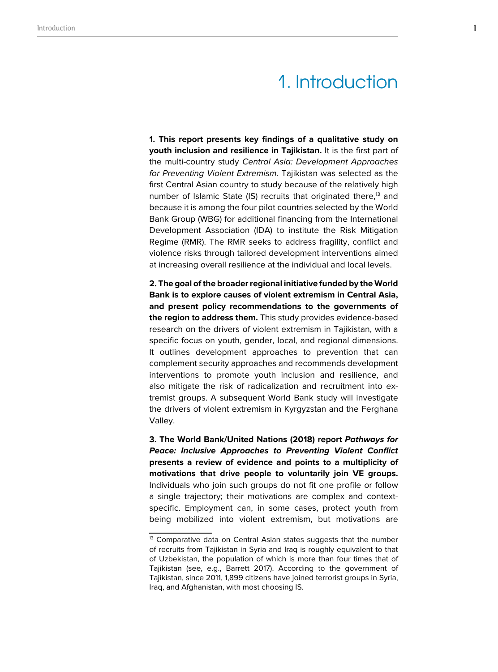# 1. Introduction

**1. This report presents key findings of a qualitative study on youth inclusion and resilience in Tajikistan.** It is the first part of the multi-country study Central Asia: Development Approaches for Preventing Violent Extremism. Tajikistan was selected as the first Central Asian country to study because of the relatively high number of Islamic State (IS) recruits that originated there,<sup>13</sup> and because it is among the four pilot countries selected by the World Bank Group (WBG) for additional financing from the International Development Association (IDA) to institute the Risk Mitigation Regime (RMR). The RMR seeks to address fragility, conflict and violence risks through tailored development interventions aimed at increasing overall resilience at the individual and local levels.

**2. The goal of the broader regional initiative funded by the World Bank is to explore causes of violent extremism in Central Asia, and present policy recommendations to the governments of the region to address them.** This study provides evidence-based research on the drivers of violent extremism in Tajikistan, with a specific focus on youth, gender, local, and regional dimensions. It outlines development approaches to prevention that can complement security approaches and recommends development interventions to promote youth inclusion and resilience, and also mitigate the risk of radicalization and recruitment into extremist groups. A subsequent World Bank study will investigate the drivers of violent extremism in Kyrgyzstan and the Ferghana Valley.

**3. The World Bank/United Nations (2018) report Pathways for Peace: Inclusive Approaches to Preventing Violent Conflict presents a review of evidence and points to a multiplicity of motivations that drive people to voluntarily join VE groups.** Individuals who join such groups do not fit one profile or follow a single trajectory; their motivations are complex and contextspecific. Employment can, in some cases, protect youth from being mobilized into violent extremism, but motivations are

 $13$  Comparative data on Central Asian states suggests that the number of recruits from Tajikistan in Syria and Iraq is roughly equivalent to that of Uzbekistan, the population of which is more than four times that of Tajikistan (see, e.g., Barrett 2017). According to the government of Tajikistan, since 2011, 1,899 citizens have joined terrorist groups in Syria, Iraq, and Afghanistan, with most choosing IS.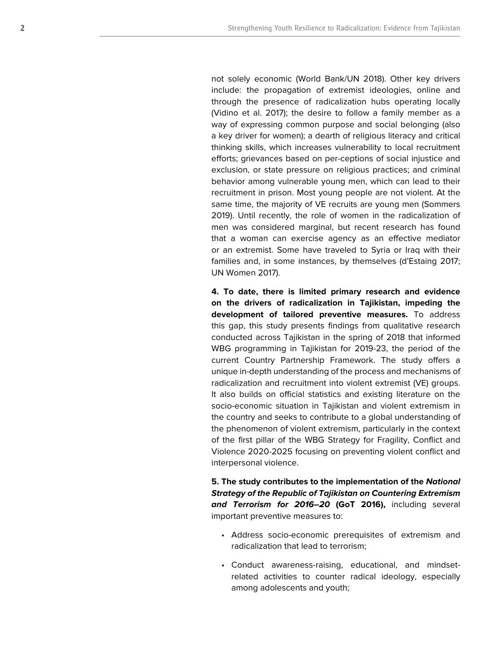not solely economic (World Bank/UN 2018). Other key drivers include: the propagation of extremist ideologies, online and through the presence of radicalization hubs operating locally (Vidino et al. 2017); the desire to follow a family member as a way of expressing common purpose and social belonging (also a key driver for women); a dearth of religious literacy and critical thinking skills, which increases vulnerability to local recruitment efforts; grievances based on per-ceptions of social injustice and exclusion, or state pressure on religious practices; and criminal behavior among vulnerable young men, which can lead to their recruitment in prison. Most young people are not violent. At the same time, the majority of VE recruits are young men (Sommers 2019). Until recently, the role of women in the radicalization of men was considered marginal, but recent research has found that a woman can exercise agency as an effective mediator or an extremist. Some have traveled to Syria or Iraq with their families and, in some instances, by themselves (d'Estaing 2017; UN Women 2017).

**4. To date, there is limited primary research and evidence on the drivers of radicalization in Tajikistan, impeding the development of tailored preventive measures.** To address this gap, this study presents findings from qualitative research conducted across Tajikistan in the spring of 2018 that informed WBG programming in Tajikistan for 2019-23, the period of the current Country Partnership Framework. The study offers a unique in-depth understanding of the process and mechanisms of radicalization and recruitment into violent extremist (VE) groups. It also builds on official statistics and existing literature on the socio-economic situation in Tajikistan and violent extremism in the country and seeks to contribute to a global understanding of the phenomenon of violent extremism, particularly in the context of the first pillar of the WBG Strategy for Fragility, Conflict and Violence 2020-2025 focusing on preventing violent conflict and interpersonal violence.

**5. The study contributes to the implementation of the National Strategy of the Republic of Tajikistan on Countering Extremism and Terrorism for 2016–20 (GoT 2016),** including several important preventive measures to: • Address socio-economic prerequisites of extremism and

- radicalization that lead to terrorism;
- Conduct awareness-raising, educational, and mindsetrelated activities to counter radical ideology, especially among adolescents and youth;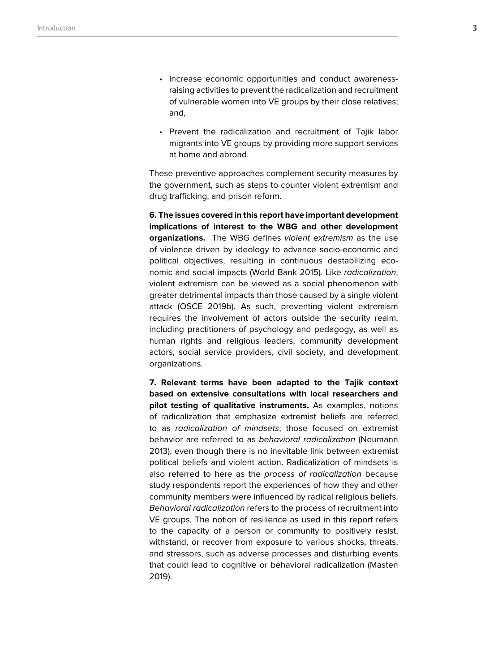- Increase economic opportunities and conduct awarenessraising activities to prevent the radicalization and recruitment of vulnerable women into VE groups by their close relatives; and,
- Prevent the radicalization and recruitment of Tajik labor migrants into VE groups by providing more support services at home and abroad.

These preventive approaches complement security measures by the government, such as steps to counter violent extremism and drug trafficking, and prison reform.

**6. The issues covered in this report have important development implications of interest to the WBG and other development organizations.** The WBG defines violent extremism as the use of violence driven by ideology to advance socio-economic and political objectives, resulting in continuous destabilizing economic and social impacts (World Bank 2015). Like radicalization, violent extremism can be viewed as a social phenomenon with greater detrimental impacts than those caused by a single violent attack (OSCE 2019b). As such, preventing violent extremism requires the involvement of actors outside the security realm, including practitioners of psychology and pedagogy, as well as human rights and religious leaders, community development actors, social service providers, civil society, and development organizations.

**7. Relevant terms have been adapted to the Tajik context based on extensive consultations with local researchers and pilot testing of qualitative instruments.** As examples, notions of radicalization that emphasize extremist beliefs are referred to as radicalization of mindsets; those focused on extremist behavior are referred to as behavioral radicalization (Neumann 2013), even though there is no inevitable link between extremist political beliefs and violent action. Radicalization of mindsets is also referred to here as the process of radicalization because study respondents report the experiences of how they and other community members were influenced by radical religious beliefs. Behavioral radicalization refers to the process of recruitment into VE groups. The notion of resilience as used in this report refers to the capacity of a person or community to positively resist, withstand, or recover from exposure to various shocks, threats, and stressors, such as adverse processes and disturbing events that could lead to cognitive or behavioral radicalization (Masten 2019).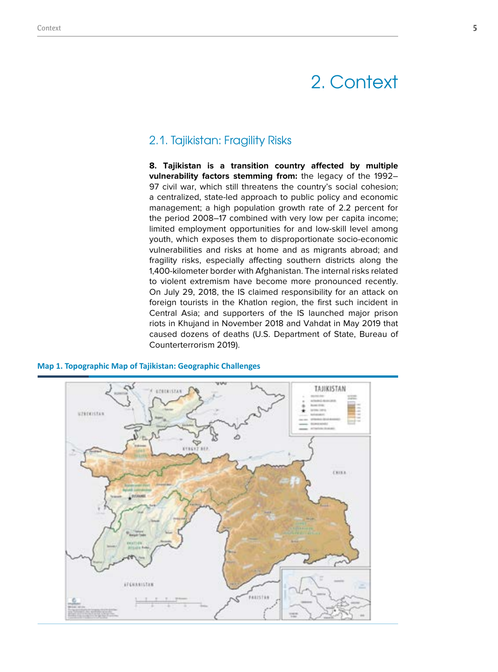# 2. Context

## 2.1. Tajikistan: Fragility Risks

**8. Tajikistan is a transition country affected by multiple vulnerability factors stemming from:** the legacy of the 1992– 97 civil war, which still threatens the country's social cohesion; a centralized, state-led approach to public policy and economic management; a high population growth rate of 2.2 percent for the period 2008–17 combined with very low per capita income; limited employment opportunities for and low-skill level among youth, which exposes them to disproportionate socio-economic vulnerabilities and risks at home and as migrants abroad; and fragility risks, especially affecting southern districts along the 1,400-kilometer border with Afghanistan. The internal risks related to violent extremism have become more pronounced recently. On July 29, 2018, the IS claimed responsibility for an attack on foreign tourists in the Khatlon region, the first such incident in Central Asia; and supporters of the IS launched major prison riots in Khujand in November 2018 and Vahdat in May 2019 that caused dozens of deaths (U.S. Department of State, Bureau of Counterterrorism 2019).



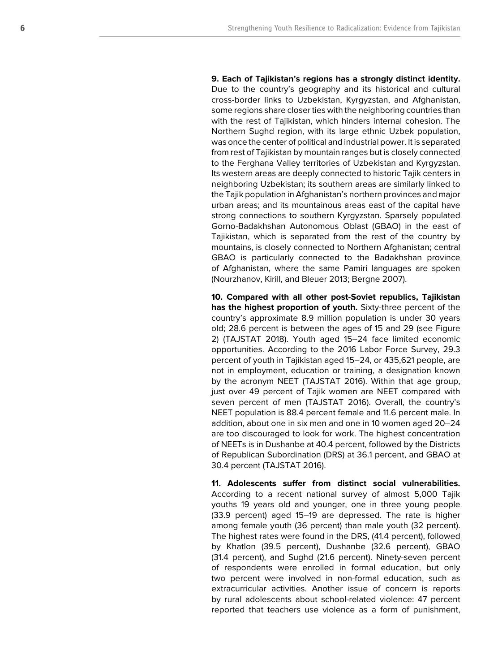**9. Each of Tajikistan's regions has a strongly distinct identity.** Due to the country's geography and its historical and cultural cross-border links to Uzbekistan, Kyrgyzstan, and Afghanistan, some regions share closer ties with the neighboring countries than with the rest of Tajikistan, which hinders internal cohesion. The Northern Sughd region, with its large ethnic Uzbek population, was once the center of political and industrial power. It is separated from rest of Tajikistan by mountain ranges but is closely connected to the Ferghana Valley territories of Uzbekistan and Kyrgyzstan. Its western areas are deeply connected to historic Tajik centers in neighboring Uzbekistan; its southern areas are similarly linked to the Tajik population in Afghanistan's northern provinces and major urban areas; and its mountainous areas east of the capital have strong connections to southern Kyrgyzstan. Sparsely populated Gorno-Badakhshan Autonomous Oblast (GBAO) in the east of Tajikistan, which is separated from the rest of the country by mountains, is closely connected to Northern Afghanistan; central GBAO is particularly connected to the Badakhshan province of Afghanistan, where the same Pamiri languages are spoken (Nourzhanov, Kirill, and Bleuer 2013; Bergne 2007).

**10. Compared with all other post-Soviet republics, Tajikistan has the highest proportion of youth.** Sixty-three percent of the country's approximate 8.9 million population is under 30 years old; 28.6 percent is between the ages of 15 and 29 (see Figure 2) (TAJSTAT 2018). Youth aged 15–24 face limited economic opportunities. According to the 2016 Labor Force Survey, 29.3 percent of youth in Tajikistan aged 15–24, or 435,621 people, are not in employment, education or training, a designation known by the acronym NEET (TAJSTAT 2016). Within that age group, just over 49 percent of Tajik women are NEET compared with seven percent of men (TAJSTAT 2016). Overall, the country's NEET population is 88.4 percent female and 11.6 percent male. In addition, about one in six men and one in 10 women aged 20–24 are too discouraged to look for work. The highest concentration of NEETs is in Dushanbe at 40.4 percent, followed by the Districts of Republican Subordination (DRS) at 36.1 percent, and GBAO at 30.4 percent (TAJSTAT 2016).

**11. Adolescents suffer from distinct social vulnerabilities.** According to a recent national survey of almost 5,000 Tajik youths 19 years old and younger, one in three young people (33.9 percent) aged 15–19 are depressed. The rate is higher among female youth (36 percent) than male youth (32 percent). The highest rates were found in the DRS, (41.4 percent), followed by Khatlon (39.5 percent), Dushanbe (32.6 percent), GBAO (31.4 percent), and Sughd (21.6 percent). Ninety-seven percent of respondents were enrolled in formal education, but only two percent were involved in non-formal education, such as extracurricular activities. Another issue of concern is reports by rural adolescents about school-related violence: 47 percent reported that teachers use violence as a form of punishment,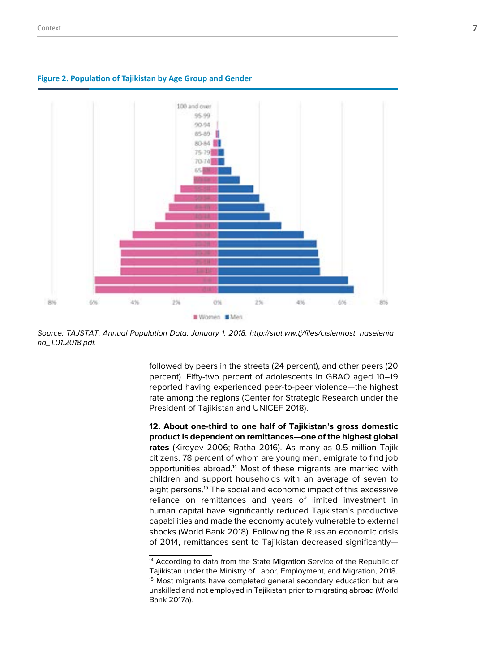

#### **Figure 2. Population of Tajikistan by Age Group and Gender**

Source: TAJSTAT, Annual Population Data, January 1, 2018. http://stat.ww.tj/files/cislennost\_naselenia\_ na\_1.01.2018.pdf.

followed by peers in the streets (24 percent), and other peers (20 percent). Fifty-two percent of adolescents in GBAO aged 10–19 reported having experienced peer-to-peer violence—the highest rate among the regions (Center for Strategic Research under the President of Tajikistan and UNICEF 2018).

**12. About one-third to one half of Tajikistan's gross domestic product is dependent on remittances—one of the highest global rates** (Kireyev 2006; Ratha 2016). As many as 0.5 million Tajik citizens, 78 percent of whom are young men, emigrate to find job opportunities abroad.14 Most of these migrants are married with children and support households with an average of seven to eight persons.<sup>15</sup> The social and economic impact of this excessive reliance on remittances and years of limited investment in human capital have significantly reduced Tajikistan's productive capabilities and made the economy acutely vulnerable to external shocks (World Bank 2018). Following the Russian economic crisis of 2014, remittances sent to Tajikistan decreased significantly—

<sup>&</sup>lt;sup>14</sup> According to data from the State Migration Service of the Republic of Tajikistan under the Ministry of Labor, Employment, and Migration, 2018. <sup>15</sup> Most migrants have completed general secondary education but are unskilled and not employed in Tajikistan prior to migrating abroad (World Bank 2017a).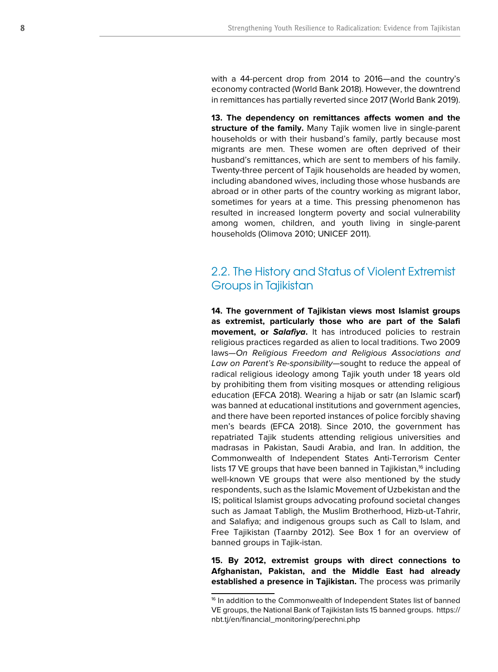with a 44-percent drop from 2014 to 2016—and the country's economy contracted (World Bank 2018). However, the downtrend in remittances has partially reverted since 2017 (World Bank 2019).

**13. The dependency on remittances affects women and the structure of the family.** Many Tajik women live in single-parent households or with their husband's family, partly because most migrants are men. These women are often deprived of their husband's remittances, which are sent to members of his family. Twenty-three percent of Tajik households are headed by women, including abandoned wives, including those whose husbands are abroad or in other parts of the country working as migrant labor, sometimes for years at a time. This pressing phenomenon has resulted in increased longterm poverty and social vulnerability among women, children, and youth living in single-parent households (Olimova 2010; UNICEF 2011).

## 2.2. The History and Status of Violent Extremist Groups in Tajikistan

**14. The government of Tajikistan views most Islamist groups as extremist, particularly those who are part of the Salafi movement, or Salafiya.** It has introduced policies to restrain religious practices regarded as alien to local traditions. Two 2009 laws—On Religious Freedom and Religious Associations and Law on Parent's Re-sponsibility—sought to reduce the appeal of radical religious ideology among Tajik youth under 18 years old by prohibiting them from visiting mosques or attending religious education (EFCA 2018). Wearing a hijab or satr (an Islamic scarf) was banned at educational institutions and government agencies, and there have been reported instances of police forcibly shaving men's beards (EFCA 2018). Since 2010, the government has repatriated Tajik students attending religious universities and madrasas in Pakistan, Saudi Arabia, and Iran. In addition, the Commonwealth of Independent States Anti-Terrorism Center lists 17 VE groups that have been banned in Tajikistan, $16$  including well-known VE groups that were also mentioned by the study respondents, such as the Islamic Movement of Uzbekistan and the IS; political Islamist groups advocating profound societal changes such as Jamaat Tabligh, the Muslim Brotherhood, Hizb-ut-Tahrir, and Salafiya; and indigenous groups such as Call to Islam, and Free Tajikistan (Taarnby 2012). See Box 1 for an overview of banned groups in Tajik-istan.

**15. By 2012, extremist groups with direct connections to Afghanistan, Pakistan, and the Middle East had already established a presence in Tajikistan.** The process was primarily

<sup>&</sup>lt;sup>16</sup> In addition to the Commonwealth of Independent States list of banned VE groups, the National Bank of Tajikistan lists 15 banned groups. https:// nbt.tj/en/financial\_monitoring/perechni.php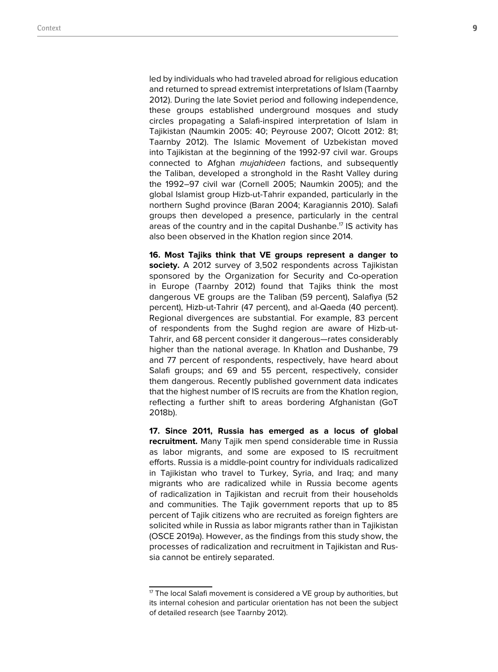led by individuals who had traveled abroad for religious education and returned to spread extremist interpretations of Islam (Taarnby 2012). During the late Soviet period and following independence, these groups established underground mosques and study circles propagating a Salafi-inspired interpretation of Islam in Tajikistan (Naumkin 2005: 40; Peyrouse 2007; Olcott 2012: 81; Taarnby 2012). The Islamic Movement of Uzbekistan moved into Tajikistan at the beginning of the 1992-97 civil war. Groups connected to Afghan mujahideen factions, and subsequently the Taliban, developed a stronghold in the Rasht Valley during the 1992–97 civil war (Cornell 2005; Naumkin 2005); and the global Islamist group Hizb-ut-Tahrir expanded, particularly in the northern Sughd province (Baran 2004; Karagiannis 2010). Salafi groups then developed a presence, particularly in the central areas of the country and in the capital Dushanbe.<sup>17</sup> IS activity has also been observed in the Khatlon region since 2014.

**16. Most Tajiks think that VE groups represent a danger to society.** A 2012 survey of 3,502 respondents across Tajikistan sponsored by the Organization for Security and Co-operation in Europe (Taarnby 2012) found that Tajiks think the most dangerous VE groups are the Taliban (59 percent), Salafiya (52 percent), Hizb-ut-Tahrir (47 percent), and al-Qaeda (40 percent). Regional divergences are substantial. For example, 83 percent of respondents from the Sughd region are aware of Hizb-ut-Tahrir, and 68 percent consider it dangerous—rates considerably higher than the national average. In Khatlon and Dushanbe, 79 and 77 percent of respondents, respectively, have heard about Salafi groups; and 69 and 55 percent, respectively, consider them dangerous. Recently published government data indicates that the highest number of IS recruits are from the Khatlon region, reflecting a further shift to areas bordering Afghanistan (GoT 2018b).

**17. Since 2011, Russia has emerged as a locus of global recruitment.** Many Tajik men spend considerable time in Russia as labor migrants, and some are exposed to IS recruitment efforts. Russia is a middle-point country for individuals radicalized in Tajikistan who travel to Turkey, Syria, and Iraq; and many migrants who are radicalized while in Russia become agents of radicalization in Tajikistan and recruit from their households and communities. The Tajik government reports that up to 85 percent of Tajik citizens who are recruited as foreign fighters are solicited while in Russia as labor migrants rather than in Tajikistan (OSCE 2019a). However, as the findings from this study show, the processes of radicalization and recruitment in Tajikistan and Russia cannot be entirely separated.

 $17$  The local Salafi movement is considered a VE group by authorities, but its internal cohesion and particular orientation has not been the subject of detailed research (see Taarnby 2012).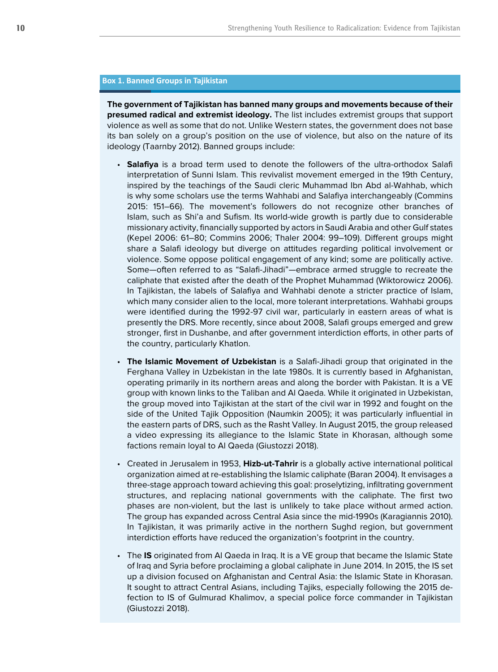### **Box 1. Banned Groups in Tajikistan**

**The government of Tajikistan has banned many groups and movements because of their presumed radical and extremist ideology.** The list includes extremist groups that support violence as well as some that do not. Unlike Western states, the government does not base its ban solely on a group's position on the use of violence, but also on the nature of its ideology (Taarnby 2012). Banned groups include:

- **Salafiya** is a broad term used to denote the followers of the ultra-orthodox Salafi interpretation of Sunni Islam. This revivalist movement emerged in the 19th Century, inspired by the teachings of the Saudi cleric Muhammad Ibn Abd al-Wahhab, which is why some scholars use the terms Wahhabi and Salafiya interchangeably (Commins 2015: 151–66). The movement's followers do not recognize other branches of Islam, such as Shi'a and Sufism. Its world-wide growth is partly due to considerable missionary activity, financially supported by actors in Saudi Arabia and other Gulf states (Kepel 2006: 61–80; Commins 2006; Thaler 2004: 99–109). Different groups might share a Salafi ideology but diverge on attitudes regarding political involvement or violence. Some oppose political engagement of any kind; some are politically active. Some—often referred to as "Salafi-Jihadi"—embrace armed struggle to recreate the caliphate that existed after the death of the Prophet Muhammad (Wiktorowicz 2006). In Tajikistan, the labels of Salafiya and Wahhabi denote a stricter practice of Islam, which many consider alien to the local, more tolerant interpretations. Wahhabi groups were identified during the 1992-97 civil war, particularly in eastern areas of what is presently the DRS. More recently, since about 2008, Salafi groups emerged and grew stronger, first in Dushanbe, and after government interdiction efforts, in other parts of the country, particularly Khatlon.
- **The Islamic Movement of Uzbekistan** is a Salafi-Jihadi group that originated in the Ferghana Valley in Uzbekistan in the late 1980s. It is currently based in Afghanistan, operating primarily in its northern areas and along the border with Pakistan. It is a VE group with known links to the Taliban and Al Qaeda. While it originated in Uzbekistan, the group moved into Tajikistan at the start of the civil war in 1992 and fought on the side of the United Tajik Opposition (Naumkin 2005); it was particularly influential in the eastern parts of DRS, such as the Rasht Valley. In August 2015, the group released a video expressing its allegiance to the Islamic State in Khorasan, although some factions remain loyal to Al Qaeda (Giustozzi 2018).
- Created in Jerusalem in 1953, **Hizb-ut-Tahrir** is a globally active international political organization aimed at re-establishing the Islamic caliphate (Baran 2004). It envisages a three-stage approach toward achieving this goal: proselytizing, infiltrating government structures, and replacing national governments with the caliphate. The first two phases are non-violent, but the last is unlikely to take place without armed action. The group has expanded across Central Asia since the mid-1990s (Karagiannis 2010). In Tajikistan, it was primarily active in the northern Sughd region, but government interdiction efforts have reduced the organization's footprint in the country.
- The **IS** originated from Al Qaeda in Iraq. It is a VE group that became the Islamic State of Iraq and Syria before proclaiming a global caliphate in June 2014. In 2015, the IS set up a division focused on Afghanistan and Central Asia: the Islamic State in Khorasan. It sought to attract Central Asians, including Tajiks, especially following the 2015 defection to IS of Gulmurad Khalimov, a special police force commander in Tajikistan (Giustozzi 2018).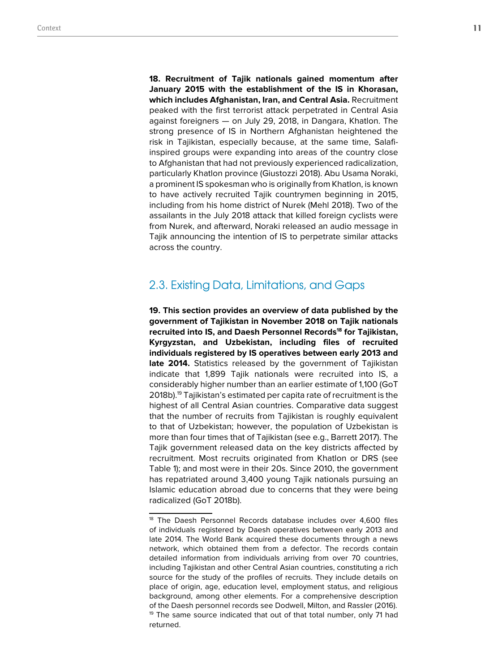**18. Recruitment of Tajik nationals gained momentum after January 2015 with the establishment of the IS in Khorasan, which includes Afghanistan, Iran, and Central Asia.** Recruitment peaked with the first terrorist attack perpetrated in Central Asia against foreigners — on July 29, 2018, in Dangara, Khatlon. The strong presence of IS in Northern Afghanistan heightened the risk in Tajikistan, especially because, at the same time, Salafiinspired groups were expanding into areas of the country close to Afghanistan that had not previously experienced radicalization, particularly Khatlon province (Giustozzi 2018). Abu Usama Noraki, a prominent IS spokesman who is originally from Khatlon, is known to have actively recruited Tajik countrymen beginning in 2015, including from his home district of Nurek (Mehl 2018). Two of the assailants in the July 2018 attack that killed foreign cyclists were from Nurek, and afterward, Noraki released an audio message in Tajik announcing the intention of IS to perpetrate similar attacks across the country.

## 2.3. Existing Data, Limitations, and Gaps

**19. This section provides an overview of data published by the government of Tajikistan in November 2018 on Tajik nationals**  recruited into IS, and Daesh Personnel Records<sup>18</sup> for Tajikistan, **Kyrgyzstan, and Uzbekistan, including files of recruited individuals registered by IS operatives between early 2013 and late 2014.** Statistics released by the government of Tajikistan indicate that 1,899 Tajik nationals were recruited into IS, a considerably higher number than an earlier estimate of 1,100 (GoT 2018b).19 Tajikistan's estimated per capita rate of recruitment is the highest of all Central Asian countries. Comparative data suggest that the number of recruits from Tajikistan is roughly equivalent to that of Uzbekistan; however, the population of Uzbekistan is more than four times that of Tajikistan (see e.g., Barrett 2017). The Tajik government released data on the key districts affected by recruitment. Most recruits originated from Khatlon or DRS (see Table 1); and most were in their 20s. Since 2010, the government has repatriated around 3,400 young Tajik nationals pursuing an Islamic education abroad due to concerns that they were being radicalized (GoT 2018b).

<sup>&</sup>lt;sup>18</sup> The Daesh Personnel Records database includes over 4,600 files of individuals registered by Daesh operatives between early 2013 and late 2014. The World Bank acquired these documents through a news network, which obtained them from a defector. The records contain detailed information from individuals arriving from over 70 countries, including Tajikistan and other Central Asian countries, constituting a rich source for the study of the profiles of recruits. They include details on place of origin, age, education level, employment status, and religious background, among other elements. For a comprehensive description of the Daesh personnel records see Dodwell, Milton, and Rassler (2016). <sup>19</sup> The same source indicated that out of that total number, only 71 had returned.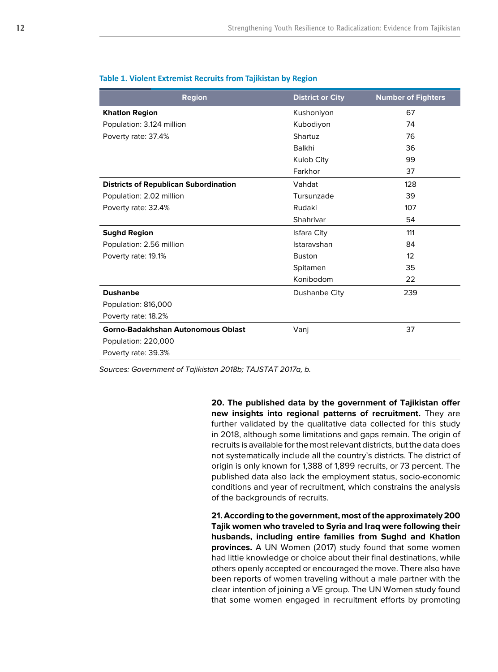| <b>Region</b>                                | <b>District or City</b> | <b>Number of Fighters</b> |
|----------------------------------------------|-------------------------|---------------------------|
| <b>Khatlon Region</b>                        | Kushoniyon              | 67                        |
| Population: 3.124 million                    | Kubodiyon               | 74                        |
| Poverty rate: 37.4%                          | Shartuz                 | 76                        |
|                                              | Balkhi                  | 36                        |
|                                              | Kulob City              | 99                        |
|                                              | Farkhor                 | 37                        |
| <b>Districts of Republican Subordination</b> | Vahdat                  | 128                       |
| Population: 2.02 million                     | Tursunzade              | 39                        |
| Poverty rate: 32.4%                          | Rudaki                  | 107                       |
|                                              | Shahrivar               | 54                        |
| <b>Sughd Region</b>                          | <b>Isfara City</b>      | 111                       |
| Population: 2.56 million                     | Istaravshan             | 84                        |
| Poverty rate: 19.1%                          | <b>Buston</b>           | 12                        |
|                                              | Spitamen                | 35                        |
|                                              | Konibodom               | 22                        |
| <b>Dushanbe</b>                              | Dushanbe City           | 239                       |
| Population: 816,000                          |                         |                           |
| Poverty rate: 18.2%                          |                         |                           |
| Gorno-Badakhshan Autonomous Oblast           | Vanj                    | 37                        |
| Population: 220,000                          |                         |                           |
| Poverty rate: 39.3%                          |                         |                           |

#### **Table 1. Violent Extremist Recruits from Tajikistan by Region**

Sources: Government of Tajikistan 2018b; TAJSTAT 2017a, b.

**20. The published data by the government of Tajikistan offer new insights into regional patterns of recruitment.** They are further validated by the qualitative data collected for this study in 2018, although some limitations and gaps remain. The origin of recruits is available for the most relevant districts, but the data does not systematically include all the country's districts. The district of origin is only known for 1,388 of 1,899 recruits, or 73 percent. The published data also lack the employment status, socio-economic conditions and year of recruitment, which constrains the analysis of the backgrounds of recruits.

**21. According to the government, most of the approximately 200 Tajik women who traveled to Syria and Iraq were following their husbands, including entire families from Sughd and Khatlon provinces.** A UN Women (2017) study found that some women had little knowledge or choice about their final destinations, while others openly accepted or encouraged the move. There also have been reports of women traveling without a male partner with the clear intention of joining a VE group. The UN Women study found that some women engaged in recruitment efforts by promoting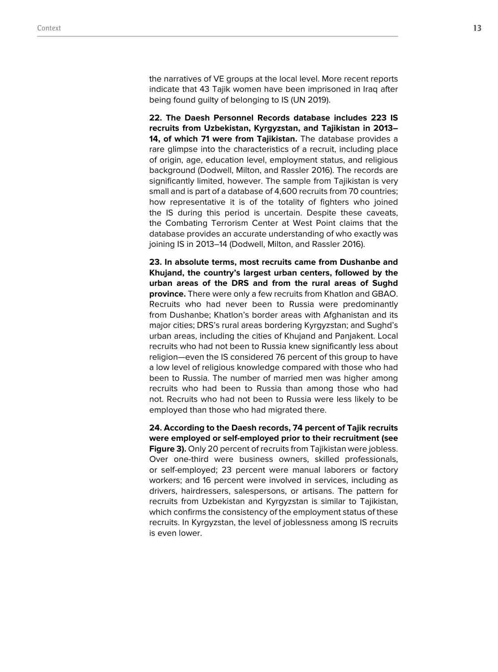the narratives of VE groups at the local level. More recent reports indicate that 43 Tajik women have been imprisoned in Iraq after being found guilty of belonging to IS (UN 2019).

**22. The Daesh Personnel Records database includes 223 IS recruits from Uzbekistan, Kyrgyzstan, and Tajikistan in 2013– 14, of which 71 were from Tajikistan.** The database provides a rare glimpse into the characteristics of a recruit, including place of origin, age, education level, employment status, and religious background (Dodwell, Milton, and Rassler 2016). The records are significantly limited, however. The sample from Tajikistan is very small and is part of a database of 4,600 recruits from 70 countries; how representative it is of the totality of fighters who joined the IS during this period is uncertain. Despite these caveats, the Combating Terrorism Center at West Point claims that the database provides an accurate understanding of who exactly was joining IS in 2013–14 (Dodwell, Milton, and Rassler 2016).

**23. In absolute terms, most recruits came from Dushanbe and Khujand, the country's largest urban centers, followed by the urban areas of the DRS and from the rural areas of Sughd province.** There were only a few recruits from Khatlon and GBAO. Recruits who had never been to Russia were predominantly from Dushanbe; Khatlon's border areas with Afghanistan and its major cities; DRS's rural areas bordering Kyrgyzstan; and Sughd's urban areas, including the cities of Khujand and Panjakent. Local recruits who had not been to Russia knew significantly less about religion—even the IS considered 76 percent of this group to have a low level of religious knowledge compared with those who had been to Russia. The number of married men was higher among recruits who had been to Russia than among those who had not. Recruits who had not been to Russia were less likely to be employed than those who had migrated there.

**24. According to the Daesh records, 74 percent of Tajik recruits were employed or self-employed prior to their recruitment (see Figure 3).** Only 20 percent of recruits from Tajikistan were jobless. Over one-third were business owners, skilled professionals, or self-employed; 23 percent were manual laborers or factory workers; and 16 percent were involved in services, including as drivers, hairdressers, salespersons, or artisans. The pattern for recruits from Uzbekistan and Kyrgyzstan is similar to Tajikistan, which confirms the consistency of the employment status of these recruits. In Kyrgyzstan, the level of joblessness among IS recruits is even lower.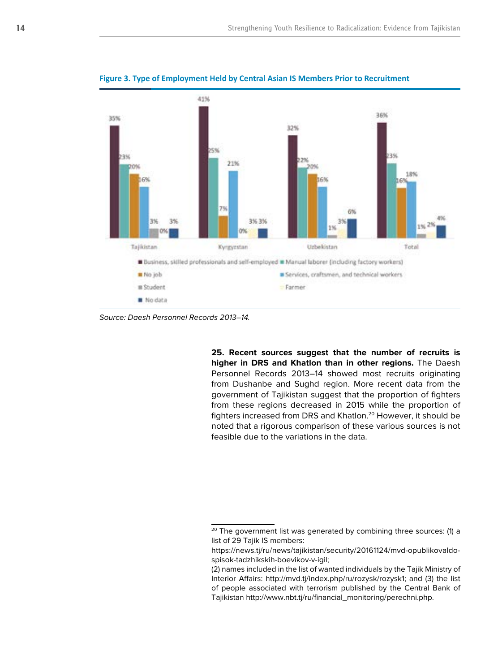

**Figure 3. Type of Employment Held by Central Asian IS Members Prior to Recruitment**

Source: Daesh Personnel Records 2013–14.

**25. Recent sources suggest that the number of recruits is higher in DRS and Khatlon than in other regions.** The Daesh Personnel Records 2013–14 showed most recruits originating from Dushanbe and Sughd region. More recent data from the government of Tajikistan suggest that the proportion of fighters from these regions decreased in 2015 while the proportion of fighters increased from DRS and Khatlon.<sup>20</sup> However, it should be noted that a rigorous comparison of these various sources is not feasible due to the variations in the data.

 $20$  The government list was generated by combining three sources: (1) a list of 29 Tajik IS members:

https://news.tj/ru/news/tajikistan/security/20161124/mvd-opublikovaldospisok-tadzhikskih-boevikov-v-igil;

<sup>(2)</sup> names included in the list of wanted individuals by the Tajik Ministry of Interior Affairs: http://mvd.tj/index.php/ru/rozysk/rozysk1; and (3) the list of people associated with terrorism published by the Central Bank of Tajikistan http://www.nbt.tj/ru/financial\_monitoring/perechni.php.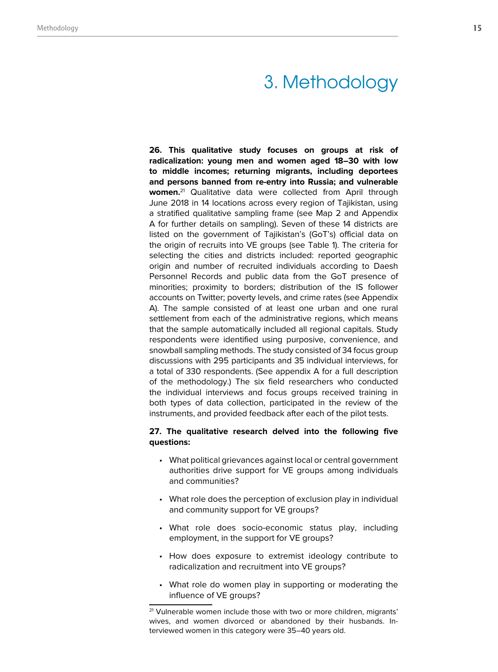# 3. Methodology

**26. This qualitative study focuses on groups at risk of radicalization: young men and women aged 18–30 with low to middle incomes; returning migrants, including deportees and persons banned from re-entry into Russia; and vulnerable women.**21 Qualitative data were collected from April through June 2018 in 14 locations across every region of Tajikistan, using a stratified qualitative sampling frame (see Map 2 and Appendix A for further details on sampling). Seven of these 14 districts are listed on the government of Tajikistan's (GoT's) official data on the origin of recruits into VE groups (see Table 1). The criteria for selecting the cities and districts included: reported geographic origin and number of recruited individuals according to Daesh Personnel Records and public data from the GoT presence of minorities; proximity to borders; distribution of the IS follower accounts on Twitter; poverty levels, and crime rates (see Appendix A). The sample consisted of at least one urban and one rural settlement from each of the administrative regions, which means that the sample automatically included all regional capitals. Study respondents were identified using purposive, convenience, and snowball sampling methods. The study consisted of 34 focus group discussions with 295 participants and 35 individual interviews, for a total of 330 respondents. (See appendix A for a full description of the methodology.) The six field researchers who conducted the individual interviews and focus groups received training in both types of data collection, participated in the review of the instruments, and provided feedback after each of the pilot tests.

### **27. The qualitative research delved into the following five questions:**

- What political grievances against local or central government authorities drive support for VE groups among individuals and communities?
- What role does the perception of exclusion play in individual and community support for VE groups?
- What role does socio-economic status play, including employment, in the support for VE groups?
- How does exposure to extremist ideology contribute to radicalization and recruitment into VE groups?
- What role do women play in supporting or moderating the influence of VE groups?

<sup>&</sup>lt;sup>21</sup> Vulnerable women include those with two or more children, migrants' wives, and women divorced or abandoned by their husbands. Interviewed women in this category were 35–40 years old.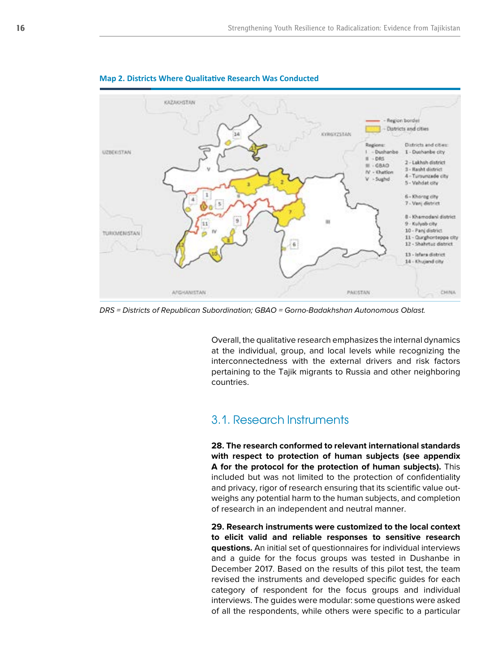

#### **Map 2. Districts Where Qualitative Research Was Conducted**

DRS = Districts of Republican Subordination; GBAO = Gorno-Badakhshan Autonomous Oblast.

Overall, the qualitative research emphasizes the internal dynamics at the individual, group, and local levels while recognizing the interconnectedness with the external drivers and risk factors pertaining to the Tajik migrants to Russia and other neighboring countries.

# 3.1. Research Instruments

**28. The research conformed to relevant international standards with respect to protection of human subjects (see appendix A for the protocol for the protection of human subjects).** This included but was not limited to the protection of confidentiality and privacy, rigor of research ensuring that its scientific value outweighs any potential harm to the human subjects, and completion of research in an independent and neutral manner.

**29. Research instruments were customized to the local context to elicit valid and reliable responses to sensitive research questions.** An initial set of questionnaires for individual interviews and a guide for the focus groups was tested in Dushanbe in December 2017. Based on the results of this pilot test, the team revised the instruments and developed specific guides for each category of respondent for the focus groups and individual interviews. The guides were modular: some questions were asked of all the respondents, while others were specific to a particular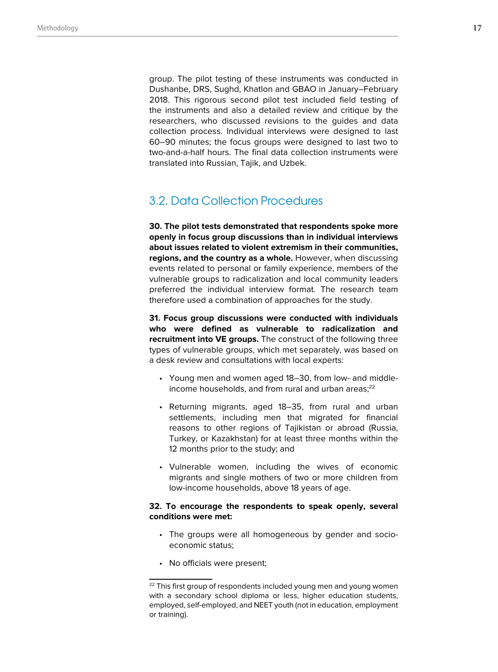group. The pilot testing of these instruments was conducted in Dushanbe, DRS, Sughd, Khatlon and GBAO in January–February 2018. This rigorous second pilot test included field testing of the instruments and also a detailed review and critique by the researchers, who discussed revisions to the guides and data collection process. Individual interviews were designed to last 60–90 minutes; the focus groups were designed to last two to two-and-a-half hours. The final data collection instruments were translated into Russian, Tajik, and Uzbek.

# 3.2. Data Collection Procedures

**30. The pilot tests demonstrated that respondents spoke more openly in focus group discussions than in individual interviews about issues related to violent extremism in their communities, regions, and the country as a whole.** However, when discussing events related to personal or family experience, members of the vulnerable groups to radicalization and local community leaders preferred the individual interview format. The research team therefore used a combination of approaches for the study.

**31. Focus group discussions were conducted with individuals who were defined as vulnerable to radicalization and recruitment into VE groups.** The construct of the following three types of vulnerable groups, which met separately, was based on a desk review and consultations with local experts:

- Young men and women aged 18–30, from low- and middleincome households, and from rural and urban areas; $^{22}$
- Returning migrants, aged 18–35, from rural and urban settlements, including men that migrated for financial reasons to other regions of Tajikistan or abroad (Russia, Turkey, or Kazakhstan) for at least three months within the 12 months prior to the study; and
- Vulnerable women, including the wives of economic migrants and single mothers of two or more children from low-income households, above 18 years of age.

### **32. To encourage the respondents to speak openly, several conditions were met:**

- The groups were all homogeneous by gender and socioeconomic status;
- No officials were present;

<sup>&</sup>lt;sup>22</sup> This first group of respondents included young men and young women with a secondary school diploma or less, higher education students, employed, self-employed, and NEET youth (not in education, employment or training).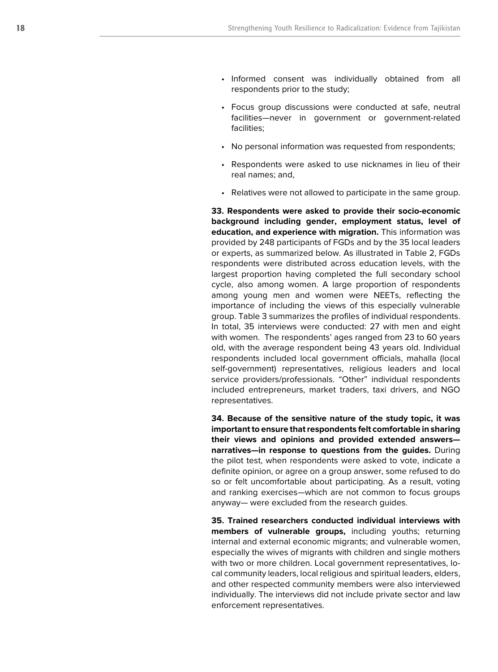- Informed consent was individually obtained from all respondents prior to the study;
- Focus group discussions were conducted at safe, neutral facilities—never in government or government-related facilities;
- No personal information was requested from respondents;
- Respondents were asked to use nicknames in lieu of their real names; and,
- Relatives were not allowed to participate in the same group.

**33. Respondents were asked to provide their socio-economic background including gender, employment status, level of education, and experience with migration.** This information was provided by 248 participants of FGDs and by the 35 local leaders or experts, as summarized below. As illustrated in Table 2, FGDs respondents were distributed across education levels, with the largest proportion having completed the full secondary school cycle, also among women. A large proportion of respondents among young men and women were NEETs, reflecting the importance of including the views of this especially vulnerable group. Table 3 summarizes the profiles of individual respondents. In total, 35 interviews were conducted: 27 with men and eight with women. The respondents' ages ranged from 23 to 60 years old, with the average respondent being 43 years old. Individual respondents included local government officials, mahalla (local self-government) representatives, religious leaders and local service providers/professionals. "Other" individual respondents included entrepreneurs, market traders, taxi drivers, and NGO representatives.

**34. Because of the sensitive nature of the study topic, it was important to ensure that respondents felt comfortable in sharing their views and opinions and provided extended answers narratives—in response to questions from the guides.** During the pilot test, when respondents were asked to vote, indicate a definite opinion, or agree on a group answer, some refused to do so or felt uncomfortable about participating. As a result, voting and ranking exercises—which are not common to focus groups anyway— were excluded from the research guides.

**35. Trained researchers conducted individual interviews with members of vulnerable groups,** including youths; returning internal and external economic migrants; and vulnerable women, especially the wives of migrants with children and single mothers with two or more children. Local government representatives, local community leaders, local religious and spiritual leaders, elders, and other respected community members were also interviewed individually. The interviews did not include private sector and law enforcement representatives.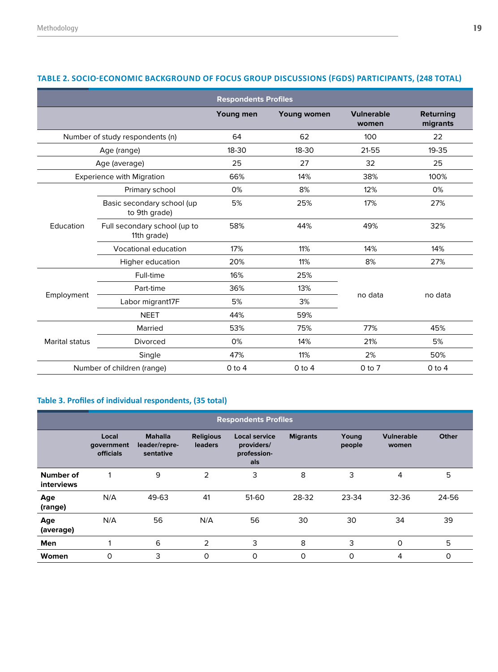| <b>Respondents Profiles</b>      |                                             |           |                    |                            |                       |  |  |  |  |
|----------------------------------|---------------------------------------------|-----------|--------------------|----------------------------|-----------------------|--|--|--|--|
|                                  |                                             | Young men | <b>Young women</b> | <b>Vulnerable</b><br>women | Returning<br>migrants |  |  |  |  |
| Number of study respondents (n)  |                                             | 64        | 62                 | 100                        | 22                    |  |  |  |  |
| Age (range)                      |                                             | $18 - 30$ | 18-30              | 21-55                      | $19 - 35$             |  |  |  |  |
| Age (average)                    |                                             | 25        | 27                 | 32                         | 25                    |  |  |  |  |
| <b>Experience with Migration</b> |                                             | 66%       | 14%                | 38%                        | 100%                  |  |  |  |  |
| Education                        | Primary school                              | 0%        | 8%                 | 12%                        | 0%                    |  |  |  |  |
|                                  | Basic secondary school (up<br>to 9th grade) | 5%        | 25%                | 17%                        | 27%                   |  |  |  |  |
|                                  | Full secondary school (up to<br>11th grade) | 58%       | 44%                | 49%                        | 32%                   |  |  |  |  |
|                                  | <b>Vocational education</b>                 | 17%       | 11%                | 14%                        | 14%                   |  |  |  |  |
|                                  | Higher education                            | 20%       | 11%                | 8%                         | 27%                   |  |  |  |  |
| Employment                       | Full-time                                   | 16%       | 25%                |                            |                       |  |  |  |  |
|                                  | Part-time                                   | 36%       | 13%                | no data                    | no data               |  |  |  |  |
|                                  | Labor migrant17F                            | 5%        | 3%                 |                            |                       |  |  |  |  |
|                                  | <b>NEET</b>                                 | 44%       | 59%                |                            |                       |  |  |  |  |
| <b>Marital status</b>            | Married                                     | 53%       | 75%                | 77%                        | 45%                   |  |  |  |  |
|                                  | <b>Divorced</b>                             | 0%        | 14%                | 21%                        | 5%                    |  |  |  |  |
|                                  | Single                                      | 47%       | 11%                | 2%                         | 50%                   |  |  |  |  |
| Number of children (range)       |                                             | $0$ to 4  | $0$ to 4           | $0$ to $7$                 | $0$ to 4              |  |  |  |  |

# **TABLE 2. SOCIO-ECONOMIC BACKGROUND OF FOCUS GROUP DISCUSSIONS (FGDS) PARTICIPANTS, (248 TOTAL)**

# **Table 3. Profiles of individual respondents, (35 total)**

|                         | <b>Respondents Profiles</b>             |                                              |                                    |                                                          |                 |                 |                            |       |  |  |  |
|-------------------------|-----------------------------------------|----------------------------------------------|------------------------------------|----------------------------------------------------------|-----------------|-----------------|----------------------------|-------|--|--|--|
|                         | Local<br>government<br><b>officials</b> | <b>Mahalla</b><br>leader/repre-<br>sentative | <b>Religious</b><br><b>leaders</b> | <b>Local service</b><br>providers/<br>profession-<br>als | <b>Migrants</b> | Young<br>people | <b>Vulnerable</b><br>women | Other |  |  |  |
| Number of<br>interviews |                                         | 9                                            | 2                                  | 3                                                        | 8               | 3               | 4                          | 5     |  |  |  |
| Age<br>(range)          | N/A                                     | 49-63                                        | 41                                 | 51-60                                                    | 28-32           | 23-34           | 32-36                      | 24-56 |  |  |  |
| Age<br>(average)        | N/A                                     | 56                                           | N/A                                | 56                                                       | 30              | 30              | 34                         | 39    |  |  |  |
| Men                     |                                         | 6                                            | $\overline{2}$                     | 3                                                        | 8               | 3               | 0                          | 5     |  |  |  |
| Women                   | 0                                       | 3                                            | 0                                  | 0                                                        | 0               | 0               | 4                          | 0     |  |  |  |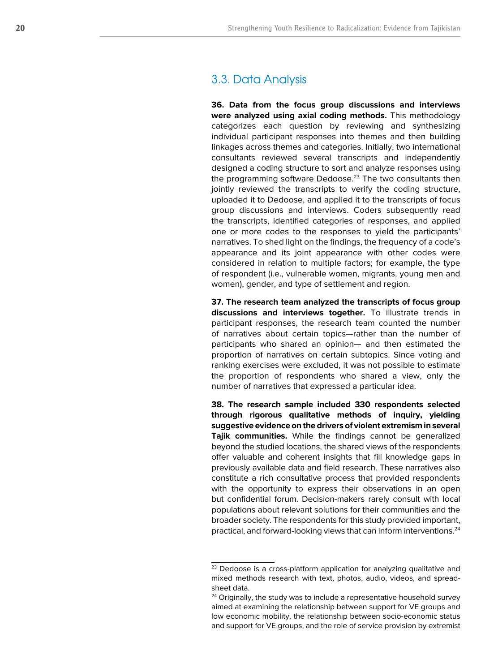# 3.3. Data Analysis

**36. Data from the focus group discussions and interviews were analyzed using axial coding methods.** This methodology categorizes each question by reviewing and synthesizing individual participant responses into themes and then building linkages across themes and categories. Initially, two international consultants reviewed several transcripts and independently designed a coding structure to sort and analyze responses using the programming software Dedoose.<sup>23</sup> The two consultants then jointly reviewed the transcripts to verify the coding structure, uploaded it to Dedoose, and applied it to the transcripts of focus group discussions and interviews. Coders subsequently read the transcripts, identified categories of responses, and applied one or more codes to the responses to yield the participants' narratives. To shed light on the findings, the frequency of a code's appearance and its joint appearance with other codes were considered in relation to multiple factors; for example, the type of respondent (i.e., vulnerable women, migrants, young men and women), gender, and type of settlement and region.

**37. The research team analyzed the transcripts of focus group discussions and interviews together.** To illustrate trends in participant responses, the research team counted the number of narratives about certain topics—rather than the number of participants who shared an opinion— and then estimated the proportion of narratives on certain subtopics. Since voting and ranking exercises were excluded, it was not possible to estimate the proportion of respondents who shared a view, only the number of narratives that expressed a particular idea.

**38. The research sample included 330 respondents selected through rigorous qualitative methods of inquiry, yielding suggestive evidence on the drivers of violent extremism in several Tajik communities.** While the findings cannot be generalized beyond the studied locations, the shared views of the respondents offer valuable and coherent insights that fill knowledge gaps in previously available data and field research. These narratives also constitute a rich consultative process that provided respondents with the opportunity to express their observations in an open but confidential forum. Decision-makers rarely consult with local populations about relevant solutions for their communities and the broader society. The respondents for this study provided important, practical, and forward-looking views that can inform interventions.24

<sup>&</sup>lt;sup>23</sup> Dedoose is a cross-platform application for analyzing qualitative and mixed methods research with text, photos, audio, videos, and spreadsheet data.

<sup>&</sup>lt;sup>24</sup> Originally, the study was to include a representative household survey aimed at examining the relationship between support for VE groups and low economic mobility, the relationship between socio-economic status and support for VE groups, and the role of service provision by extremist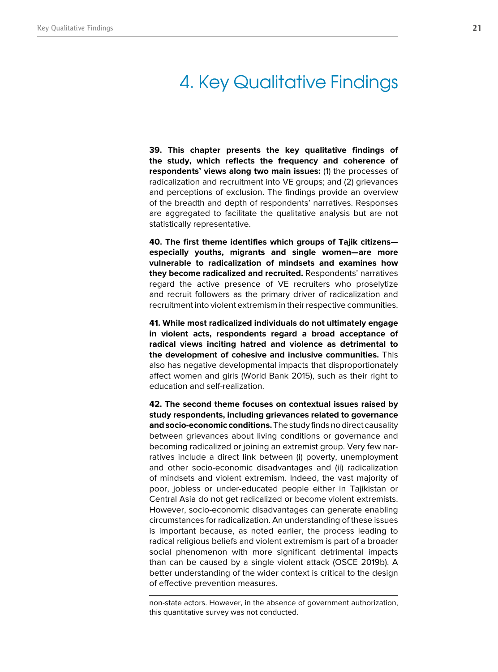# 4. Key Qualitative Findings

**39. This chapter presents the key qualitative findings of the study, which reflects the frequency and coherence of respondents' views along two main issues:** (1) the processes of radicalization and recruitment into VE groups; and (2) grievances and perceptions of exclusion. The findings provide an overview of the breadth and depth of respondents' narratives. Responses are aggregated to facilitate the qualitative analysis but are not statistically representative.

**40. The first theme identifies which groups of Tajik citizens especially youths, migrants and single women—are more vulnerable to radicalization of mindsets and examines how they become radicalized and recruited.** Respondents' narratives regard the active presence of VE recruiters who proselytize and recruit followers as the primary driver of radicalization and recruitment into violent extremism in their respective communities.

**41. While most radicalized individuals do not ultimately engage in violent acts, respondents regard a broad acceptance of radical views inciting hatred and violence as detrimental to the development of cohesive and inclusive communities.** This also has negative developmental impacts that disproportionately affect women and girls (World Bank 2015), such as their right to education and self-realization.

**42. The second theme focuses on contextual issues raised by study respondents, including grievances related to governance and socio-economic conditions.** The study finds no direct causality between grievances about living conditions or governance and becoming radicalized or joining an extremist group. Very few narratives include a direct link between (i) poverty, unemployment and other socio-economic disadvantages and (ii) radicalization of mindsets and violent extremism. Indeed, the vast majority of poor, jobless or under-educated people either in Tajikistan or Central Asia do not get radicalized or become violent extremists. However, socio-economic disadvantages can generate enabling circumstances for radicalization. An understanding of these issues is important because, as noted earlier, the process leading to radical religious beliefs and violent extremism is part of a broader social phenomenon with more significant detrimental impacts than can be caused by a single violent attack (OSCE 2019b). A better understanding of the wider context is critical to the design of effective prevention measures.

non-state actors. However, in the absence of government authorization, this quantitative survey was not conducted.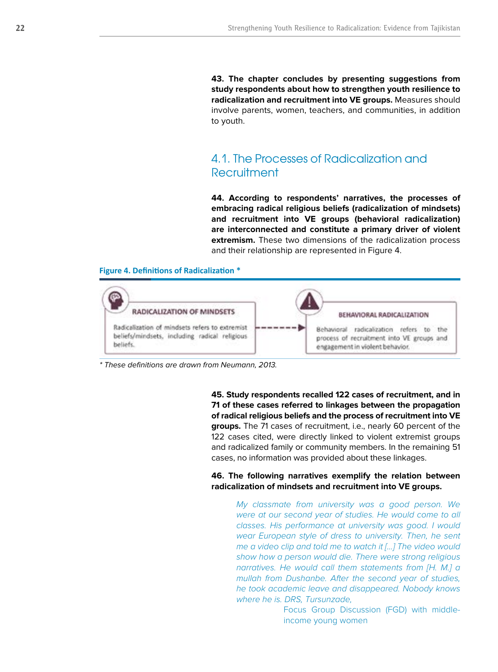**43. The chapter concludes by presenting suggestions from study respondents about how to strengthen youth resilience to radicalization and recruitment into VE groups.** Measures should involve parents, women, teachers, and communities, in addition to youth.

# 4.1. The Processes of Radicalization and **Recruitment**

**44. According to respondents' narratives, the processes of embracing radical religious beliefs (radicalization of mindsets) and recruitment into VE groups (behavioral radicalization) are interconnected and constitute a primary driver of violent extremism.** These two dimensions of the radicalization process and their relationship are represented in Figure 4.

#### **Figure 4. Definitions of Radicalization \***



\* These definitions are drawn from Neumann, 2013.

**45. Study respondents recalled 122 cases of recruitment, and in 71 of these cases referred to linkages between the propagation of radical religious beliefs and the process of recruitment into VE groups.** The 71 cases of recruitment, i.e., nearly 60 percent of the 122 cases cited, were directly linked to violent extremist groups and radicalized family or community members. In the remaining 51 cases, no information was provided about these linkages.

**46. The following narratives exemplify the relation between radicalization of mindsets and recruitment into VE groups.**

*My classmate from university was a good person. We were at our second year of studies. He would come to all classes. His performance at university was good. I would wear European style of dress to university. Then, he sent me a video clip and told me to watch it […] The video would show how a person would die. There were strong religious narratives. He would call them statements from [H. M.] a mullah from Dushanbe. After the second year of studies, he took academic leave and disappeared. Nobody knows where he is. DRS, Tursunzade,* 

> Focus Group Discussion (FGD) with middleincome young women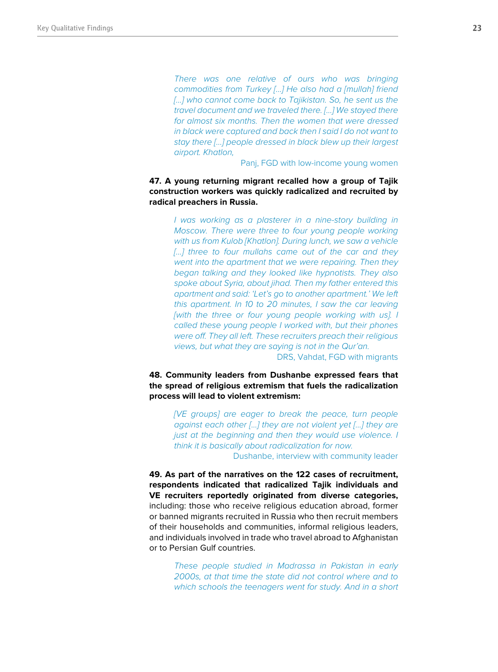*There was one relative of ours who was bringing commodities from Turkey […] He also had a [mullah] friend*  [...] who cannot come back to Tajikistan. So, he sent us the *travel document and we traveled there. […] We stayed there for almost six months. Then the women that were dressed in black were captured and back then I said I do not want to stay there […] people dressed in black blew up their largest airport. Khatlon,* 

Panj, FGD with low-income young women

**47. A young returning migrant recalled how a group of Tajik construction workers was quickly radicalized and recruited by radical preachers in Russia.**

> *I was working as a plasterer in a nine-story building in Moscow. There were three to four young people working with us from Kulob [Khatlon]. During lunch, we saw a vehicle*  [...] three to four mullahs came out of the car and they *went into the apartment that we were repairing. Then they began talking and they looked like hypnotists. They also spoke about Syria, about jihad. Then my father entered this apartment and said: 'Let's go to another apartment.' We left this apartment. In 10 to 20 minutes, I saw the car leaving [with the three or four young people working with us]. I called these young people I worked with, but their phones were off. They all left. These recruiters preach their religious views, but what they are saying is not in the Qur'an.*

DRS, Vahdat, FGD with migrants

**48. Community leaders from Dushanbe expressed fears that the spread of religious extremism that fuels the radicalization process will lead to violent extremism:** 

*[VE groups] are eager to break the peace, turn people against each other […] they are not violent yet […] they are just at the beginning and then they would use violence. I think it is basically about radicalization for now.* 

Dushanbe, interview with community leader

**49. As part of the narratives on the 122 cases of recruitment, respondents indicated that radicalized Tajik individuals and VE recruiters reportedly originated from diverse categories,** including: those who receive religious education abroad, former or banned migrants recruited in Russia who then recruit members of their households and communities, informal religious leaders, and individuals involved in trade who travel abroad to Afghanistan or to Persian Gulf countries.

> *These people studied in Madrassa in Pakistan in early 2000s, at that time the state did not control where and to which schools the teenagers went for study. And in a short*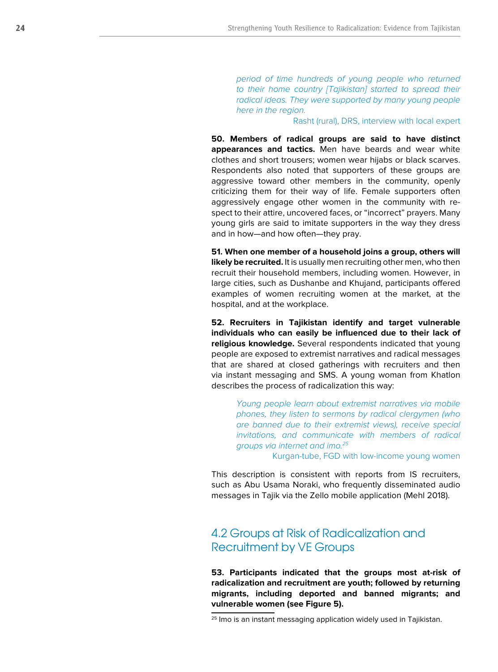*period of time hundreds of young people who returned to their home country [Tajikistan] started to spread their radical ideas. They were supported by many young people here in the region.* 

#### Rasht (rural), DRS, interview with local expert

**50. Members of radical groups are said to have distinct appearances and tactics.** Men have beards and wear white clothes and short trousers; women wear hijabs or black scarves. Respondents also noted that supporters of these groups are aggressive toward other members in the community, openly criticizing them for their way of life. Female supporters often aggressively engage other women in the community with respect to their attire, uncovered faces, or "incorrect" prayers. Many young girls are said to imitate supporters in the way they dress and in how—and how often—they pray.

**51. When one member of a household joins a group, others will likely be recruited.** It is usually men recruiting other men, who then recruit their household members, including women. However, in large cities, such as Dushanbe and Khujand, participants offered examples of women recruiting women at the market, at the hospital, and at the workplace.

**52. Recruiters in Tajikistan identify and target vulnerable individuals who can easily be influenced due to their lack of religious knowledge.** Several respondents indicated that young people are exposed to extremist narratives and radical messages that are shared at closed gatherings with recruiters and then via instant messaging and SMS. A young woman from Khatlon describes the process of radicalization this way:

*Young people learn about extremist narratives via mobile phones, they listen to sermons by radical clergymen (who are banned due to their extremist views), receive special invitations, and communicate with members of radical groups via internet and imo.25*

Kurgan-tube, FGD with low-income young women

This description is consistent with reports from IS recruiters, such as Abu Usama Noraki, who frequently disseminated audio messages in Tajik via the Zello mobile application (Mehl 2018).

# 4.2 Groups at Risk of Radicalization and Recruitment by VE Groups

**53. Participants indicated that the groups most at-risk of radicalization and recruitment are youth; followed by returning migrants, including deported and banned migrants; and vulnerable women (see Figure 5).** 

<sup>&</sup>lt;sup>25</sup> Imo is an instant messaging application widely used in Tajikistan.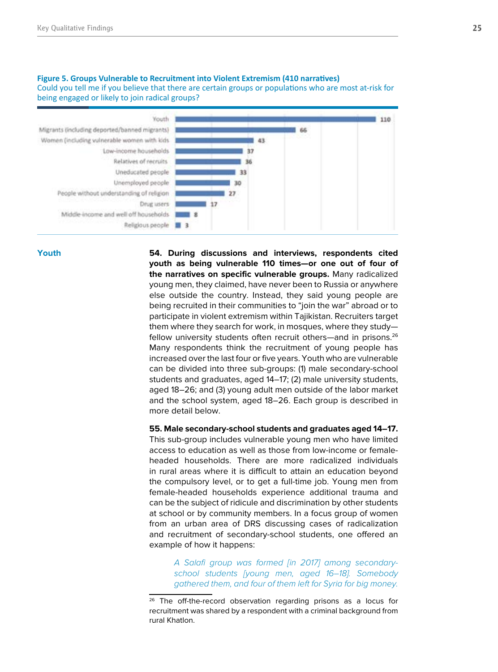#### Youth: 1.110 Migrants (including deported/banned migrants) **A** Women (including vulnerable women with kids  $43$ Low-income households.  $37$ Relatives of recruits 36 Uneducated people 33 Unemployed people  $30<sub>0</sub>$ People without understanding of religion  $37$ Drug users Middle-income and well off households Religious people **1 3**

#### **Figure 5. Groups Vulnerable to Recruitment into Violent Extremism (410 narratives)**

Could you tell me if you believe that there are certain groups or populations who are most at-risk for being engaged or likely to join radical groups?

**Youth** 

**54. During discussions and interviews, respondents cited youth as being vulnerable 110 times—or one out of four of the narratives on specific vulnerable groups.** Many radicalized young men, they claimed, have never been to Russia or anywhere else outside the country. Instead, they said young people are being recruited in their communities to "join the war" abroad or to participate in violent extremism within Tajikistan. Recruiters target them where they search for work, in mosques, where they study fellow university students often recruit others—and in prisons.<sup>26</sup> Many respondents think the recruitment of young people has increased over the last four or five years. Youth who are vulnerable can be divided into three sub-groups: (1) male secondary-school students and graduates, aged 14–17; (2) male university students, aged 18–26; and (3) young adult men outside of the labor market and the school system, aged 18–26. Each group is described in more detail below.

**55. Male secondary-school students and graduates aged 14–17.** 

This sub-group includes vulnerable young men who have limited access to education as well as those from low-income or femaleheaded households. There are more radicalized individuals in rural areas where it is difficult to attain an education beyond the compulsory level, or to get a full-time job. Young men from female-headed households experience additional trauma and can be the subject of ridicule and discrimination by other students at school or by community members. In a focus group of women from an urban area of DRS discussing cases of radicalization and recruitment of secondary-school students, one offered an example of how it happens:

*A Salafi group was formed [in 2017] among secondaryschool students [young men, aged 16–18]. Somebody gathered them, and four of them left for Syria for big money.* 

<sup>&</sup>lt;sup>26</sup> The off-the-record observation regarding prisons as a locus for recruitment was shared by a respondent with a criminal background from rural Khatlon.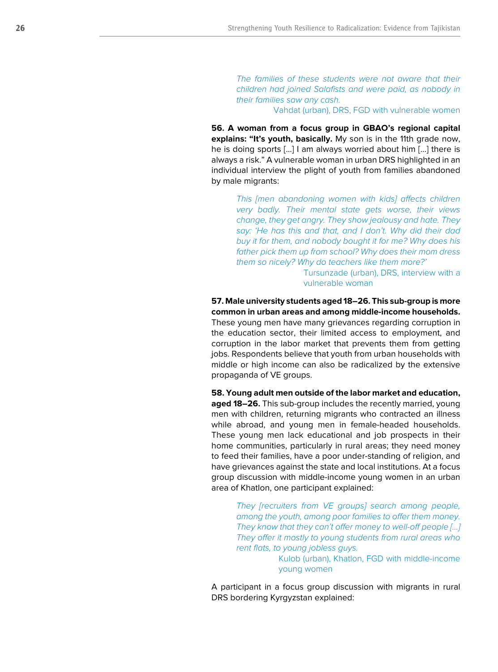*The families of these students were not aware that their children had joined Salafists and were paid, as nobody in their families saw any cash.* 

Vahdat (urban), DRS, FGD with vulnerable women

**56. A woman from a focus group in GBAO's regional capital explains: "It's youth, basically.** My son is in the 11th grade now. he is doing sports […] I am always worried about him […] there is always a risk." A vulnerable woman in urban DRS highlighted in an individual interview the plight of youth from families abandoned by male migrants:

*This [men abandoning women with kids] affects children very badly. Their mental state gets worse, their views change, they get angry. They show jealousy and hate. They say: 'He has this and that, and I don't. Why did their dad buy it for them, and nobody bought it for me? Why does his father pick them up from school? Why does their mom dress them so nicely? Why do teachers like them more?'* 

> Tursunzade (urban), DRS, interview with a vulnerable woman

**57. Male university students aged 18–26. This sub-group is more common in urban areas and among middle-income households.** These young men have many grievances regarding corruption in the education sector, their limited access to employment, and corruption in the labor market that prevents them from getting jobs. Respondents believe that youth from urban households with middle or high income can also be radicalized by the extensive propaganda of VE groups.

**58. Young adult men outside of the labor market and education, aged 18–26.** This sub-group includes the recently married, young men with children, returning migrants who contracted an illness while abroad, and young men in female-headed households. These young men lack educational and job prospects in their home communities, particularly in rural areas; they need money to feed their families, have a poor under-standing of religion, and have grievances against the state and local institutions. At a focus group discussion with middle-income young women in an urban area of Khatlon, one participant explained:

*They [recruiters from VE groups] search among people, among the youth, among poor families to offer them money. They know that they can't offer money to well-off people […] They offer it mostly to young students from rural areas who rent flats, to young jobless guys.* 

> Kulob (urban), Khatlon, FGD with middle-income young women

A participant in a focus group discussion with migrants in rural DRS bordering Kyrgyzstan explained: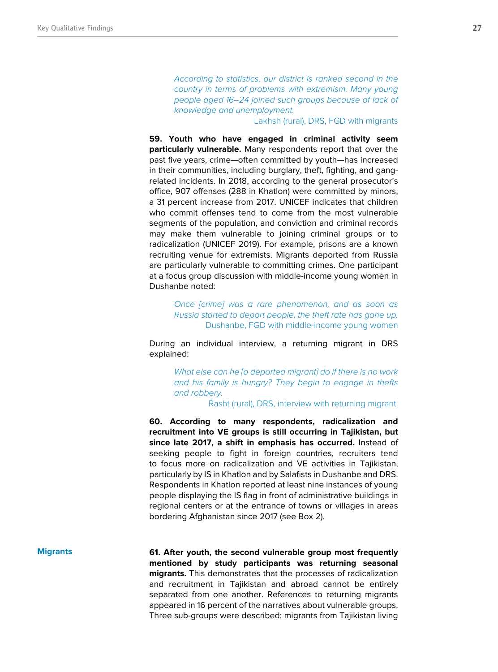*According to statistics, our district is ranked second in the country in terms of problems with extremism. Many young people aged 16–24 joined such groups because of lack of knowledge and unemployment.* 

### Lakhsh (rural), DRS, FGD with migrants

**59. Youth who have engaged in criminal activity seem particularly vulnerable.** Many respondents report that over the past five years, crime—often committed by youth—has increased in their communities, including burglary, theft, fighting, and gangrelated incidents. In 2018, according to the general prosecutor's office, 907 offenses (288 in Khatlon) were committed by minors, a 31 percent increase from 2017. UNICEF indicates that children who commit offenses tend to come from the most vulnerable segments of the population, and conviction and criminal records may make them vulnerable to joining criminal groups or to radicalization (UNICEF 2019). For example, prisons are a known recruiting venue for extremists. Migrants deported from Russia are particularly vulnerable to committing crimes. One participant at a focus group discussion with middle-income young women in Dushanbe noted:

*Once [crime] was a rare phenomenon, and as soon as Russia started to deport people, the theft rate has gone up.*  Dushanbe, FGD with middle-income young women

During an individual interview, a returning migrant in DRS explained:

> *What else can he [a deported migrant] do if there is no work and his family is hungry? They begin to engage in thefts and robbery.*

Rasht (rural), DRS, interview with returning migrant.

**60. According to many respondents, radicalization and recruitment into VE groups is still occurring in Tajikistan, but since late 2017, a shift in emphasis has occurred.** Instead of seeking people to fight in foreign countries, recruiters tend to focus more on radicalization and VE activities in Tajikistan, particularly by IS in Khatlon and by Salafists in Dushanbe and DRS. Respondents in Khatlon reported at least nine instances of young people displaying the IS flag in front of administrative buildings in regional centers or at the entrance of towns or villages in areas bordering Afghanistan since 2017 (see Box 2).

#### **Migrants**

**61. After youth, the second vulnerable group most frequently mentioned by study participants was returning seasonal migrants.** This demonstrates that the processes of radicalization and recruitment in Tajikistan and abroad cannot be entirely separated from one another. References to returning migrants appeared in 16 percent of the narratives about vulnerable groups. Three sub-groups were described: migrants from Tajikistan living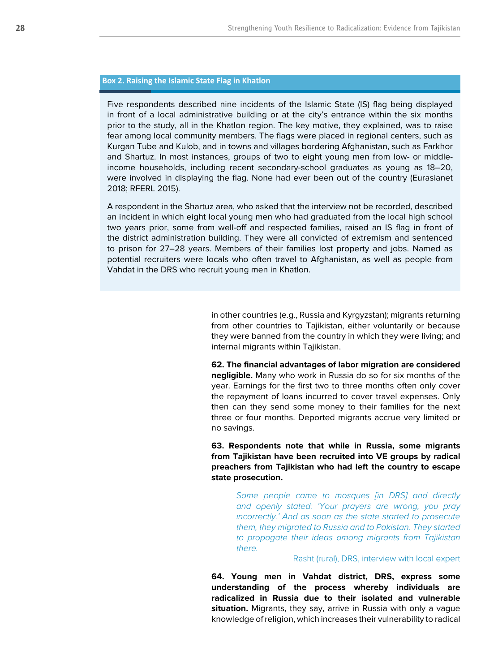## **Box 2. Raising the Islamic State Flag in Khatlon**

Five respondents described nine incidents of the Islamic State (IS) flag being displayed in front of a local administrative building or at the city's entrance within the six months prior to the study, all in the Khatlon region. The key motive, they explained, was to raise fear among local community members. The flags were placed in regional centers, such as Kurgan Tube and Kulob, and in towns and villages bordering Afghanistan, such as Farkhor and Shartuz. In most instances, groups of two to eight young men from low- or middleincome households, including recent secondary-school graduates as young as 18–20, were involved in displaying the flag. None had ever been out of the country (Eurasianet 2018; RFERL 2015).

A respondent in the Shartuz area, who asked that the interview not be recorded, described an incident in which eight local young men who had graduated from the local high school two years prior, some from well-off and respected families, raised an IS flag in front of the district administration building. They were all convicted of extremism and sentenced to prison for 27–28 years. Members of their families lost property and jobs. Named as potential recruiters were locals who often travel to Afghanistan, as well as people from Vahdat in the DRS who recruit young men in Khatlon.

> in other countries (e.g., Russia and Kyrgyzstan); migrants returning from other countries to Tajikistan, either voluntarily or because they were banned from the country in which they were living; and internal migrants within Tajikistan.

> **62. The financial advantages of labor migration are considered negligible.** Many who work in Russia do so for six months of the year. Earnings for the first two to three months often only cover the repayment of loans incurred to cover travel expenses. Only then can they send some money to their families for the next three or four months. Deported migrants accrue very limited or no savings.

> **63. Respondents note that while in Russia, some migrants from Tajikistan have been recruited into VE groups by radical preachers from Tajikistan who had left the country to escape state prosecution.**

*Some people came to mosques [in DRS] and directly and openly stated: 'Your prayers are wrong, you pray incorrectly.' And as soon as the state started to prosecute them, they migrated to Russia and to Pakistan. They started to propagate their ideas among migrants from Tajikistan there.* 

#### Rasht (rural), DRS, interview with local expert

**64. Young men in Vahdat district, DRS, express some understanding of the process whereby individuals are radicalized in Russia due to their isolated and vulnerable situation.** Migrants, they say, arrive in Russia with only a vague knowledge of religion, which increases their vulnerability to radical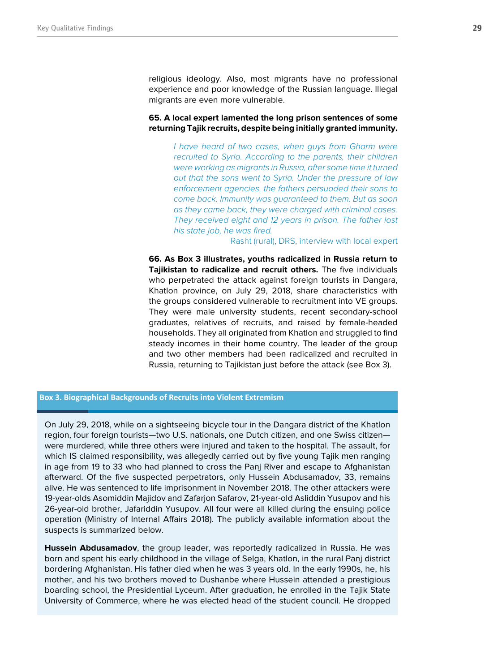religious ideology. Also, most migrants have no professional experience and poor knowledge of the Russian language. Illegal migrants are even more vulnerable.

### **65. A local expert lamented the long prison sentences of some returning Tajik recruits, despite being initially granted immunity.**

*I have heard of two cases, when guys from Gharm were recruited to Syria. According to the parents, their children were working as migrants in Russia, after some time it turned out that the sons went to Syria. Under the pressure of law enforcement agencies, the fathers persuaded their sons to come back. Immunity was guaranteed to them. But as soon as they came back, they were charged with criminal cases. They received eight and 12 years in prison. The father lost his state job, he was fired.* 

Rasht (rural), DRS, interview with local expert

**66. As Box 3 illustrates, youths radicalized in Russia return to Tajikistan to radicalize and recruit others.** The five individuals who perpetrated the attack against foreign tourists in Dangara, Khatlon province, on July 29, 2018, share characteristics with the groups considered vulnerable to recruitment into VE groups. They were male university students, recent secondary-school graduates, relatives of recruits, and raised by female-headed households. They all originated from Khatlon and struggled to find steady incomes in their home country. The leader of the group and two other members had been radicalized and recruited in Russia, returning to Tajikistan just before the attack (see Box 3).

**Box 3. Biographical Backgrounds of Recruits into Violent Extremism** 

On July 29, 2018, while on a sightseeing bicycle tour in the Dangara district of the Khatlon region, four foreign tourists—two U.S. nationals, one Dutch citizen, and one Swiss citizen were murdered, while three others were injured and taken to the hospital. The assault, for which IS claimed responsibility, was allegedly carried out by five young Tajik men ranging in age from 19 to 33 who had planned to cross the Panj River and escape to Afghanistan afterward. Of the five suspected perpetrators, only Hussein Abdusamadov, 33, remains alive. He was sentenced to life imprisonment in November 2018. The other attackers were 19-year-olds Asomiddin Majidov and Zafarjon Safarov, 21-year-old Asliddin Yusupov and his 26-year-old brother, Jafariddin Yusupov. All four were all killed during the ensuing police operation (Ministry of Internal Affairs 2018). The publicly available information about the suspects is summarized below.

**Hussein Abdusamadov**, the group leader, was reportedly radicalized in Russia. He was born and spent his early childhood in the village of Selga, Khatlon, in the rural Panj district bordering Afghanistan. His father died when he was 3 years old. In the early 1990s, he, his mother, and his two brothers moved to Dushanbe where Hussein attended a prestigious boarding school, the Presidential Lyceum. After graduation, he enrolled in the Tajik State University of Commerce, where he was elected head of the student council. He dropped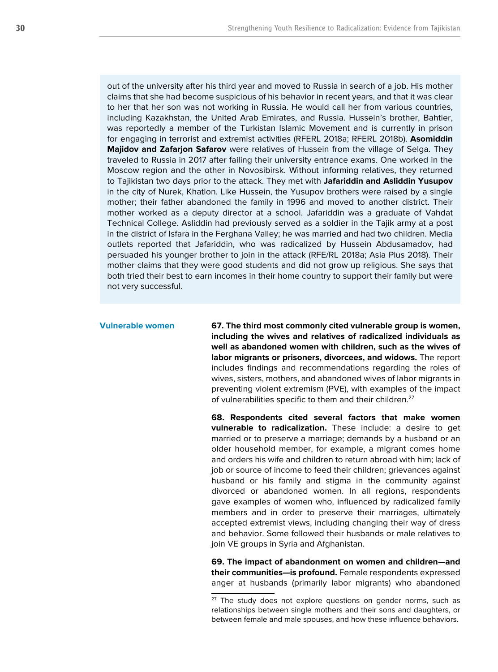out of the university after his third year and moved to Russia in search of a job. His mother claims that she had become suspicious of his behavior in recent years, and that it was clear to her that her son was not working in Russia. He would call her from various countries, including Kazakhstan, the United Arab Emirates, and Russia. Hussein's brother, Bahtier, was reportedly a member of the Turkistan Islamic Movement and is currently in prison for engaging in terrorist and extremist activities (RFERL 2018a; RFERL 2018b). **Asomiddin Majidov and Zafarjon Safarov** were relatives of Hussein from the village of Selga. They traveled to Russia in 2017 after failing their university entrance exams. One worked in the Moscow region and the other in Novosibirsk. Without informing relatives, they returned to Tajikistan two days prior to the attack. They met with **Jafariddin and Asliddin Yusupov** in the city of Nurek, Khatlon. Like Hussein, the Yusupov brothers were raised by a single mother; their father abandoned the family in 1996 and moved to another district. Their mother worked as a deputy director at a school. Jafariddin was a graduate of Vahdat Technical College. Asliddin had previously served as a soldier in the Tajik army at a post in the district of Isfara in the Ferghana Valley; he was married and had two children. Media outlets reported that Jafariddin, who was radicalized by Hussein Abdusamadov, had persuaded his younger brother to join in the attack (RFE/RL 2018a; Asia Plus 2018). Their mother claims that they were good students and did not grow up religious. She says that both tried their best to earn incomes in their home country to support their family but were not very successful.

#### **Vulnerable women**

**67. The third most commonly cited vulnerable group is women, including the wives and relatives of radicalized individuals as well as abandoned women with children, such as the wives of labor migrants or prisoners, divorcees, and widows.** The report includes findings and recommendations regarding the roles of wives, sisters, mothers, and abandoned wives of labor migrants in preventing violent extremism (PVE), with examples of the impact of vulnerabilities specific to them and their children.<sup>27</sup>

**68. Respondents cited several factors that make women vulnerable to radicalization.** These include: a desire to get married or to preserve a marriage; demands by a husband or an older household member, for example, a migrant comes home and orders his wife and children to return abroad with him; lack of job or source of income to feed their children; grievances against husband or his family and stigma in the community against divorced or abandoned women. In all regions, respondents gave examples of women who, influenced by radicalized family members and in order to preserve their marriages, ultimately accepted extremist views, including changing their way of dress and behavior. Some followed their husbands or male relatives to join VE groups in Syria and Afghanistan.

**69. The impact of abandonment on women and children—and their communities—is profound.** Female respondents expressed anger at husbands (primarily labor migrants) who abandoned

<sup>&</sup>lt;sup>27</sup> The study does not explore questions on gender norms, such as relationships between single mothers and their sons and daughters, or between female and male spouses, and how these influence behaviors.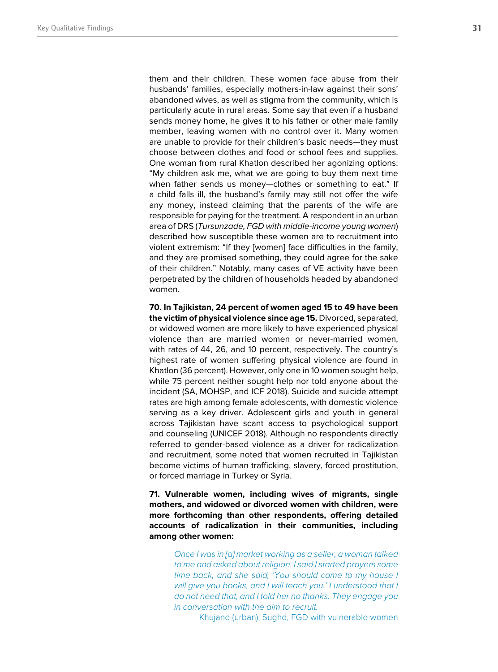them and their children. These women face abuse from their husbands' families, especially mothers-in-law against their sons' abandoned wives, as well as stigma from the community, which is particularly acute in rural areas. Some say that even if a husband sends money home, he gives it to his father or other male family member, leaving women with no control over it. Many women are unable to provide for their children's basic needs—they must choose between clothes and food or school fees and supplies. One woman from rural Khatlon described her agonizing options: "My children ask me, what we are going to buy them next time when father sends us money—clothes or something to eat." If a child falls ill, the husband's family may still not offer the wife any money, instead claiming that the parents of the wife are responsible for paying for the treatment. A respondent in an urban area of DRS (Tursunzade, FGD with middle-income young women) described how susceptible these women are to recruitment into violent extremism: "If they [women] face difficulties in the family, and they are promised something, they could agree for the sake of their children." Notably, many cases of VE activity have been perpetrated by the children of households headed by abandoned women.

**70. In Tajikistan, 24 percent of women aged 15 to 49 have been the victim of physical violence since age 15.** Divorced, separated, or widowed women are more likely to have experienced physical violence than are married women or never-married women, with rates of 44, 26, and 10 percent, respectively. The country's highest rate of women suffering physical violence are found in Khatlon (36 percent). However, only one in 10 women sought help, while 75 percent neither sought help nor told anyone about the incident (SA, MOHSP, and ICF 2018). Suicide and suicide attempt rates are high among female adolescents, with domestic violence serving as a key driver. Adolescent girls and youth in general across Tajikistan have scant access to psychological support and counseling (UNICEF 2018). Although no respondents directly referred to gender-based violence as a driver for radicalization and recruitment, some noted that women recruited in Tajikistan become victims of human trafficking, slavery, forced prostitution, or forced marriage in Turkey or Syria.

**71. Vulnerable women, including wives of migrants, single mothers, and widowed or divorced women with children, were more forthcoming than other respondents, offering detailed accounts of radicalization in their communities, including among other women:**

*Once I was in [a] market working as a seller, a woman talked to me and asked about religion. I said I started prayers some time back, and she said, 'You should come to my house I will give you books, and I will teach you.' I understood that I do not need that, and I told her no thanks. They engage you in conversation with the aim to recruit.* 

Khujand (urban), Sughd, FGD with vulnerable women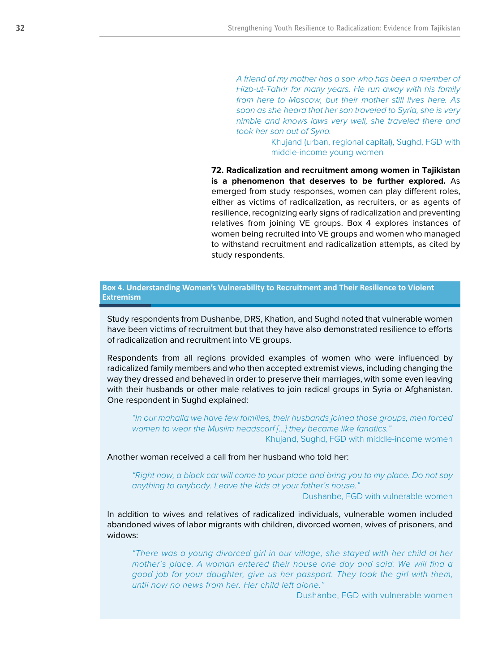*A friend of my mother has a son who has been a member of Hizb-ut-Tahrir for many years. He run away with his family from here to Moscow, but their mother still lives here. As soon as she heard that her son traveled to Syria, she is very nimble and knows laws very well, she traveled there and took her son out of Syria.* 

> Khujand (urban, regional capital), Sughd, FGD with middle-income young women

**72. Radicalization and recruitment among women in Tajikistan is a phenomenon that deserves to be further explored.** As emerged from study responses, women can play different roles, either as victims of radicalization, as recruiters, or as agents of resilience, recognizing early signs of radicalization and preventing relatives from joining VE groups. Box 4 explores instances of women being recruited into VE groups and women who managed to withstand recruitment and radicalization attempts, as cited by study respondents.

### **Box 4. Understanding Women's Vulnerability to Recruitment and Their Resilience to Violent Extremism**

Study respondents from Dushanbe, DRS, Khatlon, and Sughd noted that vulnerable women have been victims of recruitment but that they have also demonstrated resilience to efforts of radicalization and recruitment into VE groups.

Respondents from all regions provided examples of women who were influenced by radicalized family members and who then accepted extremist views, including changing the way they dressed and behaved in order to preserve their marriages, with some even leaving with their husbands or other male relatives to join radical groups in Syria or Afghanistan. One respondent in Sughd explained:

*"In our mahalla we have few families, their husbands joined those groups, men forced women to wear the Muslim headscarf […] they became like fanatics."*  Khujand, Sughd, FGD with middle-income women

Another woman received a call from her husband who told her:

*"Right now, a black car will come to your place and bring you to my place. Do not say anything to anybody. Leave the kids at your father's house."* 

Dushanbe, FGD with vulnerable women

In addition to wives and relatives of radicalized individuals, vulnerable women included abandoned wives of labor migrants with children, divorced women, wives of prisoners, and widows:

*"There was a young divorced girl in our village, she stayed with her child at her mother's place. A woman entered their house one day and said: We will find a good job for your daughter, give us her passport. They took the girl with them, until now no news from her. Her child left alone."* 

Dushanbe, FGD with vulnerable women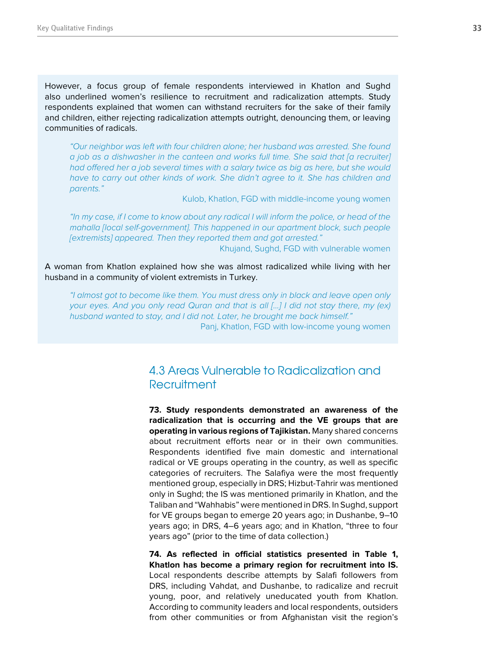However, a focus group of female respondents interviewed in Khatlon and Sughd also underlined women's resilience to recruitment and radicalization attempts. Study respondents explained that women can withstand recruiters for the sake of their family and children, either rejecting radicalization attempts outright, denouncing them, or leaving communities of radicals.

*"Our neighbor was left with four children alone; her husband was arrested. She found a job as a dishwasher in the canteen and works full time. She said that [a recruiter] had offered her a job several times with a salary twice as big as here, but she would*  have to carry out other kinds of work. She didn't agree to it. She has children and *parents."* 

Kulob, Khatlon, FGD with middle-income young women

*"In my case, if I come to know about any radical I will inform the police, or head of the mahalla [local self-government]. This happened in our apartment block, such people [extremists] appeared. Then they reported them and got arrested."* 

Khujand, Sughd, FGD with vulnerable women

A woman from Khatlon explained how she was almost radicalized while living with her husband in a community of violent extremists in Turkey.

*"I almost got to become like them. You must dress only in black and leave open only your eyes. And you only read Quran and that is all […] I did not stay there, my (ex) husband wanted to stay, and I did not. Later, he brought me back himself."*  Panj, Khatlon, FGD with low-income young women

# 4.3 Areas Vulnerable to Radicalization and **Recruitment**

**73. Study respondents demonstrated an awareness of the radicalization that is occurring and the VE groups that are operating in various regions of Tajikistan.** Many shared concerns about recruitment efforts near or in their own communities. Respondents identified five main domestic and international radical or VE groups operating in the country, as well as specific categories of recruiters. The Salafiya were the most frequently mentioned group, especially in DRS; Hizbut-Tahrir was mentioned only in Sughd; the IS was mentioned primarily in Khatlon, and the Taliban and "Wahhabis" were mentioned in DRS. In Sughd, support for VE groups began to emerge 20 years ago; in Dushanbe, 9–10 years ago; in DRS, 4–6 years ago; and in Khatlon, "three to four years ago" (prior to the time of data collection.)

**74. As reflected in official statistics presented in Table 1, Khatlon has become a primary region for recruitment into IS.** Local respondents describe attempts by Salafi followers from DRS, including Vahdat, and Dushanbe, to radicalize and recruit young, poor, and relatively uneducated youth from Khatlon. According to community leaders and local respondents, outsiders from other communities or from Afghanistan visit the region's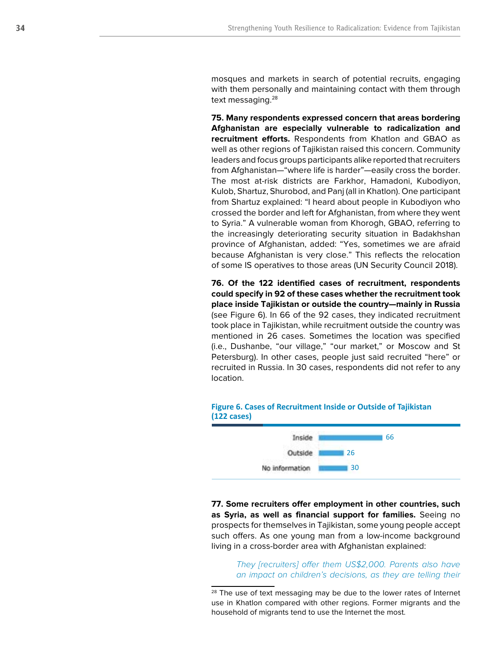mosques and markets in search of potential recruits, engaging with them personally and maintaining contact with them through text messaging.<sup>28</sup>

**75. Many respondents expressed concern that areas bordering Afghanistan are especially vulnerable to radicalization and recruitment efforts.** Respondents from Khatlon and GBAO as well as other regions of Tajikistan raised this concern. Community leaders and focus groups participants alike reported that recruiters from Afghanistan—"where life is harder"—easily cross the border. The most at-risk districts are Farkhor, Hamadoni, Kubodiyon, Kulob, Shartuz, Shurobod, and Panj (all in Khatlon). One participant from Shartuz explained: "I heard about people in Kubodiyon who crossed the border and left for Afghanistan, from where they went to Syria." A vulnerable woman from Khorogh, GBAO, referring to the increasingly deteriorating security situation in Badakhshan province of Afghanistan, added: "Yes, sometimes we are afraid because Afghanistan is very close." This reflects the relocation of some IS operatives to those areas (UN Security Council 2018).

**76. Of the 122 identified cases of recruitment, respondents could specify in 92 of these cases whether the recruitment took place inside Tajikistan or outside the country—mainly in Russia**  (see Figure 6). In 66 of the 92 cases, they indicated recruitment took place in Tajikistan, while recruitment outside the country was mentioned in 26 cases. Sometimes the location was specified (i.e., Dushanbe, "our village," "our market," or Moscow and St Petersburg). In other cases, people just said recruited "here" or recruited in Russia. In 30 cases, respondents did not refer to any location.



## **Figure 6. Cases of Recruitment Inside or Outside of Tajikistan (122 cases)**

**77. Some recruiters offer employment in other countries, such as Syria, as well as financial support for families.** Seeing no prospects for themselves in Tajikistan, some young people accept such offers. As one young man from a low-income background living in a cross-border area with Afghanistan explained:

> *They [recruiters] offer them US\$2,000. Parents also have*  an impact on children's decisions, as they are telling their

<sup>&</sup>lt;sup>28</sup> The use of text messaging may be due to the lower rates of Internet use in Khatlon compared with other regions. Former migrants and the household of migrants tend to use the Internet the most.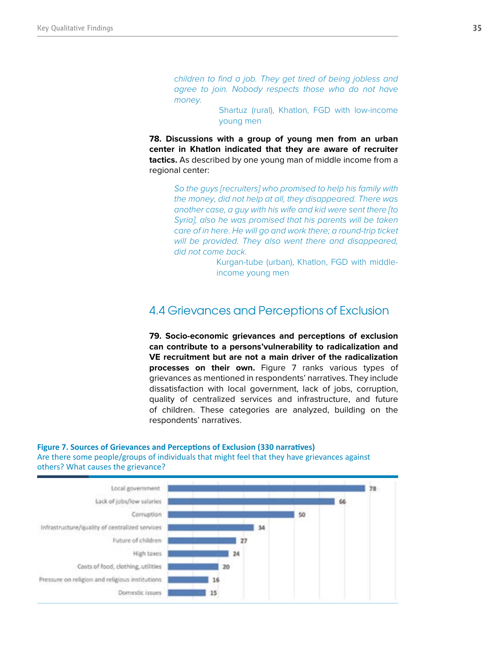*children to find a job. They get tired of being jobless and agree to join. Nobody respects those who do not have money.* 

> Shartuz (rural), Khatlon, FGD with low-income young men

**78. Discussions with a group of young men from an urban center in Khatlon indicated that they are aware of recruiter tactics.** As described by one young man of middle income from a regional center:

> *So the guys [recruiters] who promised to help his family with the money, did not help at all, they disappeared. There was another case, a guy with his wife and kid were sent there [to Syria], also he was promised that his parents will be taken care of in here. He will go and work there; a round-trip ticket will be provided. They also went there and disappeared, did not come back.*

> > Kurgan-tube (urban), Khatlon, FGD with middleincome young men

# 4.4 Grievances and Perceptions of Exclusion

**79. Socio-economic grievances and perceptions of exclusion can contribute to a persons'vulnerability to radicalization and VE recruitment but are not a main driver of the radicalization processes on their own.** Figure 7 ranks various types of grievances as mentioned in respondents' narratives. They include dissatisfaction with local government, lack of jobs, corruption, quality of centralized services and infrastructure, and future of children. These categories are analyzed, building on the respondents' narratives.

## **Figure 7. Sources of Grievances and Perceptions of Exclusion (330 narratives)**

Are there some people/groups of individuals that might feel that they have grievances against others? What causes the grievance?

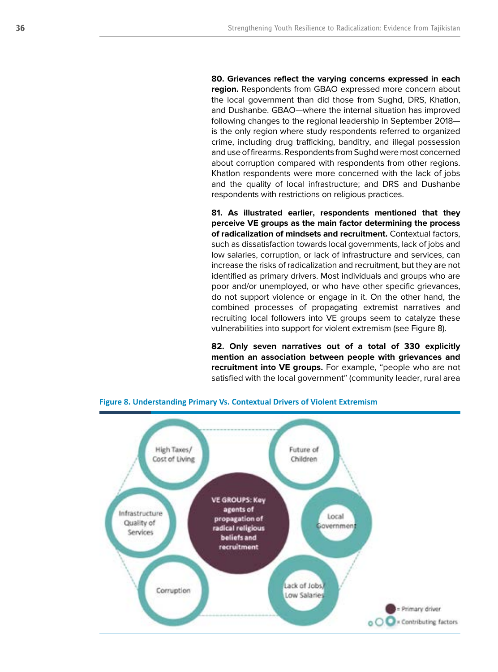**80. Grievances reflect the varying concerns expressed in each region.** Respondents from GBAO expressed more concern about the local government than did those from Sughd, DRS, Khatlon, and Dushanbe. GBAO—where the internal situation has improved following changes to the regional leadership in September 2018 is the only region where study respondents referred to organized crime, including drug trafficking, banditry, and illegal possession and use of firearms. Respondents from Sughd were most concerned about corruption compared with respondents from other regions. Khatlon respondents were more concerned with the lack of jobs and the quality of local infrastructure; and DRS and Dushanbe respondents with restrictions on religious practices.

**81. As illustrated earlier, respondents mentioned that they perceive VE groups as the main factor determining the process of radicalization of mindsets and recruitment.** Contextual factors, such as dissatisfaction towards local governments, lack of jobs and low salaries, corruption, or lack of infrastructure and services, can increase the risks of radicalization and recruitment, but they are not identified as primary drivers. Most individuals and groups who are poor and/or unemployed, or who have other specific grievances, do not support violence or engage in it. On the other hand, the combined processes of propagating extremist narratives and recruiting local followers into VE groups seem to catalyze these vulnerabilities into support for violent extremism (see Figure 8).

**82. Only seven narratives out of a total of 330 explicitly mention an association between people with grievances and recruitment into VE groups.** For example, "people who are not satisfied with the local government" (community leader, rural area



#### **Figure 8. Understanding Primary Vs. Contextual Drivers of Violent Extremism**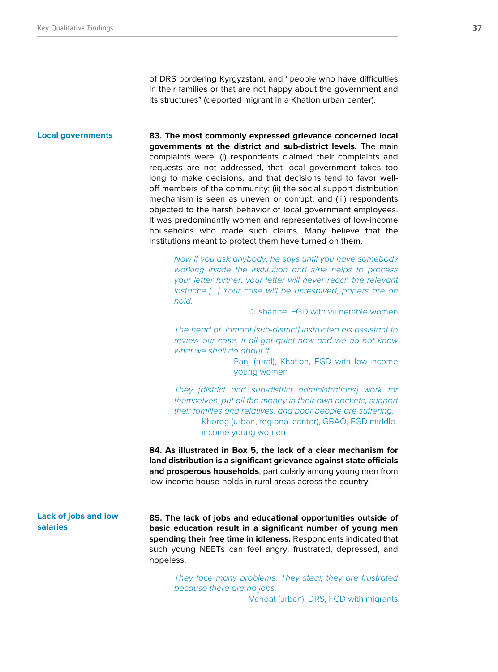of DRS bordering Kyrgyzstan), and "people who have difficulties in their families or that are not happy about the government and its structures" (deported migrant in a Khatlon urban center).

#### **Local governments**

**83. The most commonly expressed grievance concerned local governments at the district and sub-district levels.** The main complaints were: (i) respondents claimed their complaints and requests are not addressed, that local government takes too long to make decisions, and that decisions tend to favor welloff members of the community; (ii) the social support distribution mechanism is seen as uneven or corrupt; and (iii) respondents objected to the harsh behavior of local government employees. It was predominantly women and representatives of low-income households who made such claims. Many believe that the institutions meant to protect them have turned on them.

> *Now if you ask anybody, he says until you have somebody working inside the institution and s/he helps to process your letter further, your letter will never reach the relevant instance […] Your case will be unresolved, papers are on hold.*

> > Dushanbe, FGD with vulnerable women

*The head of Jamoat [sub-district] instructed his assistant to review our case. It all got quiet now and we do not know what we shall do about it.* 

> Panj (rural), Khatlon, FGD with low-income young women

*They [district and sub-district administrations] work for themselves, put all the money in their own pockets, support their families and relatives, and poor people are suffering.*  Khorog (urban, regional center), GBAO, FGD middleincome young women

**84. As illustrated in Box 5, the lack of a clear mechanism for land distribution is a significant grievance against state officials and prosperous households**, particularly among young men from low-income house-holds in rural areas across the country.

### **Lack of jobs and low salaries**

**85. The lack of jobs and educational opportunities outside of basic education result in a significant number of young men spending their free time in idleness.** Respondents indicated that such young NEETs can feel angry, frustrated, depressed, and hopeless.

> *They face many problems. They steal; they are frustrated because there are no jobs.*

Vahdat (urban), DRS, FGD with migrants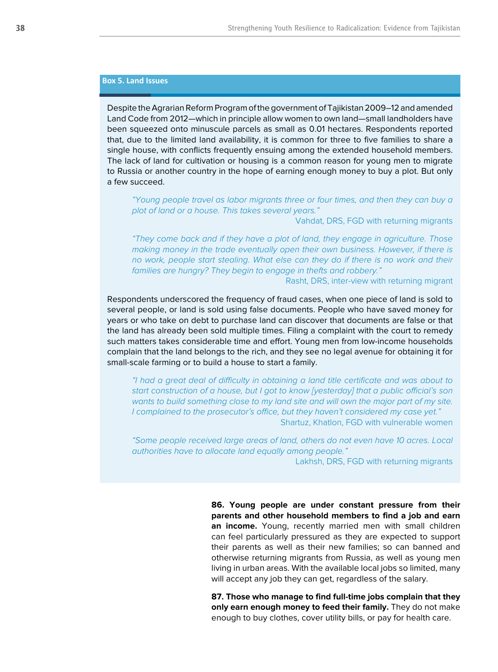### **Box 5. Land Issues**

Despite the Agrarian Reform Program of the government of Tajikistan 2009–12 and amended Land Code from 2012—which in principle allow women to own land—small landholders have been squeezed onto minuscule parcels as small as 0.01 hectares. Respondents reported that, due to the limited land availability, it is common for three to five families to share a single house, with conflicts frequently ensuing among the extended household members. The lack of land for cultivation or housing is a common reason for young men to migrate to Russia or another country in the hope of earning enough money to buy a plot. But only a few succeed.

*"Young people travel as labor migrants three or four times, and then they can buy a plot of land or a house. This takes several years."* 

### Vahdat, DRS, FGD with returning migrants

*"They come back and if they have a plot of land, they engage in agriculture. Those making money in the trade eventually open their own business. However, if there is no work, people start stealing. What else can they do if there is no work and their families are hungry? They begin to engage in thefts and robbery."* 

Rasht, DRS, inter-view with returning migrant

Respondents underscored the frequency of fraud cases, when one piece of land is sold to several people, or land is sold using false documents. People who have saved money for years or who take on debt to purchase land can discover that documents are false or that the land has already been sold multiple times. Filing a complaint with the court to remedy such matters takes considerable time and effort. Young men from low-income households complain that the land belongs to the rich, and they see no legal avenue for obtaining it for small-scale farming or to build a house to start a family.

*"I had a great deal of difficulty in obtaining a land title certificate and was about to start construction of a house, but I got to know [yesterday] that a public official's son wants to build something close to my land site and will own the major part of my site. I complained to the prosecutor's office, but they haven't considered my case yet."*  Shartuz, Khatlon, FGD with vulnerable women

*"Some people received large areas of land, others do not even have 10 acres. Local authorities have to allocate land equally among people."* 

Lakhsh, DRS, FGD with returning migrants

**86. Young people are under constant pressure from their parents and other household members to find a job and earn an income.** Young, recently married men with small children can feel particularly pressured as they are expected to support their parents as well as their new families; so can banned and otherwise returning migrants from Russia, as well as young men living in urban areas. With the available local jobs so limited, many will accept any job they can get, regardless of the salary.

**87. Those who manage to find full-time jobs complain that they only earn enough money to feed their family.** They do not make enough to buy clothes, cover utility bills, or pay for health care.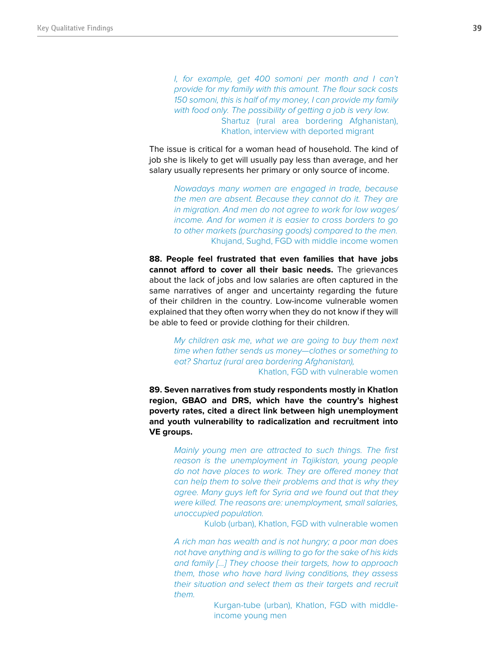*I, for example, get 400 somoni per month and I can't provide for my family with this amount. The flour sack costs 150 somoni, this is half of my money, I can provide my family with food only. The possibility of getting a job is very low.*  Shartuz (rural area bordering Afghanistan), Khatlon, interview with deported migrant

The issue is critical for a woman head of household. The kind of job she is likely to get will usually pay less than average, and her salary usually represents her primary or only source of income.

> *Nowadays many women are engaged in trade, because the men are absent. Because they cannot do it. They are in migration. And men do not agree to work for low wages/ income. And for women it is easier to cross borders to go to other markets (purchasing goods) compared to the men.*  Khujand, Sughd, FGD with middle income women

**88. People feel frustrated that even families that have jobs cannot afford to cover all their basic needs.** The grievances about the lack of jobs and low salaries are often captured in the same narratives of anger and uncertainty regarding the future of their children in the country. Low-income vulnerable women explained that they often worry when they do not know if they will be able to feed or provide clothing for their children.

> *My children ask me, what we are going to buy them next time when father sends us money—clothes or something to eat? Shartuz (rural area bordering Afghanistan),*  Khatlon, FGD with vulnerable women

**89. Seven narratives from study respondents mostly in Khatlon region, GBAO and DRS, which have the country's highest poverty rates, cited a direct link between high unemployment and youth vulnerability to radicalization and recruitment into VE groups.**

> *Mainly young men are attracted to such things. The first reason is the unemployment in Tajikistan, young people do not have places to work. They are offered money that can help them to solve their problems and that is why they agree. Many guys left for Syria and we found out that they were killed. The reasons are: unemployment, small salaries, unoccupied population.*

> > Kulob (urban), Khatlon, FGD with vulnerable women

*A rich man has wealth and is not hungry; a poor man does not have anything and is willing to go for the sake of his kids and family […] They choose their targets, how to approach them, those who have hard living conditions, they assess their situation and select them as their targets and recruit them.* 

> Kurgan-tube (urban), Khatlon, FGD with middleincome young men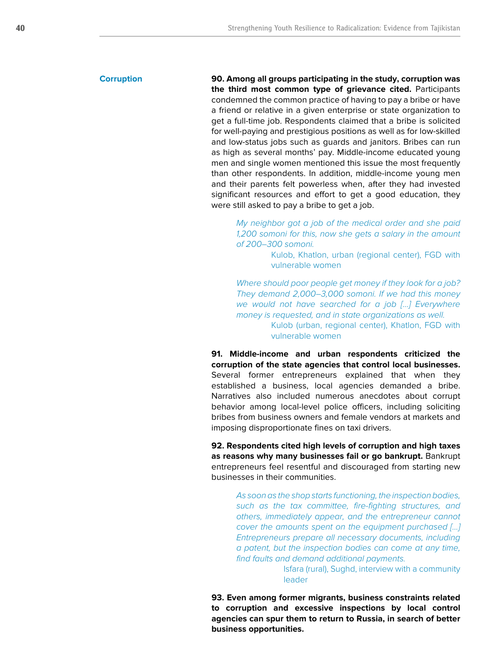#### **Corruption**

**90. Among all groups participating in the study, corruption was the third most common type of grievance cited.** Participants condemned the common practice of having to pay a bribe or have a friend or relative in a given enterprise or state organization to get a full-time job. Respondents claimed that a bribe is solicited for well-paying and prestigious positions as well as for low-skilled and low-status jobs such as guards and janitors. Bribes can run as high as several months' pay. Middle-income educated young men and single women mentioned this issue the most frequently than other respondents. In addition, middle-income young men and their parents felt powerless when, after they had invested significant resources and effort to get a good education, they were still asked to pay a bribe to get a job.

*My neighbor got a job of the medical order and she paid 1,200 somoni for this, now she gets a salary in the amount of 200–300 somoni.* 

> Kulob, Khatlon, urban (regional center), FGD with vulnerable women

*Where should poor people get money if they look for a job? They demand 2,000–3,000 somoni. If we had this money we would not have searched for a job […] Everywhere money is requested, and in state organizations as well.*  Kulob (urban, regional center), Khatlon, FGD with vulnerable women

**91. Middle-income and urban respondents criticized the corruption of the state agencies that control local businesses.** Several former entrepreneurs explained that when they established a business, local agencies demanded a bribe. Narratives also included numerous anecdotes about corrupt behavior among local-level police officers, including soliciting bribes from business owners and female vendors at markets and imposing disproportionate fines on taxi drivers.

**92. Respondents cited high levels of corruption and high taxes as reasons why many businesses fail or go bankrupt.** Bankrupt entrepreneurs feel resentful and discouraged from starting new businesses in their communities.

*As soon as the shop starts functioning, the inspection bodies, such as the tax committee, fire-fighting structures, and others, immediately appear, and the entrepreneur cannot cover the amounts spent on the equipment purchased […] Entrepreneurs prepare all necessary documents, including a patent, but the inspection bodies can come at any time, find faults and demand additional payments.* 

> Isfara (rural), Sughd, interview with a community leader

**93. Even among former migrants, business constraints related to corruption and excessive inspections by local control agencies can spur them to return to Russia, in search of better business opportunities.**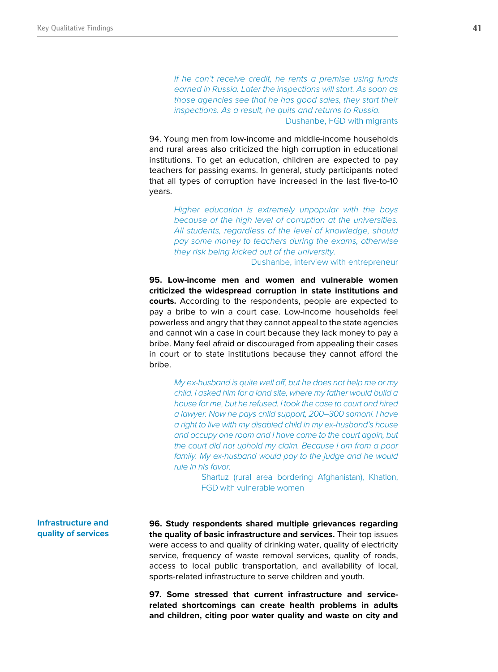*If he can't receive credit, he rents a premise using funds earned in Russia. Later the inspections will start. As soon as those agencies see that he has good sales, they start their inspections. As a result, he quits and returns to Russia.*  Dushanbe, FGD with migrants

94. Young men from low-income and middle-income households and rural areas also criticized the high corruption in educational institutions. To get an education, children are expected to pay teachers for passing exams. In general, study participants noted that all types of corruption have increased in the last five-to-10 years.

*Higher education is extremely unpopular with the boys because of the high level of corruption at the universities.*  All students, regardless of the level of knowledge, should *pay some money to teachers during the exams, otherwise they risk being kicked out of the university.* 

Dushanbe, interview with entrepreneur

**95. Low-income men and women and vulnerable women criticized the widespread corruption in state institutions and courts.** According to the respondents, people are expected to pay a bribe to win a court case. Low-income households feel powerless and angry that they cannot appeal to the state agencies and cannot win a case in court because they lack money to pay a bribe. Many feel afraid or discouraged from appealing their cases in court or to state institutions because they cannot afford the bribe.

*My ex-husband is quite well off, but he does not help me or my child. I asked him for a land site, where my father would build a house for me, but he refused. I took the case to court and hired a lawyer. Now he pays child support, 200–300 somoni. I have a right to live with my disabled child in my ex-husband's house and occupy one room and I have come to the court again, but the court did not uphold my claim. Because I am from a poor*  family. My ex-husband would pay to the judge and he would *rule in his favor.* 

> Shartuz (rural area bordering Afghanistan), Khatlon, FGD with vulnerable women

**Infrastructure and quality of services**

**96. Study respondents shared multiple grievances regarding the quality of basic infrastructure and services.** Their top issues were access to and quality of drinking water, quality of electricity service, frequency of waste removal services, quality of roads, access to local public transportation, and availability of local, sports-related infrastructure to serve children and youth.

**97. Some stressed that current infrastructure and servicerelated shortcomings can create health problems in adults and children, citing poor water quality and waste on city and**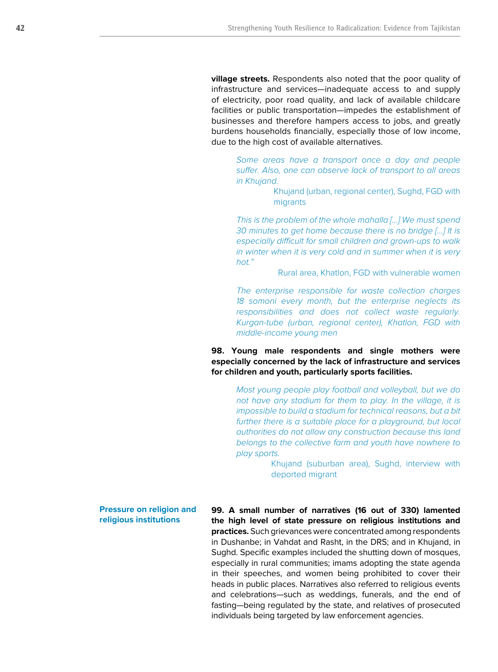**village streets.** Respondents also noted that the poor quality of infrastructure and services—inadequate access to and supply of electricity, poor road quality, and lack of available childcare facilities or public transportation—impedes the establishment of businesses and therefore hampers access to jobs, and greatly burdens households financially, especially those of low income, due to the high cost of available alternatives.

*Some areas have a transport once a day and people suffer. Also, one can observe lack of transport to all areas in Khujand.* 

> Khujand (urban, regional center), Sughd, FGD with migrants

*This is the problem of the whole mahalla […] We must spend 30 minutes to get home because there is no bridge […] It is especially difficult for small children and grown-ups to walk in winter when it is very cold and in summer when it is very hot."* 

Rural area, Khatlon, FGD with vulnerable women

*The enterprise responsible for waste collection charges 18 somoni every month, but the enterprise neglects its responsibilities and does not collect waste regularly. Kurgan-tube (urban, regional center), Khatlon, FGD with middle-income young men*

**98. Young male respondents and single mothers were especially concerned by the lack of infrastructure and services for children and youth, particularly sports facilities.**

> *Most young people play football and volleyball, but we do not have any stadium for them to play. In the village, it is impossible to build a stadium for technical reasons, but a bit further there is a suitable place for a playground, but local authorities do not allow any construction because this land belongs to the collective farm and youth have nowhere to play sports.*

> > Khujand (suburban area), Sughd, interview with deported migrant

**Pressure on religion and religious institutions**

**99. A small number of narratives (16 out of 330) lamented the high level of state pressure on religious institutions and practices.** Such grievances were concentrated among respondents in Dushanbe; in Vahdat and Rasht, in the DRS; and in Khujand, in Sughd. Specific examples included the shutting down of mosques, especially in rural communities; imams adopting the state agenda in their speeches, and women being prohibited to cover their heads in public places. Narratives also referred to religious events and celebrations—such as weddings, funerals, and the end of fasting—being regulated by the state, and relatives of prosecuted individuals being targeted by law enforcement agencies.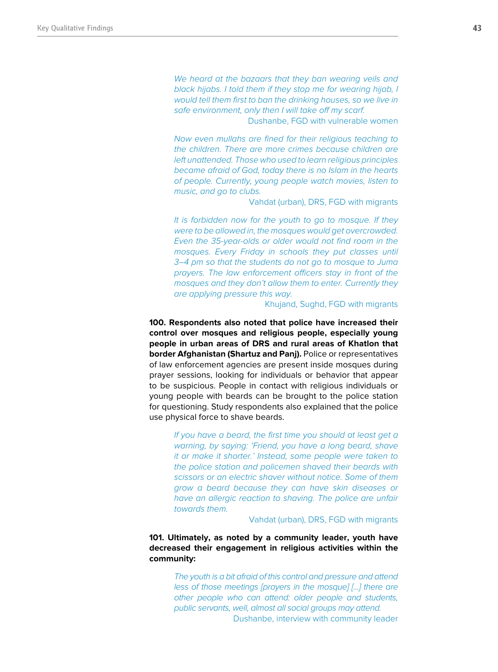*We heard at the bazaars that they ban wearing veils and black hijabs. I told them if they stop me for wearing hijab, I would tell them first to ban the drinking houses, so we live in safe environment, only then I will take off my scarf.* 

Dushanbe, FGD with vulnerable women

*Now even mullahs are fined for their religious teaching to the children. There are more crimes because children are left unattended. Those who used to learn religious principles became afraid of God, today there is no Islam in the hearts of people. Currently, young people watch movies, listen to music, and go to clubs.* 

Vahdat (urban), DRS, FGD with migrants

*It is forbidden now for the youth to go to mosque. If they were to be allowed in, the mosques would get overcrowded. Even the 35-year-olds or older would not find room in the mosques. Every Friday in schools they put classes until 3–4 pm so that the students do not go to mosque to Juma prayers. The law enforcement officers stay in front of the mosques and they don't allow them to enter. Currently they are applying pressure this way.* 

Khujand, Sughd, FGD with migrants

**100. Respondents also noted that police have increased their control over mosques and religious people, especially young people in urban areas of DRS and rural areas of Khatlon that border Afghanistan (Shartuz and Panj).** Police or representatives of law enforcement agencies are present inside mosques during prayer sessions, looking for individuals or behavior that appear to be suspicious. People in contact with religious individuals or young people with beards can be brought to the police station for questioning. Study respondents also explained that the police use physical force to shave beards.

> *If you have a beard, the first time you should at least get a warning, by saying: 'Friend, you have a long beard, shave it or make it shorter.' Instead, some people were taken to the police station and policemen shaved their beards with scissors or an electric shaver without notice. Some of them grow a beard because they can have skin diseases or have an allergic reaction to shaving. The police are unfair towards them.*

> > Vahdat (urban), DRS, FGD with migrants

## **101. Ultimately, as noted by a community leader, youth have decreased their engagement in religious activities within the community:**

*The youth is a bit afraid of this control and pressure and attend less of those meetings [prayers in the mosque] [...] there are other people who can attend: older people and students, public servants, well, almost all social groups may attend.*  Dushanbe, interview with community leader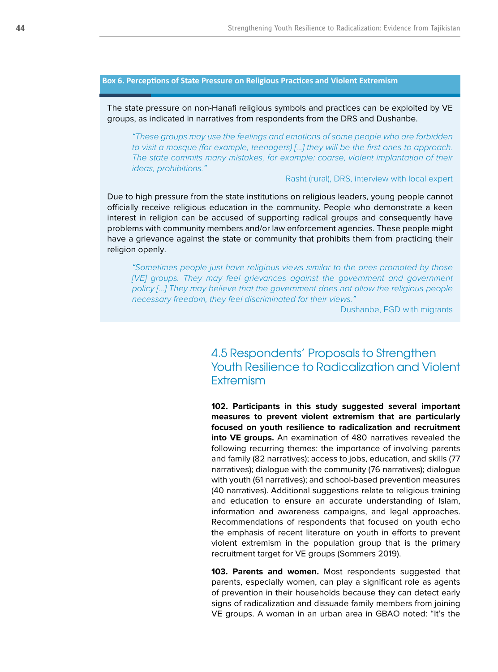### **Box 6. Perceptions of State Pressure on Religious Practices and Violent Extremism**

The state pressure on non-Hanafi religious symbols and practices can be exploited by VE groups, as indicated in narratives from respondents from the DRS and Dushanbe.

*"These groups may use the feelings and emotions of some people who are forbidden to visit a mosque (for example, teenagers) […] they will be the first ones to approach. The state commits many mistakes, for example: coarse, violent implantation of their ideas, prohibitions."* 

### Rasht (rural), DRS, interview with local expert

Due to high pressure from the state institutions on religious leaders, young people cannot officially receive religious education in the community. People who demonstrate a keen interest in religion can be accused of supporting radical groups and consequently have problems with community members and/or law enforcement agencies. These people might have a grievance against the state or community that prohibits them from practicing their religion openly.

*"Sometimes people just have religious views similar to the ones promoted by those [VE] groups. They may feel grievances against the government and government policy […] They may believe that the government does not allow the religious people necessary freedom, they feel discriminated for their views."* 

Dushanbe, FGD with migrants

# 4.5 Respondents' Proposals to Strengthen Youth Resilience to Radicalization and Violent **Extremism**

**102. Participants in this study suggested several important measures to prevent violent extremism that are particularly focused on youth resilience to radicalization and recruitment into VE groups.** An examination of 480 narratives revealed the following recurring themes: the importance of involving parents and family (82 narratives); access to jobs, education, and skills (77 narratives); dialogue with the community (76 narratives); dialogue with youth (61 narratives); and school-based prevention measures (40 narratives). Additional suggestions relate to religious training and education to ensure an accurate understanding of Islam, information and awareness campaigns, and legal approaches. Recommendations of respondents that focused on youth echo the emphasis of recent literature on youth in efforts to prevent violent extremism in the population group that is the primary recruitment target for VE groups (Sommers 2019).

**103. Parents and women.** Most respondents suggested that parents, especially women, can play a significant role as agents of prevention in their households because they can detect early signs of radicalization and dissuade family members from joining VE groups. A woman in an urban area in GBAO noted: "It's the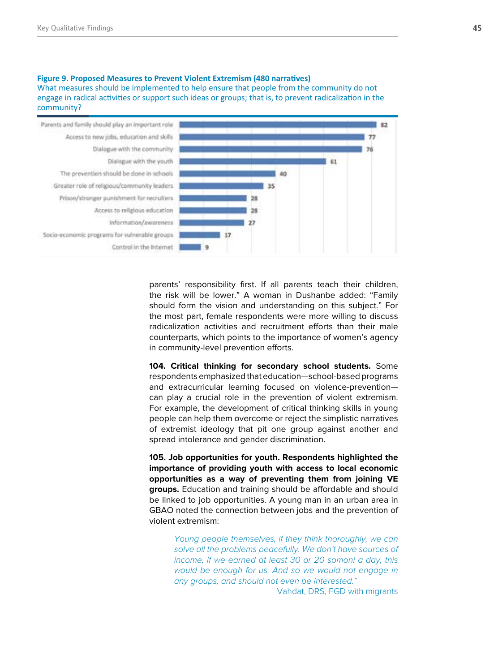#### **Figure 9. Proposed Measures to Prevent Violent Extremism (480 narratives)**  What measures should be implemented to help ensure that people from the community do not engage in radical activities or support such ideas or groups; that is, to prevent radicalization in the community?



parents' responsibility first. If all parents teach their children, the risk will be lower." A woman in Dushanbe added: "Family should form the vision and understanding on this subject." For the most part, female respondents were more willing to discuss radicalization activities and recruitment efforts than their male counterparts, which points to the importance of women's agency in community-level prevention efforts.

**104. Critical thinking for secondary school students.** Some respondents emphasized that education—school-based programs and extracurricular learning focused on violence-prevention can play a crucial role in the prevention of violent extremism. For example, the development of critical thinking skills in young people can help them overcome or reject the simplistic narratives of extremist ideology that pit one group against another and spread intolerance and gender discrimination.

**105. Job opportunities for youth. Respondents highlighted the importance of providing youth with access to local economic opportunities as a way of preventing them from joining VE groups.** Education and training should be affordable and should be linked to job opportunities. A young man in an urban area in GBAO noted the connection between jobs and the prevention of violent extremism:

> *Young people themselves, if they think thoroughly, we can solve all the problems peacefully. We don't have sources of income, if we earned at least 30 or 20 somoni a day, this would be enough for us. And so we would not engage in any groups, and should not even be interested."*

> > Vahdat, DRS, FGD with migrants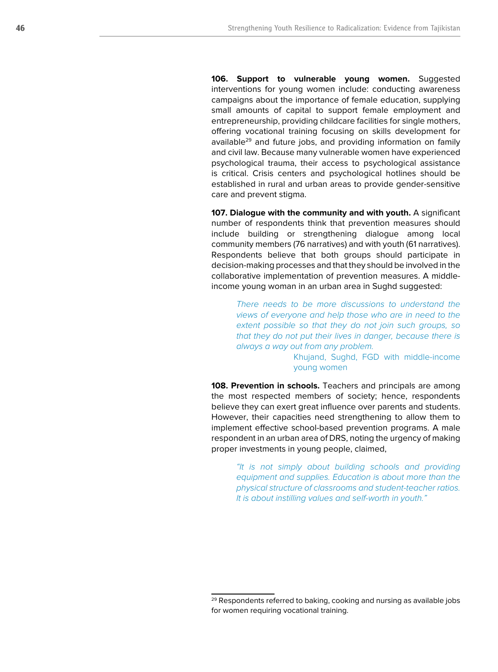**106. Support to vulnerable young women.** Suggested interventions for young women include: conducting awareness campaigns about the importance of female education, supplying small amounts of capital to support female employment and entrepreneurship, providing childcare facilities for single mothers, offering vocational training focusing on skills development for available<sup>29</sup> and future jobs, and providing information on family and civil law. Because many vulnerable women have experienced psychological trauma, their access to psychological assistance is critical. Crisis centers and psychological hotlines should be established in rural and urban areas to provide gender-sensitive care and prevent stigma.

**107. Dialogue with the community and with youth.** A significant number of respondents think that prevention measures should include building or strengthening dialogue among local community members (76 narratives) and with youth (61 narratives). Respondents believe that both groups should participate in decision-making processes and that they should be involved in the collaborative implementation of prevention measures. A middleincome young woman in an urban area in Sughd suggested:

*There needs to be more discussions to understand the views of everyone and help those who are in need to the extent possible so that they do not join such groups, so that they do not put their lives in danger, because there is always a way out from any problem.* 

> Khujand, Sughd, FGD with middle-income young women

**108. Prevention in schools.** Teachers and principals are among the most respected members of society; hence, respondents believe they can exert great influence over parents and students. However, their capacities need strengthening to allow them to implement effective school-based prevention programs. A male respondent in an urban area of DRS, noting the urgency of making proper investments in young people, claimed,

*"It is not simply about building schools and providing equipment and supplies. Education is about more than the physical structure of classrooms and student-teacher ratios. It is about instilling values and self-worth in youth."*

<sup>&</sup>lt;sup>29</sup> Respondents referred to baking, cooking and nursing as available jobs for women requiring vocational training.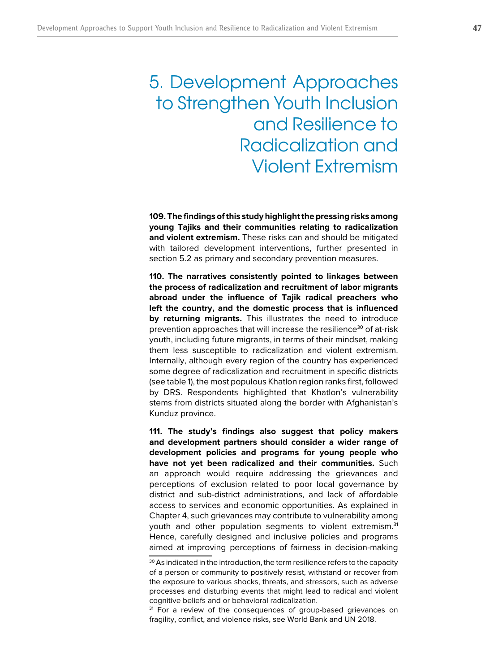# 5. Development Approaches to Strengthen Youth Inclusion and Resilience to Radicalization and Violent Extremism

**109. The findings of this study highlight the pressing risks among young Tajiks and their communities relating to radicalization and violent extremism.** These risks can and should be mitigated with tailored development interventions, further presented in section 5.2 as primary and secondary prevention measures.

**110. The narratives consistently pointed to linkages between the process of radicalization and recruitment of labor migrants abroad under the influence of Tajik radical preachers who left the country, and the domestic process that is influenced by returning migrants.** This illustrates the need to introduce prevention approaches that will increase the resilience<sup>30</sup> of at-risk youth, including future migrants, in terms of their mindset, making them less susceptible to radicalization and violent extremism. Internally, although every region of the country has experienced some degree of radicalization and recruitment in specific districts (see table 1), the most populous Khatlon region ranks first, followed by DRS. Respondents highlighted that Khatlon's vulnerability stems from districts situated along the border with Afghanistan's Kunduz province.

**111. The study's findings also suggest that policy makers and development partners should consider a wider range of development policies and programs for young people who have not yet been radicalized and their communities.** Such an approach would require addressing the grievances and perceptions of exclusion related to poor local governance by district and sub-district administrations, and lack of affordable access to services and economic opportunities. As explained in Chapter 4, such grievances may contribute to vulnerability among youth and other population segments to violent extremism.<sup>31</sup> Hence, carefully designed and inclusive policies and programs aimed at improving perceptions of fairness in decision-making

<sup>&</sup>lt;sup>30</sup> As indicated in the introduction, the term resilience refers to the capacity of a person or community to positively resist, withstand or recover from the exposure to various shocks, threats, and stressors, such as adverse processes and disturbing events that might lead to radical and violent cognitive beliefs and or behavioral radicalization.

<sup>&</sup>lt;sup>31</sup> For a review of the consequences of group-based grievances on fragility, conflict, and violence risks, see World Bank and UN 2018.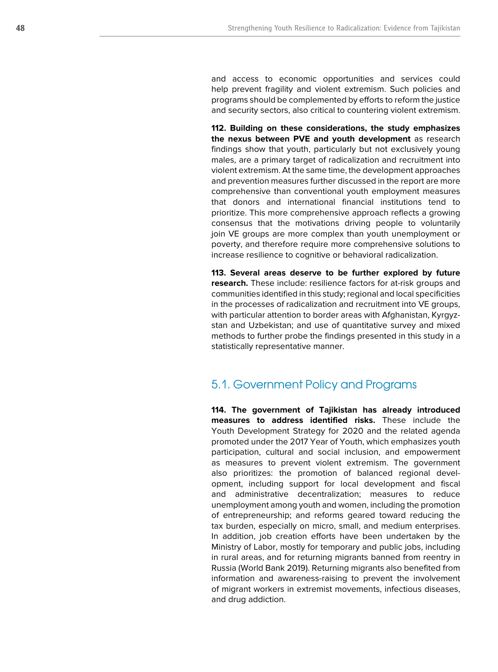and access to economic opportunities and services could help prevent fragility and violent extremism. Such policies and programs should be complemented by efforts to reform the justice and security sectors, also critical to countering violent extremism.

**112. Building on these considerations, the study emphasizes the nexus between PVE and youth development** as research findings show that youth, particularly but not exclusively young males, are a primary target of radicalization and recruitment into violent extremism. At the same time, the development approaches and prevention measures further discussed in the report are more comprehensive than conventional youth employment measures that donors and international financial institutions tend to prioritize. This more comprehensive approach reflects a growing consensus that the motivations driving people to voluntarily join VE groups are more complex than youth unemployment or poverty, and therefore require more comprehensive solutions to increase resilience to cognitive or behavioral radicalization.

**113. Several areas deserve to be further explored by future research.** These include: resilience factors for at-risk groups and communities identified in this study; regional and local specificities in the processes of radicalization and recruitment into VE groups, with particular attention to border areas with Afghanistan, Kyrgyzstan and Uzbekistan; and use of quantitative survey and mixed methods to further probe the findings presented in this study in a statistically representative manner.

# 5.1. Government Policy and Programs

**114. The government of Tajikistan has already introduced measures to address identified risks.** These include the Youth Development Strategy for 2020 and the related agenda promoted under the 2017 Year of Youth, which emphasizes youth participation, cultural and social inclusion, and empowerment as measures to prevent violent extremism. The government also prioritizes: the promotion of balanced regional development, including support for local development and fiscal and administrative decentralization; measures to reduce unemployment among youth and women, including the promotion of entrepreneurship; and reforms geared toward reducing the tax burden, especially on micro, small, and medium enterprises. In addition, job creation efforts have been undertaken by the Ministry of Labor, mostly for temporary and public jobs, including in rural areas, and for returning migrants banned from reentry in Russia (World Bank 2019). Returning migrants also benefited from information and awareness-raising to prevent the involvement of migrant workers in extremist movements, infectious diseases, and drug addiction.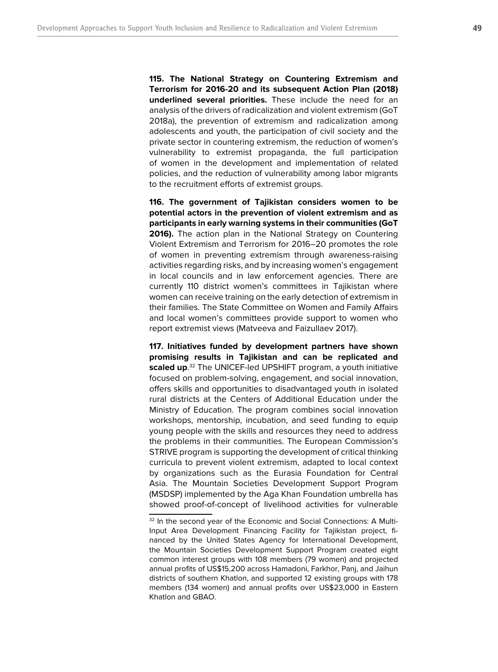**115. The National Strategy on Countering Extremism and Terrorism for 2016-20 and its subsequent Action Plan (2018) underlined several priorities.** These include the need for an analysis of the drivers of radicalization and violent extremism (GoT 2018a), the prevention of extremism and radicalization among adolescents and youth, the participation of civil society and the private sector in countering extremism, the reduction of women's vulnerability to extremist propaganda, the full participation of women in the development and implementation of related policies, and the reduction of vulnerability among labor migrants to the recruitment efforts of extremist groups.

**116. The government of Tajikistan considers women to be potential actors in the prevention of violent extremism and as participants in early warning systems in their communities (GoT 2016).** The action plan in the National Strategy on Countering Violent Extremism and Terrorism for 2016–20 promotes the role of women in preventing extremism through awareness-raising activities regarding risks, and by increasing women's engagement in local councils and in law enforcement agencies. There are currently 110 district women's committees in Tajikistan where women can receive training on the early detection of extremism in their families. The State Committee on Women and Family Affairs and local women's committees provide support to women who report extremist views (Matveeva and Faizullaev 2017).

**117. Initiatives funded by development partners have shown promising results in Tajikistan and can be replicated and scaled up**. 32 The UNICEF-led UPSHIFT program, a youth initiative focused on problem-solving, engagement, and social innovation, offers skills and opportunities to disadvantaged youth in isolated rural districts at the Centers of Additional Education under the Ministry of Education. The program combines social innovation workshops, mentorship, incubation, and seed funding to equip young people with the skills and resources they need to address the problems in their communities. The European Commission's STRIVE program is supporting the development of critical thinking curricula to prevent violent extremism, adapted to local context by organizations such as the Eurasia Foundation for Central Asia. The Mountain Societies Development Support Program (MSDSP) implemented by the Aga Khan Foundation umbrella has showed proof-of-concept of livelihood activities for vulnerable

<sup>&</sup>lt;sup>32</sup> In the second year of the Economic and Social Connections: A Multi-Input Area Development Financing Facility for Tajikistan project, financed by the United States Agency for International Development, the Mountain Societies Development Support Program created eight common interest groups with 108 members (79 women) and projected annual profits of US\$15,200 across Hamadoni, Farkhor, Panj, and Jaihun districts of southern Khatlon, and supported 12 existing groups with 178 members (134 women) and annual profits over US\$23,000 in Eastern Khatlon and GBAO.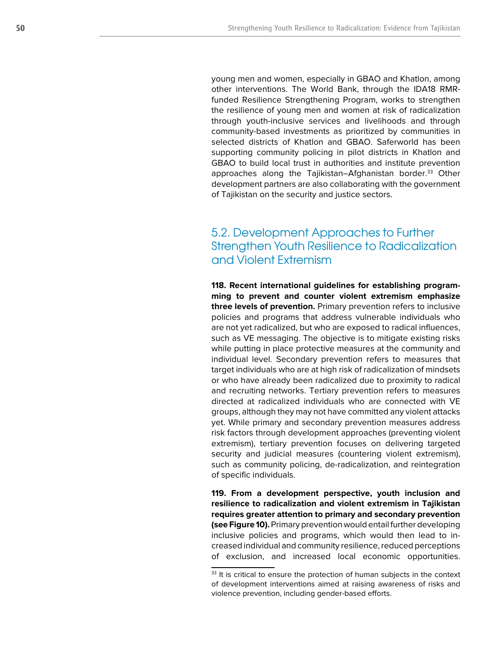young men and women, especially in GBAO and Khatlon, among other interventions. The World Bank, through the IDA18 RMRfunded Resilience Strengthening Program, works to strengthen the resilience of young men and women at risk of radicalization through youth-inclusive services and livelihoods and through community-based investments as prioritized by communities in selected districts of Khatlon and GBAO. Saferworld has been supporting community policing in pilot districts in Khatlon and GBAO to build local trust in authorities and institute prevention approaches along the Tajikistan–Afghanistan border.<sup>33</sup> Other development partners are also collaborating with the government of Tajikistan on the security and justice sectors.

# 5.2. Development Approaches to Further Strengthen Youth Resilience to Radicalization and Violent Extremism

**118. Recent international guidelines for establishing program ming to prevent and counter violent extremism emphasize three levels of prevention.** Primary prevention refers to inclusive policies and programs that address vulnerable individuals who are not yet radicalized, but who are exposed to radical influences, such as VE messaging. The objective is to mitigate existing risks while putting in place protective measures at the community and individual level. Secondary prevention refers to measures that target individuals who are at high risk of radicalization of mindsets or who have already been radicalized due to proximity to radical and recruiting networks. Tertiary prevention refers to measures directed at radicalized individuals who are connected with VE groups, although they may not have committed any violent attacks yet. While primary and secondary prevention measures address risk factors through development approaches (preventing violent extremism), tertiary prevention focuses on delivering targeted security and judicial measures (countering violent extremism), such as community policing, de-radicalization, and reintegration of specific individuals.

**119. From a development perspective, youth inclusion and resilience to radicalization and violent extremism in Tajikistan requires greater attention to primary and secondary prevention (see Figure 10).** Primary prevention would entail further developing inclusive policies and programs, which would then lead to increased individual and community resilience, reduced perceptions of exclusion, and increased local economic opportunities.

<sup>&</sup>lt;sup>33</sup> It is critical to ensure the protection of human subjects in the context of development interventions aimed at raising awareness of risks and violence prevention, including gender-based efforts.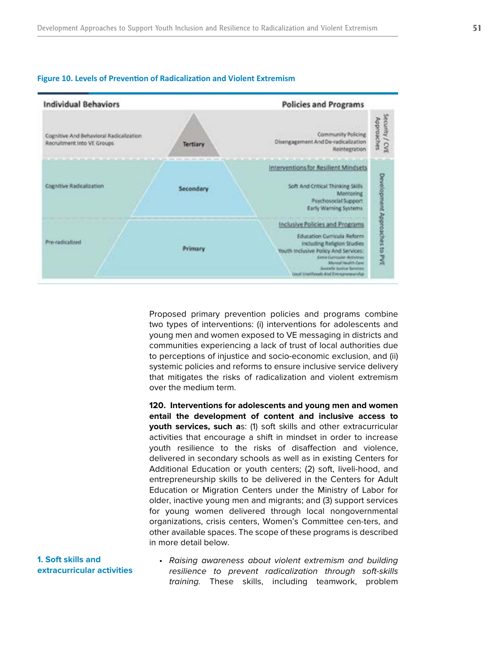

#### **Figure 10. Levels of Prevention of Radicalization and Violent Extremism**



Proposed primary prevention policies and programs combine two types of interventions: (i) interventions for adolescents and young men and women exposed to VE messaging in districts and communities experiencing a lack of trust of local authorities due to perceptions of injustice and socio-economic exclusion, and (ii) systemic policies and reforms to ensure inclusive service delivery that mitigates the risks of radicalization and violent extremism over the medium term.

**120. Interventions for adolescents and young men and women entail the development of content and inclusive access to youth services, such a**s: (1) soft skills and other extracurricular activities that encourage a shift in mindset in order to increase youth resilience to the risks of disaffection and violence, delivered in secondary schools as well as in existing Centers for Additional Education or youth centers; (2) soft, liveli-hood, and entrepreneurship skills to be delivered in the Centers for Adult Education or Migration Centers under the Ministry of Labor for older, inactive young men and migrants; and (3) support services for young women delivered through local nongovernmental organizations, crisis centers, Women's Committee cen-ters, and other available spaces. The scope of these programs is described in more detail below.

**1. Soft skills and extracurricular activities** • Raising awareness about violent extremism and building resilience to prevent radicalization through soft-skills training. These skills, including teamwork, problem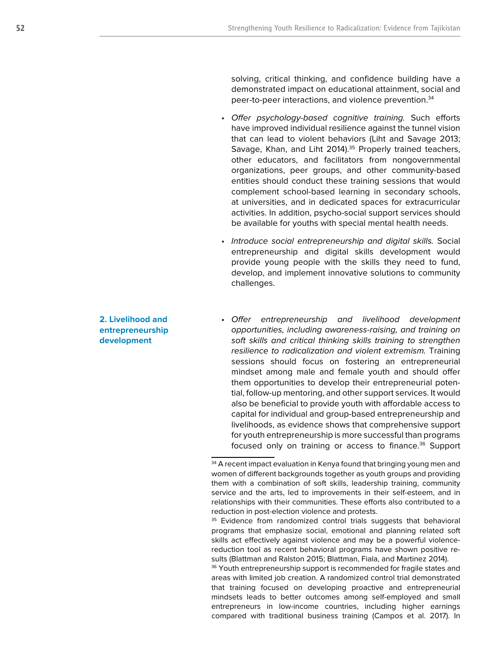solving, critical thinking, and confidence building have a demonstrated impact on educational attainment, social and peer-to-peer interactions, and violence prevention.34

- Offer psychology-based cognitive training. Such efforts have improved individual resilience against the tunnel vision that can lead to violent behaviors (Liht and Savage 2013; Savage, Khan, and Liht 2014).<sup>35</sup> Properly trained teachers, other educators, and facilitators from nongovernmental organizations, peer groups, and other community-based entities should conduct these training sessions that would complement school-based learning in secondary schools, at universities, and in dedicated spaces for extracurricular activities. In addition, psycho-social support services should be available for youths with special mental health needs.
- Introduce social entrepreneurship and digital skills. Social entrepreneurship and digital skills development would provide young people with the skills they need to fund, develop, and implement innovative solutions to community challenges.
- Offer entrepreneurship and livelihood development opportunities, including awareness-raising, and training on soft skills and critical thinking skills training to strengthen resilience to radicalization and violent extremism. Training sessions should focus on fostering an entrepreneurial mindset among male and female youth and should offer them opportunities to develop their entrepreneurial potential, follow-up mentoring, and other support services. It would also be beneficial to provide youth with affordable access to capital for individual and group-based entrepreneurship and livelihoods, as evidence shows that comprehensive support for youth entrepreneurship is more successful than programs focused only on training or access to finance.<sup>36</sup> Support

<sup>36</sup> Youth entrepreneurship support is recommended for fragile states and areas with limited job creation. A randomized control trial demonstrated that training focused on developing proactive and entrepreneurial mindsets leads to better outcomes among self-employed and small entrepreneurs in low-income countries, including higher earnings compared with traditional business training (Campos et al. 2017). In

# **2. Livelihood and entrepreneurship development**

<sup>&</sup>lt;sup>34</sup> A recent impact evaluation in Kenya found that bringing young men and women of different backgrounds together as youth groups and providing them with a combination of soft skills, leadership training, community service and the arts, led to improvements in their self-esteem, and in relationships with their communities. These efforts also contributed to a reduction in post-election violence and protests.

<sup>&</sup>lt;sup>35</sup> Evidence from randomized control trials suggests that behavioral programs that emphasize social, emotional and planning related soft skills act effectively against violence and may be a powerful violencereduction tool as recent behavioral programs have shown positive results (Blattman and Ralston 2015; Blattman, Fiala, and Martinez 2014).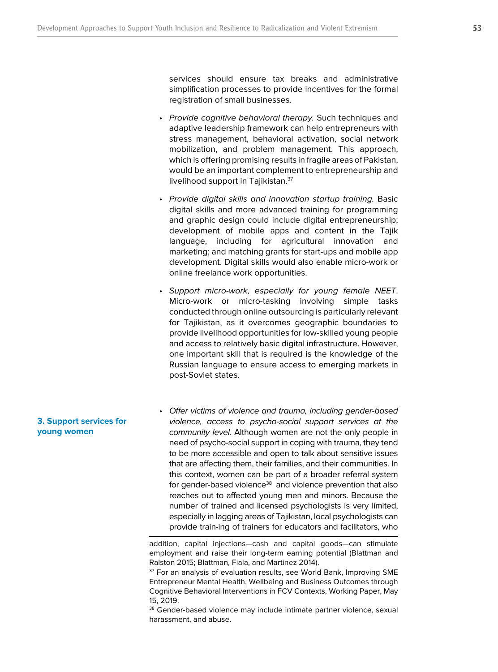services should ensure tax breaks and administrative simplification processes to provide incentives for the formal registration of small businesses.

- Provide cognitive behavioral therapy. Such techniques and adaptive leadership framework can help entrepreneurs with stress management, behavioral activation, social network mobilization, and problem management. This approach, which is offering promising results in fragile areas of Pakistan, would be an important complement to entrepreneurship and livelihood support in Tajikistan.<sup>37</sup>
- Provide digital skills and innovation startup training. Basic digital skills and more advanced training for programming and graphic design could include digital entrepreneurship; development of mobile apps and content in the Tajik language, including for agricultural innovation and marketing; and matching grants for start-ups and mobile app development. Digital skills would also enable micro-work or online freelance work opportunities.
- Support micro-work, especially for young female NEET. Micro-work or micro-tasking involving simple tasks conducted through online outsourcing is particularly relevant for Tajikistan, as it overcomes geographic boundaries to provide livelihood opportunities for low-skilled young people and access to relatively basic digital infrastructure. However, one important skill that is required is the knowledge of the Russian language to ensure access to emerging markets in post-Soviet states.
- Offer victims of violence and trauma, including gender-based violence, access to psycho-social support services at the community level. Although women are not the only people in need of psycho-social support in coping with trauma, they tend to be more accessible and open to talk about sensitive issues that are affecting them, their families, and their communities. In this context, women can be part of a broader referral system for gender-based violence<sup>38</sup> and violence prevention that also reaches out to affected young men and minors. Because the number of trained and licensed psychologists is very limited, especially in lagging areas of Tajikistan, local psychologists can provide train-ing of trainers for educators and facilitators, who

# **3. Support services for young women**

addition, capital injections—cash and capital goods—can stimulate employment and raise their long-term earning potential (Blattman and Ralston 2015; Blattman, Fiala, and Martinez 2014).

<sup>&</sup>lt;sup>37</sup> For an analysis of evaluation results, see World Bank, Improving SME Entrepreneur Mental Health, Wellbeing and Business Outcomes through Cognitive Behavioral Interventions in FCV Contexts, Working Paper, May 15, 2019.

<sup>&</sup>lt;sup>38</sup> Gender-based violence may include intimate partner violence, sexual harassment, and abuse.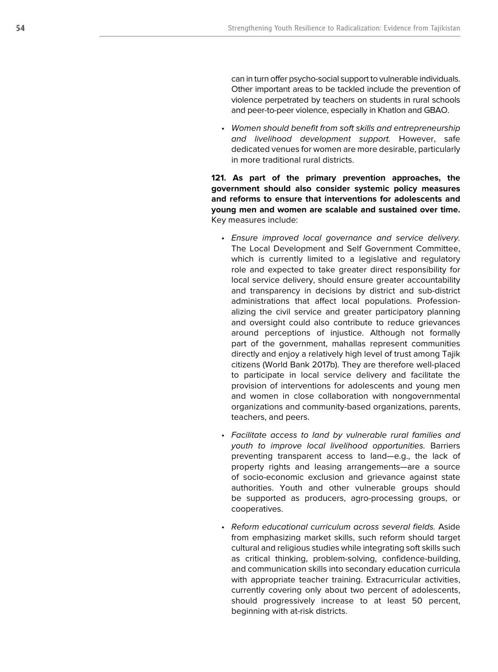can in turn offer psycho-social support to vulnerable individuals. Other important areas to be tackled include the prevention of violence perpetrated by teachers on students in rural schools and peer-to-peer violence, especially in Khatlon and GBAO.

• Women should benefit from soft skills and entrepreneurship and livelihood development support. However, safe dedicated venues for women are more desirable, particularly in more traditional rural districts.

**121. As part of the primary prevention approaches, the government should also consider systemic policy measures and reforms to ensure that interventions for adolescents and young men and women are scalable and sustained over time.** Key measures include:

- Ensure improved local governance and service delivery. The Local Development and Self Government Committee, which is currently limited to a legislative and regulatory role and expected to take greater direct responsibility for local service delivery, should ensure greater accountability and transparency in decisions by district and sub-district administrations that affect local populations. Professionalizing the civil service and greater participatory planning and oversight could also contribute to reduce grievances around perceptions of injustice. Although not formally part of the government, mahallas represent communities directly and enjoy a relatively high level of trust among Tajik citizens (World Bank 2017b). They are therefore well-placed to participate in local service delivery and facilitate the provision of interventions for adolescents and young men and women in close collaboration with nongovernmental organizations and community-based organizations, parents, teachers, and peers.
- Facilitate access to land by vulnerable rural families and youth to improve local livelihood opportunities. Barriers preventing transparent access to land—e.g., the lack of property rights and leasing arrangements—are a source of socio-economic exclusion and grievance against state authorities. Youth and other vulnerable groups should be supported as producers, agro-processing groups, or cooperatives.
- Reform educational curriculum across several fields. Aside from emphasizing market skills, such reform should target cultural and religious studies while integrating soft skills such as critical thinking, problem-solving, confidence-building, and communication skills into secondary education curricula with appropriate teacher training. Extracurricular activities, currently covering only about two percent of adolescents, should progressively increase to at least 50 percent, beginning with at-risk districts.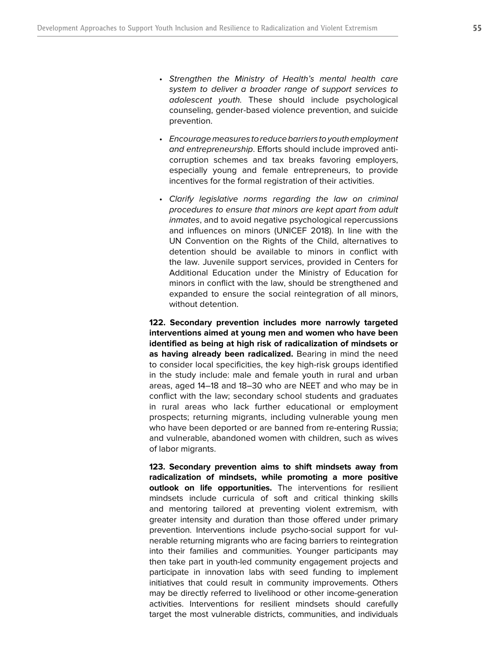- Strengthen the Ministry of Health's mental health care system to deliver a broader range of support services to adolescent youth. These should include psychological counseling, gender-based violence prevention, and suicide prevention.
- Encourage measures to reduce barriers to youth employment and entrepreneurship. Efforts should include improved anticorruption schemes and tax breaks favoring employers, especially young and female entrepreneurs, to provide incentives for the formal registration of their activities.
- Clarify legislative norms regarding the law on criminal procedures to ensure that minors are kept apart from adult inmates, and to avoid negative psychological repercussions and influences on minors (UNICEF 2018). In line with the UN Convention on the Rights of the Child, alternatives to detention should be available to minors in conflict with the law. Juvenile support services, provided in Centers for Additional Education under the Ministry of Education for minors in conflict with the law, should be strengthened and expanded to ensure the social reintegration of all minors, without detention.

**122. Secondary prevention includes more narrowly targeted interventions aimed at young men and women who have been identified as being at high risk of radicalization of mindsets or as having already been radicalized.** Bearing in mind the need to consider local specificities, the key high-risk groups identified in the study include: male and female youth in rural and urban areas, aged 14–18 and 18–30 who are NEET and who may be in conflict with the law; secondary school students and graduates in rural areas who lack further educational or employment prospects; returning migrants, including vulnerable young men who have been deported or are banned from re-entering Russia; and vulnerable, abandoned women with children, such as wives of labor migrants.

**123. Secondary prevention aims to shift mindsets away from radicalization of mindsets, while promoting a more positive outlook on life opportunities.** The interventions for resilient mindsets include curricula of soft and critical thinking skills and mentoring tailored at preventing violent extremism, with greater intensity and duration than those offered under primary prevention. Interventions include psycho-social support for vulnerable returning migrants who are facing barriers to reintegration into their families and communities. Younger participants may then take part in youth-led community engagement projects and participate in innovation labs with seed funding to implement initiatives that could result in community improvements. Others may be directly referred to livelihood or other income-generation activities. Interventions for resilient mindsets should carefully target the most vulnerable districts, communities, and individuals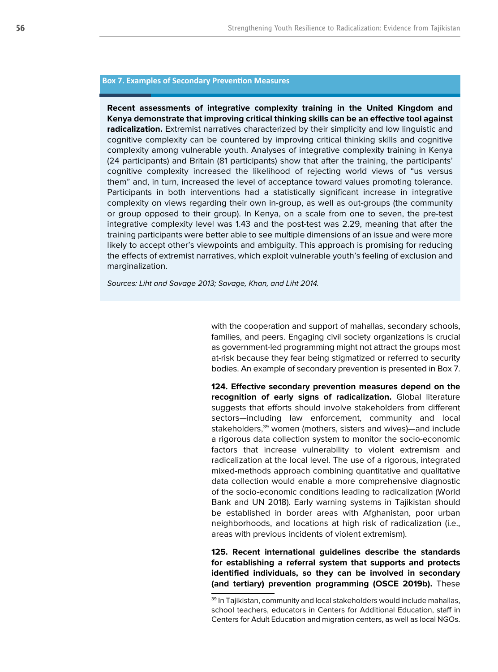#### **Box 7. Examples of Secondary Prevention Measures**

**Recent assessments of integrative complexity training in the United Kingdom and Kenya demonstrate that improving critical thinking skills can be an effective tool against radicalization.** Extremist narratives characterized by their simplicity and low linguistic and cognitive complexity can be countered by improving critical thinking skills and cognitive complexity among vulnerable youth. Analyses of integrative complexity training in Kenya (24 participants) and Britain (81 participants) show that after the training, the participants' cognitive complexity increased the likelihood of rejecting world views of "us versus them" and, in turn, increased the level of acceptance toward values promoting tolerance. Participants in both interventions had a statistically significant increase in integrative complexity on views regarding their own in-group, as well as out-groups (the community or group opposed to their group). In Kenya, on a scale from one to seven, the pre-test integrative complexity level was 1.43 and the post-test was 2.29, meaning that after the training participants were better able to see multiple dimensions of an issue and were more likely to accept other's viewpoints and ambiguity. This approach is promising for reducing the effects of extremist narratives, which exploit vulnerable youth's feeling of exclusion and marginalization.

Sources: Liht and Savage 2013; Savage, Khan, and Liht 2014.

with the cooperation and support of mahallas, secondary schools, families, and peers. Engaging civil society organizations is crucial as government-led programming might not attract the groups most at-risk because they fear being stigmatized or referred to security bodies. An example of secondary prevention is presented in Box 7.

**124. Effective secondary prevention measures depend on the recognition of early signs of radicalization.** Global literature suggests that efforts should involve stakeholders from different sectors—including law enforcement, community and local stakeholders,<sup>39</sup> women (mothers, sisters and wives)—and include a rigorous data collection system to monitor the socio-economic factors that increase vulnerability to violent extremism and radicalization at the local level. The use of a rigorous, integrated mixed-methods approach combining quantitative and qualitative data collection would enable a more comprehensive diagnostic of the socio-economic conditions leading to radicalization (World Bank and UN 2018). Early warning systems in Tajikistan should be established in border areas with Afghanistan, poor urban neighborhoods, and locations at high risk of radicalization (i.e., areas with previous incidents of violent extremism).

**125. Recent international guidelines describe the standards for establishing a referral system that supports and protects identified individuals, so they can be involved in secondary (and tertiary) prevention programming (OSCE 2019b).** These

<sup>&</sup>lt;sup>39</sup> In Tajikistan, community and local stakeholders would include mahallas, school teachers, educators in Centers for Additional Education, staff in Centers for Adult Education and migration centers, as well as local NGOs.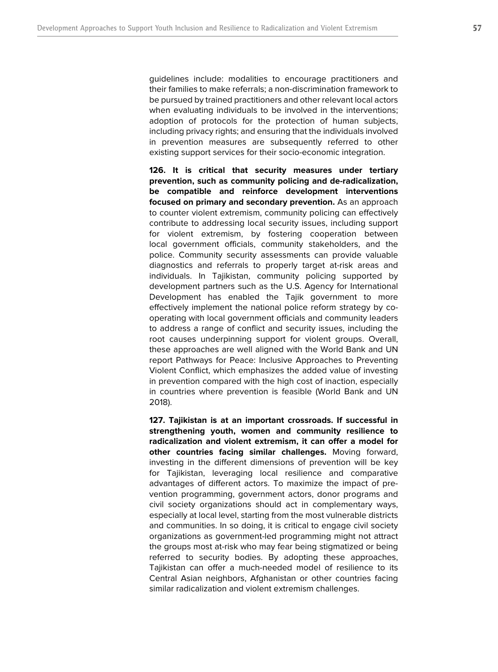guidelines include: modalities to encourage practitioners and their families to make referrals; a non-discrimination framework to be pursued by trained practitioners and other relevant local actors when evaluating individuals to be involved in the interventions; adoption of protocols for the protection of human subjects, including privacy rights; and ensuring that the individuals involved in prevention measures are subsequently referred to other existing support services for their socio-economic integration.

**126. It is critical that security measures under tertiary prevention, such as community policing and de-radicalization, be compatible and reinforce development interventions focused on primary and secondary prevention.** As an approach to counter violent extremism, community policing can effectively contribute to addressing local security issues, including support for violent extremism, by fostering cooperation between local government officials, community stakeholders, and the police. Community security assessments can provide valuable diagnostics and referrals to properly target at-risk areas and individuals. In Tajikistan, community policing supported by development partners such as the U.S. Agency for International Development has enabled the Tajik government to more effectively implement the national police reform strategy by cooperating with local government officials and community leaders to address a range of conflict and security issues, including the root causes underpinning support for violent groups. Overall, these approaches are well aligned with the World Bank and UN report Pathways for Peace: Inclusive Approaches to Preventing Violent Conflict, which emphasizes the added value of investing in prevention compared with the high cost of inaction, especially in countries where prevention is feasible (World Bank and UN 2018).

**127. Tajikistan is at an important crossroads. If successful in strengthening youth, women and community resilience to radicalization and violent extremism, it can offer a model for other countries facing similar challenges.** Moving forward, investing in the different dimensions of prevention will be key for Tajikistan, leveraging local resilience and comparative advantages of different actors. To maximize the impact of prevention programming, government actors, donor programs and civil society organizations should act in complementary ways, especially at local level, starting from the most vulnerable districts and communities. In so doing, it is critical to engage civil society organizations as government-led programming might not attract the groups most at-risk who may fear being stigmatized or being referred to security bodies. By adopting these approaches, Tajikistan can offer a much-needed model of resilience to its Central Asian neighbors, Afghanistan or other countries facing similar radicalization and violent extremism challenges.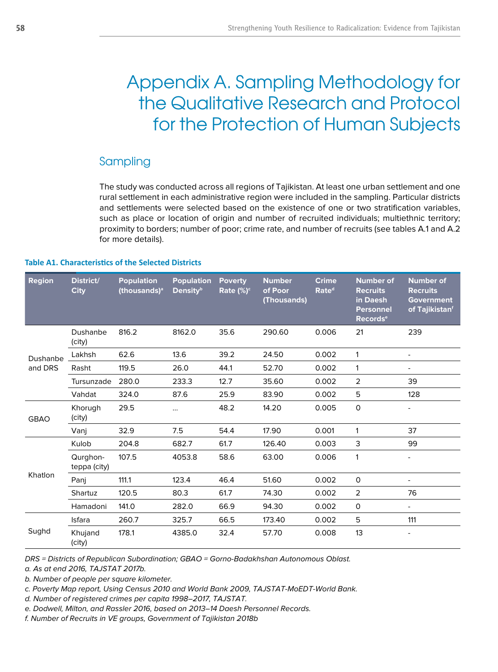# Appendix A. Sampling Methodology for the Qualitative Research and Protocol for the Protection of Human Subjects

# Sampling

The study was conducted across all regions of Tajikistan. At least one urban settlement and one rural settlement in each administrative region were included in the sampling. Particular districts and settlements were selected based on the existence of one or two stratification variables, such as place or location of origin and number of recruited individuals; multiethnic territory; proximity to borders; number of poor; crime rate, and number of recruits (see tables A.1 and A.2 for more details).

## **Table A1. Characteristics of the Selected Districts**

| <b>Region</b>       | District/<br><b>City</b> | <b>Population</b><br>(thousands) <sup>a</sup> | <b>Population</b><br><b>Density</b> <sup>b</sup> | <b>Poverty</b><br>Rate $(\%)^c$ | <b>Number</b><br>of Poor<br>(Thousands) | <b>Crime</b><br>Rate <sup>d</sup> | <b>Number of</b><br><b>Recruits</b><br>in Daesh<br><b>Personnel</b><br><b>Records<sup>e</sup></b> | <b>Number of</b><br><b>Recruits</b><br><b>Government</b><br>of Tajikistan <sup>f</sup> |
|---------------------|--------------------------|-----------------------------------------------|--------------------------------------------------|---------------------------------|-----------------------------------------|-----------------------------------|---------------------------------------------------------------------------------------------------|----------------------------------------------------------------------------------------|
| Dushanbe<br>and DRS | Dushanbe<br>(city)       | 816.2                                         | 8162.0                                           | 35.6                            | 290.60                                  | 0.006                             | 21                                                                                                | 239                                                                                    |
|                     | Lakhsh                   | 62.6                                          | 13.6                                             | 39.2                            | 24.50                                   | 0.002                             | 1                                                                                                 | $\overline{\phantom{a}}$                                                               |
|                     | Rasht                    | 119.5                                         | 26.0                                             | 44.1                            | 52.70                                   | 0.002                             | $\mathbf{1}$                                                                                      | $\overline{\phantom{0}}$                                                               |
|                     | Tursunzade               | 280.0                                         | 233.3                                            | 12.7                            | 35.60                                   | 0.002                             | 2                                                                                                 | 39                                                                                     |
|                     | Vahdat                   | 324.0                                         | 87.6                                             | 25.9                            | 83.90                                   | 0.002                             | 5                                                                                                 | 128                                                                                    |
| <b>GBAO</b>         | Khorugh<br>(city)        | 29.5                                          |                                                  | 48.2                            | 14.20                                   | 0.005                             | $\mathsf{O}$                                                                                      |                                                                                        |
|                     | Vanj                     | 32.9                                          | 7.5                                              | 54.4                            | 17.90                                   | 0.001                             | $\mathbf{1}$                                                                                      | 37                                                                                     |
| Khatlon             | Kulob                    | 204.8                                         | 682.7                                            | 61.7                            | 126.40                                  | 0.003                             | 3                                                                                                 | 99                                                                                     |
|                     | Qurghon-<br>teppa (city) | 107.5                                         | 4053.8                                           | 58.6                            | 63.00                                   | 0.006                             | 1                                                                                                 | -                                                                                      |
|                     | Pani                     | 111.1                                         | 123.4                                            | 46.4                            | 51.60                                   | 0.002                             | 0                                                                                                 | -                                                                                      |
|                     | Shartuz                  | 120.5                                         | 80.3                                             | 61.7                            | 74.30                                   | 0.002                             | 2                                                                                                 | 76                                                                                     |
|                     | Hamadoni                 | 141.0                                         | 282.0                                            | 66.9                            | 94.30                                   | 0.002                             | 0                                                                                                 | $\overline{\phantom{0}}$                                                               |
| Sughd               | Isfara                   | 260.7                                         | 325.7                                            | 66.5                            | 173.40                                  | 0.002                             | 5                                                                                                 | 111                                                                                    |
|                     | Khujand<br>(city)        | 178.1                                         | 4385.0                                           | 32.4                            | 57.70                                   | 0.008                             | 13                                                                                                | ۰                                                                                      |

DRS = Districts of Republican Subordination; GBAO = Gorno-Badakhshan Autonomous Oblast. a. As at end 2016, TAJSTAT 2017b.

b. Number of people per square kilometer.

c. Poverty Map report, Using Census 2010 and World Bank 2009, TAJSTAT-MoEDT-World Bank.

d. Number of registered crimes per capita 1998–2017, TAJSTAT.

e. Dodwell, Milton, and Rassler 2016, based on 2013–14 Daesh Personnel Records.

f. Number of Recruits in VE groups, Government of Tajikistan 2018b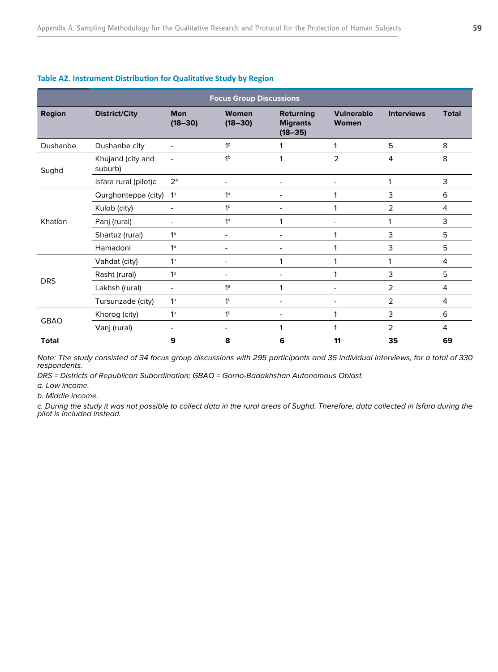| <b>Focus Group Discussions</b>        |                              |                           |                          |                                                    |                            |                   |              |  |  |  |  |  |
|---------------------------------------|------------------------------|---------------------------|--------------------------|----------------------------------------------------|----------------------------|-------------------|--------------|--|--|--|--|--|
| <b>Region</b><br><b>District/City</b> |                              | <b>Men</b><br>$(18 - 30)$ | Women<br>$(18 - 30)$     | <b>Returning</b><br><b>Migrants</b><br>$(18 - 35)$ | <b>Vulnerable</b><br>Women | <b>Interviews</b> | <b>Total</b> |  |  |  |  |  |
| Dushanbe                              | Dushanbe city                | $\overline{a}$            | 1 <sup>b</sup>           |                                                    | 1                          | 5                 | 8            |  |  |  |  |  |
| Sughd                                 | Khujand (city and<br>suburb) | $\blacksquare$            | 1 <sup>b</sup>           |                                                    | $\overline{2}$             | 4                 | 8            |  |  |  |  |  |
|                                       | Isfara rural (pilot)c        | $2^a$                     | $\blacksquare$           |                                                    | ٠                          | 1                 | 3            |  |  |  |  |  |
|                                       | Qurghonteppa (city)          | 1 <sup>b</sup>            | 1 <sup>a</sup>           |                                                    |                            | 3                 | 6            |  |  |  |  |  |
|                                       | Kulob (city)                 | $\overline{\phantom{0}}$  | 1 <sup>b</sup>           |                                                    | 1                          | 2                 | 4            |  |  |  |  |  |
| Khatlon                               | Panj (rural)                 | ۰                         | 1 <sup>a</sup>           |                                                    |                            | 1                 | 3            |  |  |  |  |  |
|                                       | Shartuz (rural)              | 1 <sup>a</sup>            | $\overline{\phantom{a}}$ |                                                    | 1                          | 3                 | 5            |  |  |  |  |  |
|                                       | Hamadoni                     | 1 <sup>a</sup>            | $\overline{\phantom{a}}$ | ۰                                                  | 1                          | 3                 | 5            |  |  |  |  |  |
|                                       | Vahdat (city)                | 1 <sup>b</sup>            | $\overline{\phantom{a}}$ | 1                                                  | 1                          | 1                 | 4            |  |  |  |  |  |
| <b>DRS</b>                            | Rasht (rural)                | 1 <sup>b</sup>            |                          |                                                    | 1                          | 3                 | 5            |  |  |  |  |  |
|                                       | Lakhsh (rural)               | $\blacksquare$            | 1 <sup>a</sup>           | 1                                                  | ٠                          | 2                 | 4            |  |  |  |  |  |
|                                       | Tursunzade (city)            | 1 <sup>a</sup>            | 1 <sup>b</sup>           |                                                    |                            | 2                 | 4            |  |  |  |  |  |
| <b>GBAO</b>                           | Khorog (city)                | 1 <sup>a</sup>            | 1 <sup>b</sup>           |                                                    | 1                          | 3                 | 6            |  |  |  |  |  |
|                                       | Vanj (rural)                 | $\overline{\phantom{0}}$  |                          | $\mathbf{1}$                                       | 1                          | 2                 | 4            |  |  |  |  |  |
| <b>Total</b>                          |                              | 9                         | 8                        | 6                                                  | 11                         | 35                | 69           |  |  |  |  |  |

## **Table A2. Instrument Distribution for Qualitative Study by Region**

Note: The study consisted of 34 focus group discussions with 295 participants and 35 individual interviews, for a total of 330 respondents.

DRS = Districts of Republican Subordination; GBAO = Gorno-Badakhshan Autonomous Oblast.

a. Low income.

b. Middle income.

c. During the study it was not possible to collect data in the rural areas of Sughd. Therefore, data collected in Isfara during the pilot is included instead.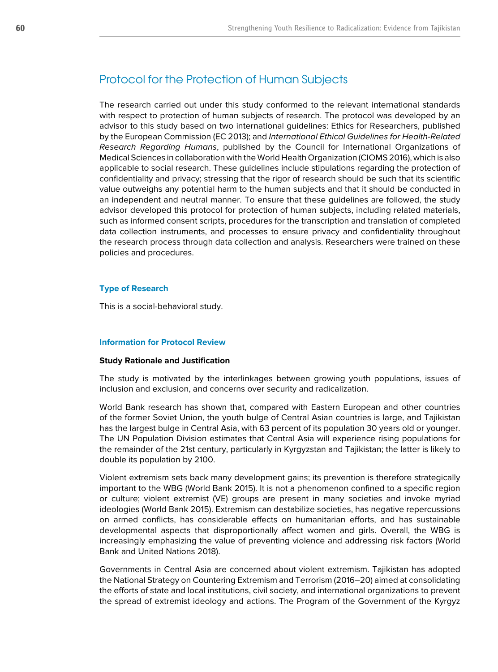# Protocol for the Protection of Human Subjects

The research carried out under this study conformed to the relevant international standards with respect to protection of human subjects of research. The protocol was developed by an advisor to this study based on two international guidelines: Ethics for Researchers, published by the European Commission (EC 2013); and International Ethical Guidelines for Health-Related Research Regarding Humans, published by the Council for International Organizations of Medical Sciences in collaboration with the World Health Organization (CIOMS 2016), which is also applicable to social research. These guidelines include stipulations regarding the protection of confidentiality and privacy; stressing that the rigor of research should be such that its scientific value outweighs any potential harm to the human subjects and that it should be conducted in an independent and neutral manner. To ensure that these guidelines are followed, the study advisor developed this protocol for protection of human subjects, including related materials, such as informed consent scripts, procedures for the transcription and translation of completed data collection instruments, and processes to ensure privacy and confidentiality throughout the research process through data collection and analysis. Researchers were trained on these policies and procedures.

#### **Type of Research**

This is a social-behavioral study.

### **Information for Protocol Review**

#### **Study Rationale and Justification**

The study is motivated by the interlinkages between growing youth populations, issues of inclusion and exclusion, and concerns over security and radicalization.

World Bank research has shown that, compared with Eastern European and other countries of the former Soviet Union, the youth bulge of Central Asian countries is large, and Tajikistan has the largest bulge in Central Asia, with 63 percent of its population 30 years old or younger. The UN Population Division estimates that Central Asia will experience rising populations for the remainder of the 21st century, particularly in Kyrgyzstan and Tajikistan; the latter is likely to double its population by 2100.

Violent extremism sets back many development gains; its prevention is therefore strategically important to the WBG (World Bank 2015). It is not a phenomenon confined to a specific region or culture; violent extremist (VE) groups are present in many societies and invoke myriad ideologies (World Bank 2015). Extremism can destabilize societies, has negative repercussions on armed conflicts, has considerable effects on humanitarian efforts, and has sustainable developmental aspects that disproportionally affect women and girls. Overall, the WBG is increasingly emphasizing the value of preventing violence and addressing risk factors (World Bank and United Nations 2018).

Governments in Central Asia are concerned about violent extremism. Tajikistan has adopted the National Strategy on Countering Extremism and Terrorism (2016–20) aimed at consolidating the efforts of state and local institutions, civil society, and international organizations to prevent the spread of extremist ideology and actions. The Program of the Government of the Kyrgyz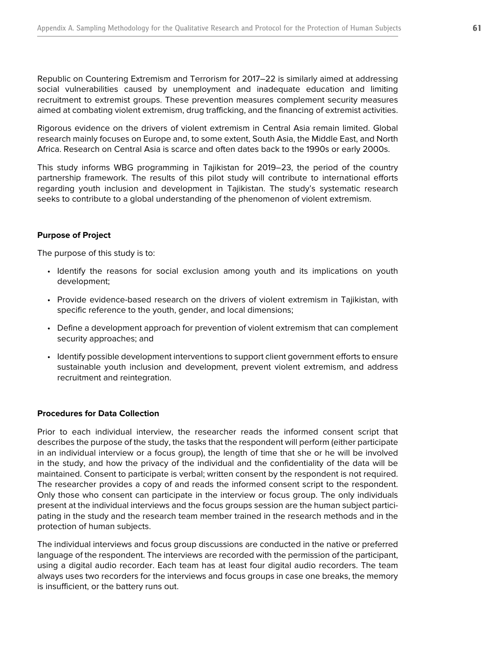Republic on Countering Extremism and Terrorism for 2017–22 is similarly aimed at addressing social vulnerabilities caused by unemployment and inadequate education and limiting recruitment to extremist groups. These prevention measures complement security measures aimed at combating violent extremism, drug trafficking, and the financing of extremist activities.

Rigorous evidence on the drivers of violent extremism in Central Asia remain limited. Global research mainly focuses on Europe and, to some extent, South Asia, the Middle East, and North Africa. Research on Central Asia is scarce and often dates back to the 1990s or early 2000s.

This study informs WBG programming in Tajikistan for 2019–23, the period of the country partnership framework. The results of this pilot study will contribute to international efforts regarding youth inclusion and development in Tajikistan. The study's systematic research seeks to contribute to a global understanding of the phenomenon of violent extremism.

## **Purpose of Project**

The purpose of this study is to:

- Identify the reasons for social exclusion among youth and its implications on youth development;
- Provide evidence-based research on the drivers of violent extremism in Tajikistan, with specific reference to the youth, gender, and local dimensions;
- Define a development approach for prevention of violent extremism that can complement security approaches; and
- Identify possible development interventions to support client government efforts to ensure sustainable youth inclusion and development, prevent violent extremism, and address recruitment and reintegration.

#### **Procedures for Data Collection**

Prior to each individual interview, the researcher reads the informed consent script that describes the purpose of the study, the tasks that the respondent will perform (either participate in an individual interview or a focus group), the length of time that she or he will be involved in the study, and how the privacy of the individual and the confidentiality of the data will be maintained. Consent to participate is verbal; written consent by the respondent is not required. The researcher provides a copy of and reads the informed consent script to the respondent. Only those who consent can participate in the interview or focus group. The only individuals present at the individual interviews and the focus groups session are the human subject participating in the study and the research team member trained in the research methods and in the protection of human subjects.

The individual interviews and focus group discussions are conducted in the native or preferred language of the respondent. The interviews are recorded with the permission of the participant, using a digital audio recorder. Each team has at least four digital audio recorders. The team always uses two recorders for the interviews and focus groups in case one breaks, the memory is insufficient, or the battery runs out.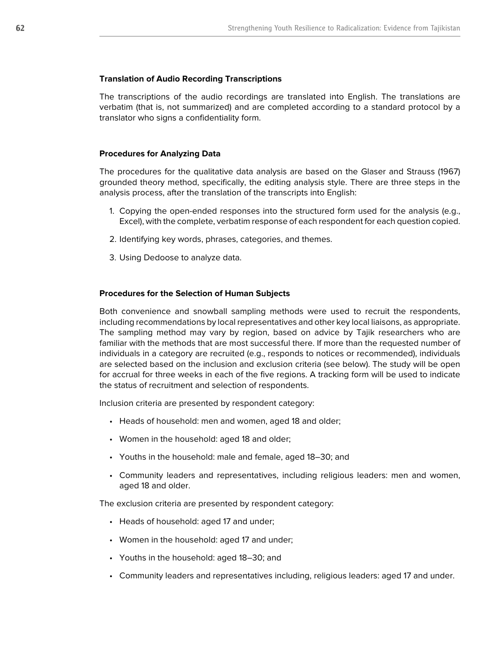#### **Translation of Audio Recording Transcriptions**

The transcriptions of the audio recordings are translated into English. The translations are verbatim (that is, not summarized) and are completed according to a standard protocol by a translator who signs a confidentiality form.

#### **Procedures for Analyzing Data**

The procedures for the qualitative data analysis are based on the Glaser and Strauss (1967) grounded theory method, specifically, the editing analysis style. There are three steps in the analysis process, after the translation of the transcripts into English:

- 1. Copying the open-ended responses into the structured form used for the analysis (e.g., Excel), with the complete, verbatim response of each respondent for each question copied.
- 2. Identifying key words, phrases, categories, and themes.
- 3. Using Dedoose to analyze data.

#### **Procedures for the Selection of Human Subjects**

Both convenience and snowball sampling methods were used to recruit the respondents, including recommendations by local representatives and other key local liaisons, as appropriate. The sampling method may vary by region, based on advice by Tajik researchers who are familiar with the methods that are most successful there. If more than the requested number of individuals in a category are recruited (e.g., responds to notices or recommended), individuals are selected based on the inclusion and exclusion criteria (see below). The study will be open for accrual for three weeks in each of the five regions. A tracking form will be used to indicate the status of recruitment and selection of respondents.

Inclusion criteria are presented by respondent category:

- Heads of household: men and women, aged 18 and older;
- Women in the household: aged 18 and older;
- Youths in the household: male and female, aged 18–30; and
- Community leaders and representatives, including religious leaders: men and women, aged 18 and older.

The exclusion criteria are presented by respondent category:

- Heads of household: aged 17 and under;
- Women in the household: aged 17 and under;
- Youths in the household: aged 18–30; and
- Community leaders and representatives including, religious leaders: aged 17 and under.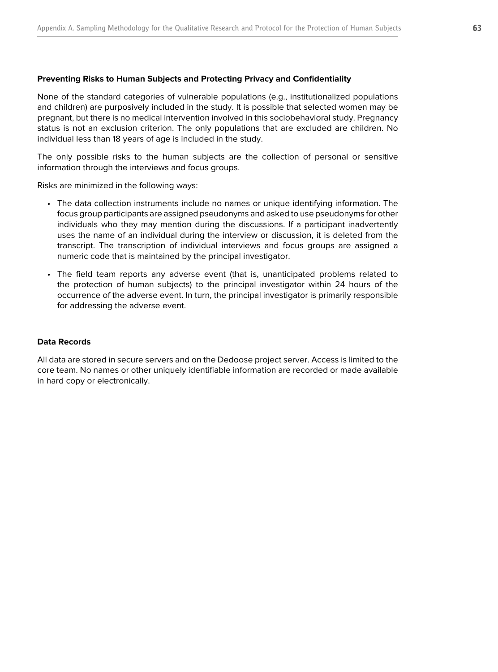## **Preventing Risks to Human Subjects and Protecting Privacy and Confidentiality**

None of the standard categories of vulnerable populations (e.g., institutionalized populations and children) are purposively included in the study. It is possible that selected women may be pregnant, but there is no medical intervention involved in this sociobehavioral study. Pregnancy status is not an exclusion criterion. The only populations that are excluded are children. No individual less than 18 years of age is included in the study.

The only possible risks to the human subjects are the collection of personal or sensitive information through the interviews and focus groups.

Risks are minimized in the following ways:

- The data collection instruments include no names or unique identifying information. The focus group participants are assigned pseudonyms and asked to use pseudonyms for other individuals who they may mention during the discussions. If a participant inadvertently uses the name of an individual during the interview or discussion, it is deleted from the transcript. The transcription of individual interviews and focus groups are assigned a numeric code that is maintained by the principal investigator.
- The field team reports any adverse event (that is, unanticipated problems related to the protection of human subjects) to the principal investigator within 24 hours of the occurrence of the adverse event. In turn, the principal investigator is primarily responsible for addressing the adverse event.

### **Data Records**

All data are stored in secure servers and on the Dedoose project server. Access is limited to the core team. No names or other uniquely identifiable information are recorded or made available in hard copy or electronically.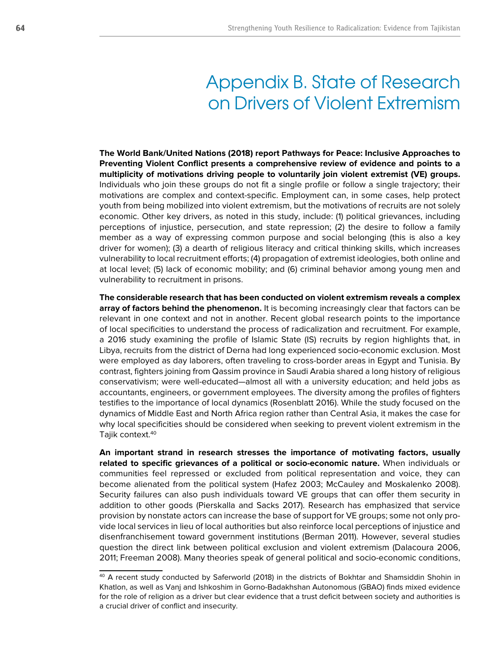# Appendix B. State of Research on Drivers of Violent Extremism

**The World Bank/United Nations (2018) report Pathways for Peace: Inclusive Approaches to Preventing Violent Conflict presents a comprehensive review of evidence and points to a multiplicity of motivations driving people to voluntarily join violent extremist (VE) groups.**  Individuals who join these groups do not fit a single profile or follow a single trajectory; their motivations are complex and context-specific. Employment can, in some cases, help protect youth from being mobilized into violent extremism, but the motivations of recruits are not solely economic. Other key drivers, as noted in this study, include: (1) political grievances, including perceptions of injustice, persecution, and state repression; (2) the desire to follow a family member as a way of expressing common purpose and social belonging (this is also a key driver for women); (3) a dearth of religious literacy and critical thinking skills, which increases vulnerability to local recruitment efforts; (4) propagation of extremist ideologies, both online and at local level; (5) lack of economic mobility; and (6) criminal behavior among young men and vulnerability to recruitment in prisons.

**The considerable research that has been conducted on violent extremism reveals a complex array of factors behind the phenomenon.** It is becoming increasingly clear that factors can be relevant in one context and not in another. Recent global research points to the importance of local specificities to understand the process of radicalization and recruitment. For example, a 2016 study examining the profile of Islamic State (IS) recruits by region highlights that, in Libya, recruits from the district of Derna had long experienced socio-economic exclusion. Most were employed as day laborers, often traveling to cross-border areas in Egypt and Tunisia. By contrast, fighters joining from Qassim province in Saudi Arabia shared a long history of religious conservativism; were well-educated—almost all with a university education; and held jobs as accountants, engineers, or government employees. The diversity among the profiles of fighters testifies to the importance of local dynamics (Rosenblatt 2016). While the study focused on the dynamics of Middle East and North Africa region rather than Central Asia, it makes the case for why local specificities should be considered when seeking to prevent violent extremism in the Tajik context.40

**An important strand in research stresses the importance of motivating factors, usually related to specific grievances of a political or socio-economic nature.** When individuals or communities feel repressed or excluded from political representation and voice, they can become alienated from the political system (Hafez 2003; McCauley and Moskalenko 2008). Security failures can also push individuals toward VE groups that can offer them security in addition to other goods (Pierskalla and Sacks 2017). Research has emphasized that service provision by nonstate actors can increase the base of support for VE groups; some not only provide local services in lieu of local authorities but also reinforce local perceptions of injustice and disenfranchisement toward government institutions (Berman 2011). However, several studies question the direct link between political exclusion and violent extremism (Dalacoura 2006, 2011; Freeman 2008). Many theories speak of general political and socio-economic conditions,

<sup>40</sup> A recent study conducted by Saferworld (2018) in the districts of Bokhtar and Shamsiddin Shohin in Khatlon, as well as Vanj and Ishkoshim in Gorno-Badakhshan Autonomous (GBAO) finds mixed evidence for the role of religion as a driver but clear evidence that a trust deficit between society and authorities is a crucial driver of conflict and insecurity.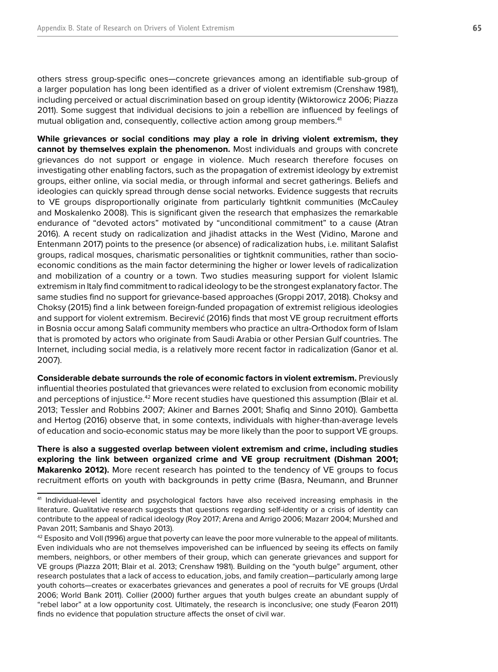others stress group-specific ones—concrete grievances among an identifiable sub-group of a larger population has long been identified as a driver of violent extremism (Crenshaw 1981), including perceived or actual discrimination based on group identity (Wiktorowicz 2006; Piazza 2011). Some suggest that individual decisions to join a rebellion are influenced by feelings of mutual obligation and, consequently, collective action among group members.<sup>41</sup>

**While grievances or social conditions may play a role in driving violent extremism, they cannot by themselves explain the phenomenon.** Most individuals and groups with concrete grievances do not support or engage in violence. Much research therefore focuses on investigating other enabling factors, such as the propagation of extremist ideology by extremist groups, either online, via social media, or through informal and secret gatherings. Beliefs and ideologies can quickly spread through dense social networks. Evidence suggests that recruits to VE groups disproportionally originate from particularly tightknit communities (McCauley and Moskalenko 2008). This is significant given the research that emphasizes the remarkable endurance of "devoted actors" motivated by "unconditional commitment" to a cause (Atran 2016). A recent study on radicalization and jihadist attacks in the West (Vidino, Marone and Entenmann 2017) points to the presence (or absence) of radicalization hubs, i.e. militant Salafist groups, radical mosques, charismatic personalities or tightknit communities, rather than socioeconomic conditions as the main factor determining the higher or lower levels of radicalization and mobilization of a country or a town. Two studies measuring support for violent Islamic extremism in Italy find commitment to radical ideology to be the strongest explanatory factor. The same studies find no support for grievance-based approaches (Groppi 2017, 2018). Choksy and Choksy (2015) find a link between foreign-funded propagation of extremist religious ideologies and support for violent extremism. Becirević (2016) finds that most VE group recruitment efforts in Bosnia occur among Salafi community members who practice an ultra-Orthodox form of Islam that is promoted by actors who originate from Saudi Arabia or other Persian Gulf countries. The Internet, including social media, is a relatively more recent factor in radicalization (Ganor et al. 2007).

**Considerable debate surrounds the role of economic factors in violent extremism.** Previously influential theories postulated that grievances were related to exclusion from economic mobility and perceptions of injustice.<sup>42</sup> More recent studies have questioned this assumption (Blair et al. 2013; Tessler and Robbins 2007; Akiner and Barnes 2001; Shafiq and Sinno 2010). Gambetta and Hertog (2016) observe that, in some contexts, individuals with higher-than-average levels of education and socio-economic status may be more likely than the poor to support VE groups.

**There is also a suggested overlap between violent extremism and crime, including studies exploring the link between organized crime and VE group recruitment (Dishman 2001; Makarenko 2012).** More recent research has pointed to the tendency of VE groups to focus recruitment efforts on youth with backgrounds in petty crime (Basra, Neumann, and Brunner

<sup>41</sup> Individual-level identity and psychological factors have also received increasing emphasis in the literature. Qualitative research suggests that questions regarding self-identity or a crisis of identity can contribute to the appeal of radical ideology (Roy 2017; Arena and Arrigo 2006; Mazarr 2004; Murshed and Pavan 2011; Sambanis and Shayo 2013).

 $42$  Esposito and Voll (1996) argue that poverty can leave the poor more vulnerable to the appeal of militants. Even individuals who are not themselves impoverished can be influenced by seeing its effects on family members, neighbors, or other members of their group, which can generate grievances and support for VE groups (Piazza 2011; Blair et al. 2013; Crenshaw 1981). Building on the "youth bulge" argument, other research postulates that a lack of access to education, jobs, and family creation—particularly among large youth cohorts—creates or exacerbates grievances and generates a pool of recruits for VE groups (Urdal 2006; World Bank 2011). Collier (2000) further argues that youth bulges create an abundant supply of "rebel labor" at a low opportunity cost. Ultimately, the research is inconclusive; one study (Fearon 2011) finds no evidence that population structure affects the onset of civil war.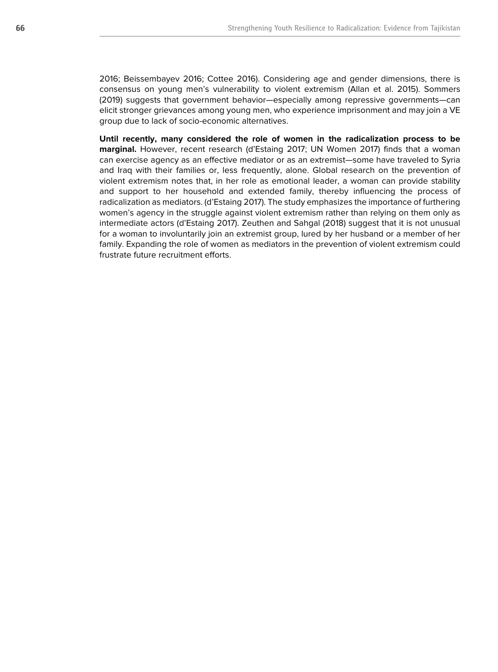2016; Beissembayev 2016; Cottee 2016). Considering age and gender dimensions, there is consensus on young men's vulnerability to violent extremism (Allan et al. 2015). Sommers (2019) suggests that government behavior—especially among repressive governments—can elicit stronger grievances among young men, who experience imprisonment and may join a VE group due to lack of socio-economic alternatives.

**Until recently, many considered the role of women in the radicalization process to be marginal.** However, recent research (d'Estaing 2017; UN Women 2017) finds that a woman can exercise agency as an effective mediator or as an extremist—some have traveled to Syria and Iraq with their families or, less frequently, alone. Global research on the prevention of violent extremism notes that, in her role as emotional leader, a woman can provide stability and support to her household and extended family, thereby influencing the process of radicalization as mediators. (d'Estaing 2017). The study emphasizes the importance of furthering women's agency in the struggle against violent extremism rather than relying on them only as intermediate actors (d'Estaing 2017). Zeuthen and Sahgal (2018) suggest that it is not unusual for a woman to involuntarily join an extremist group, lured by her husband or a member of her family. Expanding the role of women as mediators in the prevention of violent extremism could frustrate future recruitment efforts.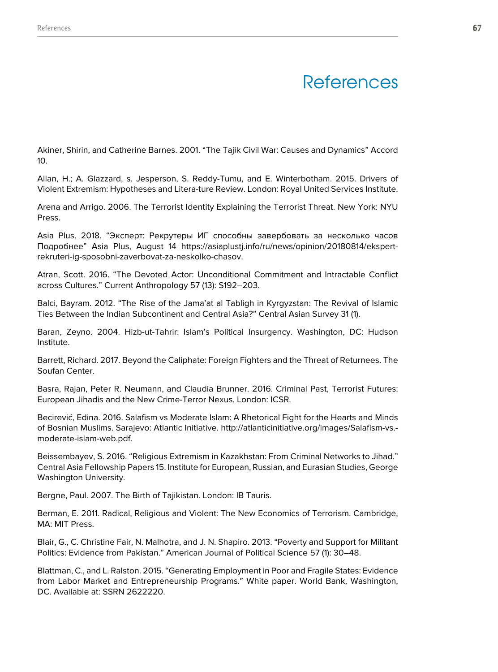# **References**

Akiner, Shirin, and Catherine Barnes. 2001. "The Tajik Civil War: Causes and Dynamics" Accord 10.

Allan, H.; A. Glazzard, s. Jesperson, S. Reddy-Tumu, and E. Winterbotham. 2015. Drivers of Violent Extremism: Hypotheses and Litera-ture Review. London: Royal United Services Institute.

Arena and Arrigo. 2006. The Terrorist Identity Explaining the Terrorist Threat. New York: NYU Press.

Asia Plus. 2018. "Эксперт: Рекрутеры ИГ способны завербовать за несколько часов Подробнее" Asia Plus, August 14 https://asiaplustj.info/ru/news/opinion/20180814/ekspertrekruteri-ig-sposobni-zaverbovat-za-neskolko-chasov.

Atran, Scott. 2016. "The Devoted Actor: Unconditional Commitment and Intractable Conflict across Cultures." Current Anthropology 57 (13): S192–203.

Balci, Bayram. 2012. "The Rise of the Jama'at al Tabligh in Kyrgyzstan: The Revival of Islamic Ties Between the Indian Subcontinent and Central Asia?" Central Asian Survey 31 (1).

Baran, Zeyno. 2004. Hizb-ut-Tahrir: Islam's Political Insurgency. Washington, DC: Hudson Institute.

Barrett, Richard. 2017. Beyond the Caliphate: Foreign Fighters and the Threat of Returnees. The Soufan Center.

Basra, Rajan, Peter R. Neumann, and Claudia Brunner. 2016. Criminal Past, Terrorist Futures: European Jihadis and the New Crime-Terror Nexus. London: ICSR.

Becirević, Edina. 2016. Salafism vs Moderate Islam: A Rhetorical Fight for the Hearts and Minds of Bosnian Muslims. Sarajevo: Atlantic Initiative. http://atlanticinitiative.org/images/Salafism-vs. moderate-islam-web.pdf.

Beissembayev, S. 2016. "Religious Extremism in Kazakhstan: From Criminal Networks to Jihad." Central Asia Fellowship Papers 15. Institute for European, Russian, and Eurasian Studies, George Washington University.

Bergne, Paul. 2007. The Birth of Tajikistan. London: IB Tauris.

Berman, E. 2011. Radical, Religious and Violent: The New Economics of Terrorism. Cambridge, MA: MIT Press.

Blair, G., C. Christine Fair, N. Malhotra, and J. N. Shapiro. 2013. "Poverty and Support for Militant Politics: Evidence from Pakistan." American Journal of Political Science 57 (1): 30–48.

Blattman, C., and L. Ralston. 2015. "Generating Employment in Poor and Fragile States: Evidence from Labor Market and Entrepreneurship Programs." White paper. World Bank, Washington, DC. Available at: SSRN 2622220.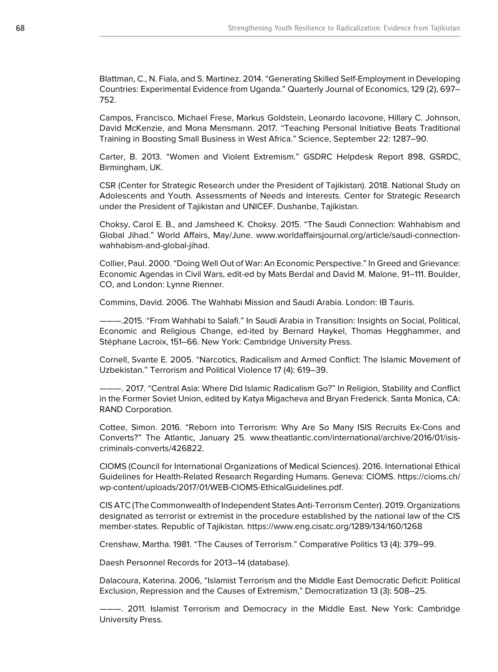Blattman, C., N. Fiala, and S. Martinez. 2014. "Generating Skilled Self-Employment in Developing Countries: Experimental Evidence from Uganda." Quarterly Journal of Economics, 129 (2), 697– 752.

Campos, Francisco, Michael Frese, Markus Goldstein, Leonardo Iacovone, Hillary C. Johnson, David McKenzie, and Mona Mensmann. 2017. "Teaching Personal Initiative Beats Traditional Training in Boosting Small Business in West Africa." Science, September 22: 1287–90.

Carter, B. 2013. "Women and Violent Extremism." GSDRC Helpdesk Report 898, GSRDC, Birmingham, UK.

CSR (Center for Strategic Research under the President of Tajikistan). 2018. National Study on Adolescents and Youth. Assessments of Needs and Interests. Center for Strategic Research under the President of Tajikistan and UNICEF. Dushanbe, Tajikistan.

Choksy, Carol E. B., and Jamsheed K. Choksy. 2015. "The Saudi Connection: Wahhabism and Global Jihad." World Affairs, May/June. www.worldaffairsjournal.org/article/saudi-connectionwahhabism-and-global-jihad.

Collier, Paul. 2000. "Doing Well Out of War: An Economic Perspective." In Greed and Grievance: Economic Agendas in Civil Wars, edit-ed by Mats Berdal and David M. Malone, 91–111. Boulder, CO, and London: Lynne Rienner.

Commins, David. 2006. The Wahhabi Mission and Saudi Arabia. London: IB Tauris.

———.2015. "From Wahhabi to Salafi." In Saudi Arabia in Transition: Insights on Social, Political, Economic and Religious Change, ed-ited by Bernard Haykel, Thomas Hegghammer, and Stéphane Lacroix, 151–66. New York: Cambridge University Press.

Cornell, Svante E. 2005. "Narcotics, Radicalism and Armed Conflict: The Islamic Movement of Uzbekistan." Terrorism and Political Violence 17 (4): 619–39.

———. 2017. "Central Asia: Where Did Islamic Radicalism Go?" In Religion, Stability and Conflict in the Former Soviet Union, edited by Katya Migacheva and Bryan Frederick. Santa Monica, CA: RAND Corporation.

Cottee, Simon. 2016. "Reborn into Terrorism: Why Are So Many ISIS Recruits Ex-Cons and Converts?" The Atlantic, January 25. www.theatlantic.com/international/archive/2016/01/isiscriminals-converts/426822.

CIOMS (Council for International Organizations of Medical Sciences). 2016. International Ethical Guidelines for Health-Related Research Regarding Humans. Geneva: CIOMS. https://cioms.ch/ wp-content/uploads/2017/01/WEB-CIOMS-EthicalGuidelines.pdf.

CIS ATC (The Commonwealth of Independent States Anti-Terrorism Center). 2019. Organizations designated as terrorist or extremist in the procedure established by the national law of the CIS member-states. Republic of Tajikistan. https://www.eng.cisatc.org/1289/134/160/1268

Crenshaw, Martha. 1981. "The Causes of Terrorism." Comparative Politics 13 (4): 379–99.

Daesh Personnel Records for 2013–14 (database).

Dalacoura, Katerina. 2006, "Islamist Terrorism and the Middle East Democratic Deficit: Political Exclusion, Repression and the Causes of Extremism," Democratization 13 (3): 508–25.

———. 2011. Islamist Terrorism and Democracy in the Middle East. New York: Cambridge University Press.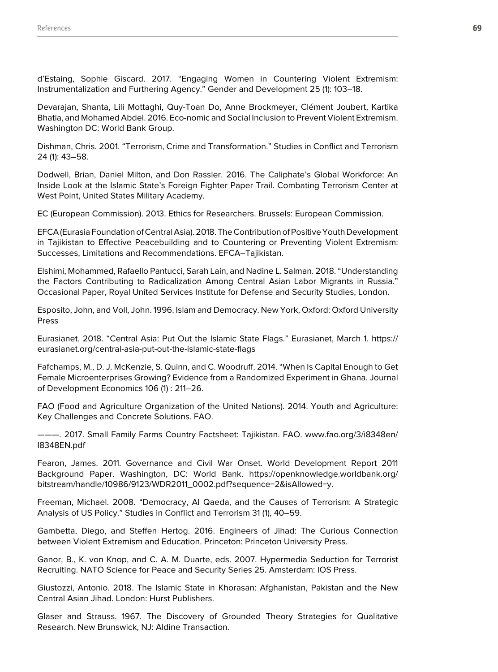d'Estaing, Sophie Giscard. 2017. "Engaging Women in Countering Violent Extremism: Instrumentalization and Furthering Agency." Gender and Development 25 (1): 103–18.

Devarajan, Shanta, Lili Mottaghi, Quy-Toan Do, Anne Brockmeyer, Clément Joubert, Kartika Bhatia, and Mohamed Abdel. 2016. Eco-nomic and Social Inclusion to Prevent Violent Extremism. Washington DC: World Bank Group.

Dishman, Chris. 2001. "Terrorism, Crime and Transformation." Studies in Conflict and Terrorism 24 (1): 43–58.

Dodwell, Brian, Daniel Milton, and Don Rassler. 2016. The Caliphate's Global Workforce: An Inside Look at the Islamic State's Foreign Fighter Paper Trail. Combating Terrorism Center at West Point, United States Military Academy.

EC (European Commission). 2013. Ethics for Researchers. Brussels: European Commission.

EFCA (Eurasia Foundation of Central Asia). 2018. The Contribution of Positive Youth Development in Tajikistan to Effective Peacebuilding and to Countering or Preventing Violent Extremism: Successes, Limitations and Recommendations. EFCA–Tajikistan.

Elshimi, Mohammed, Rafaello Pantucci, Sarah Lain, and Nadine L. Salman. 2018. "Understanding the Factors Contributing to Radicalization Among Central Asian Labor Migrants in Russia." Occasional Paper, Royal United Services Institute for Defense and Security Studies, London.

Esposito, John, and Voll, John. 1996. Islam and Democracy. New York, Oxford: Oxford University Press

Eurasianet. 2018. "Central Asia: Put Out the Islamic State Flags." Eurasianet, March 1. https:// eurasianet.org/central-asia-put-out-the-islamic-state-flags

Fafchamps, M., D. J. McKenzie, S. Quinn, and C. Woodruff. 2014. "When Is Capital Enough to Get Female Microenterprises Growing? Evidence from a Randomized Experiment in Ghana. Journal of Development Economics 106 (1) : 211–26.

FAO (Food and Agriculture Organization of the United Nations). 2014. Youth and Agriculture: Key Challenges and Concrete Solutions. FAO.

———. 2017. Small Family Farms Country Factsheet: Tajikistan. FAO. www.fao.org/3/i8348en/ I8348EN.pdf

Fearon, James. 2011. Governance and Civil War Onset. World Development Report 2011 Background Paper. Washington, DC: World Bank. https://openknowledge.worldbank.org/ bitstream/handle/10986/9123/WDR2011\_0002.pdf?sequence=2&isAllowed=y.

Freeman, Michael. 2008. "Democracy, Al Qaeda, and the Causes of Terrorism: A Strategic Analysis of US Policy." Studies in Conflict and Terrorism 31 (1), 40–59.

Gambetta, Diego, and Steffen Hertog. 2016. Engineers of Jihad: The Curious Connection between Violent Extremism and Education. Princeton: Princeton University Press.

Ganor, B., K. von Knop, and C. A. M. Duarte, eds. 2007. Hypermedia Seduction for Terrorist Recruiting. NATO Science for Peace and Security Series 25. Amsterdam: IOS Press.

Giustozzi, Antonio. 2018. The Islamic State in Khorasan: Afghanistan, Pakistan and the New Central Asian Jihad. London: Hurst Publishers.

Glaser and Strauss. 1967. The Discovery of Grounded Theory Strategies for Qualitative Research. New Brunswick, NJ: Aldine Transaction.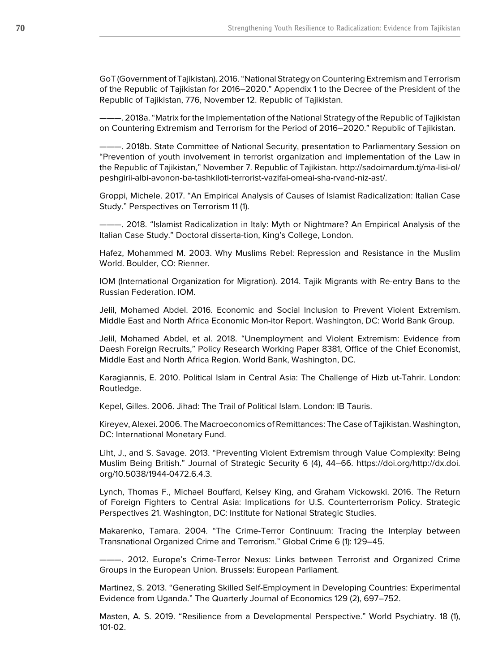GoT (Government of Tajikistan). 2016. "National Strategy on Countering Extremism and Terrorism of the Republic of Tajikistan for 2016–2020." Appendix 1 to the Decree of the President of the Republic of Tajikistan, 776, November 12. Republic of Tajikistan.

———. 2018a. "Matrix for the Implementation of the National Strategy of the Republic of Tajikistan on Countering Extremism and Terrorism for the Period of 2016–2020." Republic of Tajikistan.

———. 2018b. State Committee of National Security, presentation to Parliamentary Session on "Prevention of youth involvement in terrorist organization and implementation of the Law in the Republic of Tajikistan," November 7. Republic of Tajikistan. http://sadoimardum.tj/ma-lisi-ol/ peshgirii-albi-avonon-ba-tashkiloti-terrorist-vazifai-omeai-sha-rvand-niz-ast/.

Groppi, Michele. 2017. "An Empirical Analysis of Causes of Islamist Radicalization: Italian Case Study." Perspectives on Terrorism 11 (1).

———. 2018. "Islamist Radicalization in Italy: Myth or Nightmare? An Empirical Analysis of the Italian Case Study." Doctoral disserta-tion, King's College, London.

Hafez, Mohammed M. 2003. Why Muslims Rebel: Repression and Resistance in the Muslim World. Boulder, CO: Rienner.

IOM (International Organization for Migration). 2014. Tajik Migrants with Re-entry Bans to the Russian Federation. IOM.

Jelil, Mohamed Abdel. 2016. Economic and Social Inclusion to Prevent Violent Extremism. Middle East and North Africa Economic Mon-itor Report. Washington, DC: World Bank Group.

Jelil, Mohamed Abdel, et al. 2018. "Unemployment and Violent Extremism: Evidence from Daesh Foreign Recruits," Policy Research Working Paper 8381, Office of the Chief Economist, Middle East and North Africa Region. World Bank, Washington, DC.

Karagiannis, E. 2010. Political Islam in Central Asia: The Challenge of Hizb ut-Tahrir. London: Routledge.

Kepel, Gilles. 2006. Jihad: The Trail of Political Islam. London: IB Tauris.

Kireyev, Alexei. 2006. The Macroeconomics of Remittances: The Case of Tajikistan. Washington, DC: International Monetary Fund.

Liht, J., and S. Savage. 2013. "Preventing Violent Extremism through Value Complexity: Being Muslim Being British." Journal of Strategic Security 6 (4), 44–66. https://doi.org/http://dx.doi. org/10.5038/1944-0472.6.4.3.

Lynch, Thomas F., Michael Bouffard, Kelsey King, and Graham Vickowski. 2016. The Return of Foreign Fighters to Central Asia: Implications for U.S. Counterterrorism Policy. Strategic Perspectives 21. Washington, DC: Institute for National Strategic Studies.

Makarenko, Tamara. 2004. "The Crime-Terror Continuum: Tracing the Interplay between Transnational Organized Crime and Terrorism." Global Crime 6 (1): 129–45.

———. 2012. Europe's Crime-Terror Nexus: Links between Terrorist and Organized Crime Groups in the European Union. Brussels: European Parliament.

Martinez, S. 2013. "Generating Skilled Self-Employment in Developing Countries: Experimental Evidence from Uganda." The Quarterly Journal of Economics 129 (2), 697–752.

Masten, A. S. 2019. "Resilience from a Developmental Perspective." World Psychiatry. 18 (1), 101-02.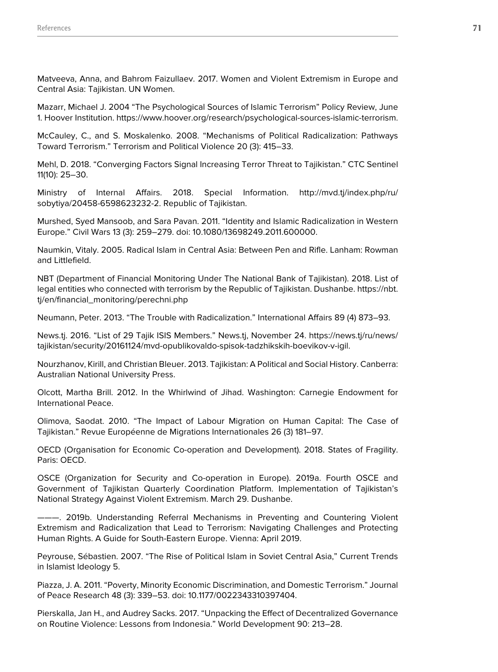Matveeva, Anna, and Bahrom Faizullaev. 2017. Women and Violent Extremism in Europe and Central Asia: Tajikistan. UN Women.

Mazarr, Michael J. 2004 "The Psychological Sources of Islamic Terrorism" Policy Review, June 1. Hoover Institution. https://www.hoover.org/research/psychological-sources-islamic-terrorism.

McCauley, C., and S. Moskalenko. 2008. "Mechanisms of Political Radicalization: Pathways Toward Terrorism." Terrorism and Political Violence 20 (3): 415–33.

Mehl, D. 2018. "Converging Factors Signal Increasing Terror Threat to Tajikistan." CTC Sentinel 11(10): 25–30.

Ministry of Internal Affairs. 2018. Special Information. http://mvd.tj/index.php/ru/ sobytiya/20458-6598623232-2. Republic of Tajikistan.

Murshed, Syed Mansoob, and Sara Pavan. 2011. "Identity and Islamic Radicalization in Western Europe." Civil Wars 13 (3): 259–279. doi: 10.1080/13698249.2011.600000.

Naumkin, Vitaly. 2005. Radical Islam in Central Asia: Between Pen and Rifle. Lanham: Rowman and Littlefield.

NBT (Department of Financial Monitoring Under The National Bank of Tajikistan). 2018. List of legal entities who connected with terrorism by the Republic of Tajikistan. Dushanbe. https://nbt. tj/en/financial\_monitoring/perechni.php

Neumann, Peter. 2013. "The Trouble with Radicalization." International Affairs 89 (4) 873–93.

News.tj. 2016. "List of 29 Tajik ISIS Members." News.tj, November 24. https://news.tj/ru/news/ tajikistan/security/20161124/mvd-opublikovaldo-spisok-tadzhikskih-boevikov-v-igil.

Nourzhanov, Kirill, and Christian Bleuer. 2013. Tajikistan: A Political and Social History. Canberra: Australian National University Press.

Olcott, Martha Brill. 2012. In the Whirlwind of Jihad. Washington: Carnegie Endowment for International Peace.

Olimova, Saodat. 2010. "The Impact of Labour Migration on Human Capital: The Case of Tajikistan." Revue Européenne de Migrations Internationales 26 (3) 181–97.

OECD (Organisation for Economic Co-operation and Development). 2018. States of Fragility. Paris: OECD.

OSCE (Organization for Security and Co-operation in Europe). 2019a. Fourth OSCE and Government of Tajikistan Quarterly Coordination Platform. Implementation of Tajikistan's National Strategy Against Violent Extremism. March 29. Dushanbe.

———. 2019b. Understanding Referral Mechanisms in Preventing and Countering Violent Extremism and Radicalization that Lead to Terrorism: Navigating Challenges and Protecting Human Rights. A Guide for South-Eastern Europe. Vienna: April 2019.

Peyrouse, Sébastien. 2007. "The Rise of Political Islam in Soviet Central Asia," Current Trends in Islamist Ideology 5.

Piazza, J. A. 2011. "Poverty, Minority Economic Discrimination, and Domestic Terrorism." Journal of Peace Research 48 (3): 339–53. doi: 10.1177/0022343310397404.

Pierskalla, Jan H., and Audrey Sacks. 2017. "Unpacking the Effect of Decentralized Governance on Routine Violence: Lessons from Indonesia." World Development 90: 213–28.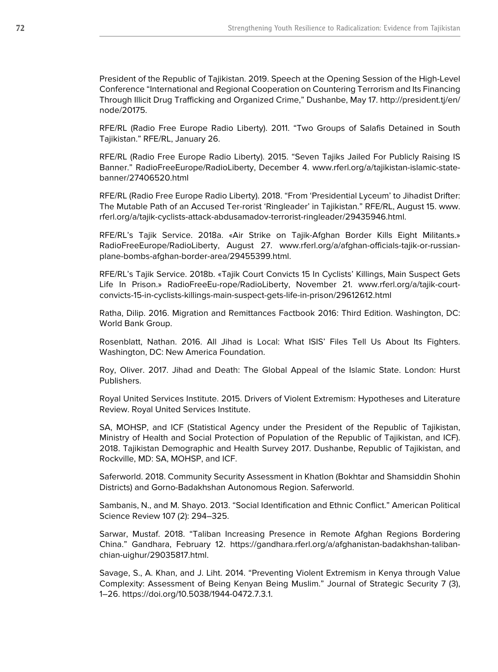President of the Republic of Tajikistan. 2019. Speech at the Opening Session of the High-Level Conference "International and Regional Cooperation on Countering Terrorism and Its Financing Through Illicit Drug Trafficking and Organized Crime," Dushanbe, May 17. http://president.tj/en/ node/20175.

RFE/RL (Radio Free Europe Radio Liberty). 2011. "Two Groups of Salafis Detained in South Tajikistan." RFE/RL, January 26.

RFE/RL (Radio Free Europe Radio Liberty). 2015. "Seven Tajiks Jailed For Publicly Raising IS Banner." RadioFreeEurope/RadioLiberty, December 4. www.rferl.org/a/tajikistan-islamic-statebanner/27406520.html

RFE/RL (Radio Free Europe Radio Liberty). 2018. "From 'Presidential Lyceum' to Jihadist Drifter: The Mutable Path of an Accused Ter-rorist 'Ringleader' in Tajikistan." RFE/RL, August 15. www. rferl.org/a/tajik-cyclists-attack-abdusamadov-terrorist-ringleader/29435946.html.

RFE/RL's Tajik Service. 2018a. «Air Strike on Tajik-Afghan Border Kills Eight Militants.» RadioFreeEurope/RadioLiberty, August 27. www.rferl.org/a/afghan-officials-tajik-or-russianplane-bombs-afghan-border-area/29455399.html.

RFE/RL's Tajik Service. 2018b. «Tajik Court Convicts 15 In Cyclists' Killings, Main Suspect Gets Life In Prison.» RadioFreeEu-rope/RadioLiberty, November 21. www.rferl.org/a/tajik-courtconvicts-15-in-cyclists-killings-main-suspect-gets-life-in-prison/29612612.html

Ratha, Dilip. 2016. Migration and Remittances Factbook 2016: Third Edition. Washington, DC: World Bank Group.

Rosenblatt, Nathan. 2016. All Jihad is Local: What ISIS' Files Tell Us About Its Fighters. Washington, DC: New America Foundation.

Roy, Oliver. 2017. Jihad and Death: The Global Appeal of the Islamic State. London: Hurst Publishers.

Royal United Services Institute. 2015. Drivers of Violent Extremism: Hypotheses and Literature Review. Royal United Services Institute.

SA, MOHSP, and ICF (Statistical Agency under the President of the Republic of Tajikistan, Ministry of Health and Social Protection of Population of the Republic of Tajikistan, and ICF). 2018. Tajikistan Demographic and Health Survey 2017. Dushanbe, Republic of Tajikistan, and Rockville, MD: SA, MOHSP, and ICF.

Saferworld. 2018. Community Security Assessment in Khatlon (Bokhtar and Shamsiddin Shohin Districts) and Gorno-Badakhshan Autonomous Region. Saferworld.

Sambanis, N., and M. Shayo. 2013. "Social Identification and Ethnic Conflict." American Political Science Review 107 (2): 294–325.

Sarwar, Mustaf. 2018. "Taliban Increasing Presence in Remote Afghan Regions Bordering China." Gandhara, February 12. https://gandhara.rferl.org/a/afghanistan-badakhshan-talibanchian-uighur/29035817.html.

Savage, S., A. Khan, and J. Liht. 2014. "Preventing Violent Extremism in Kenya through Value Complexity: Assessment of Being Kenyan Being Muslim." Journal of Strategic Security 7 (3), 1–26. https://doi.org/10.5038/1944-0472.7.3.1.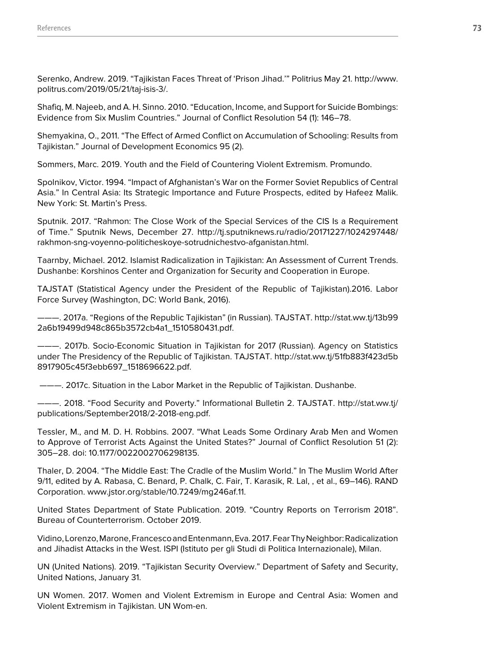Serenko, Andrew. 2019. "Tajikistan Faces Threat of 'Prison Jihad.'" Politrius May 21. http://www. politrus.com/2019/05/21/taj-isis-3/.

Shafiq, M. Najeeb, and A. H. Sinno. 2010. "Education, Income, and Support for Suicide Bombings: Evidence from Six Muslim Countries." Journal of Conflict Resolution 54 (1): 146–78.

Shemyakina, O., 2011. "The Effect of Armed Conflict on Accumulation of Schooling: Results from Tajikistan." Journal of Development Economics 95 (2).

Sommers, Marc. 2019. Youth and the Field of Countering Violent Extremism. Promundo.

Spolnikov, Victor. 1994. "Impact of Afghanistan's War on the Former Soviet Republics of Central Asia." In Central Asia: Its Strategic Importance and Future Prospects, edited by Hafeez Malik. New York: St. Martin's Press.

Sputnik. 2017. "Rahmon: The Close Work of the Special Services of the CIS Is a Requirement of Time." Sputnik News, December 27. http://tj.sputniknews.ru/radio/20171227/1024297448/ rakhmon-sng-voyenno-politicheskoye-sotrudnichestvo-afganistan.html.

Taarnby, Michael. 2012. Islamist Radicalization in Tajikistan: An Assessment of Current Trends. Dushanbe: Korshinos Center and Organization for Security and Cooperation in Europe.

TAJSTAT (Statistical Agency under the President of the Republic of Tajikistan).2016. Labor Force Survey (Washington, DC: World Bank, 2016).

———. 2017a. "Regions of the Republic Tajikistan" (in Russian). TAJSTAT. http://stat.ww.tj/13b99 2a6b19499d948c865b3572cb4a1\_1510580431.pdf.

———. 2017b. Socio-Economic Situation in Tajikistan for 2017 (Russian). Agency on Statistics under The Presidency of the Republic of Tajikistan. TAJSTAT. http://stat.ww.tj/51fb883f423d5b 8917905c45f3ebb697\_1518696622.pdf.

———. 2017c. Situation in the Labor Market in the Republic of Tajikistan. Dushanbe.

———. 2018. "Food Security and Poverty." Informational Bulletin 2. TAJSTAT. http://stat.ww.tj/ publications/September2018/2-2018-eng.pdf.

Tessler, M., and M. D. H. Robbins. 2007. "What Leads Some Ordinary Arab Men and Women to Approve of Terrorist Acts Against the United States?" Journal of Conflict Resolution 51 (2): 305–28. doi: 10.1177/0022002706298135.

Thaler, D. 2004. "The Middle East: The Cradle of the Muslim World." In The Muslim World After 9/11, edited by A. Rabasa, C. Benard, P. Chalk, C. Fair, T. Karasik, R. Lal, , et al., 69–146). RAND Corporation. www.jstor.org/stable/10.7249/mg246af.11.

United States Department of State Publication. 2019. "Country Reports on Terrorism 2018". Bureau of Counterterrorism. October 2019.

Vidino, Lorenzo, Marone, Francesco and Entenmann, Eva. 2017. Fear Thy Neighbor: Radicalization and Jihadist Attacks in the West. ISPI (Istituto per gli Studi di Politica Internazionale), Milan.

UN (United Nations). 2019. "Tajikistan Security Overview." Department of Safety and Security, United Nations, January 31.

UN Women. 2017. Women and Violent Extremism in Europe and Central Asia: Women and Violent Extremism in Tajikistan. UN Wom-en.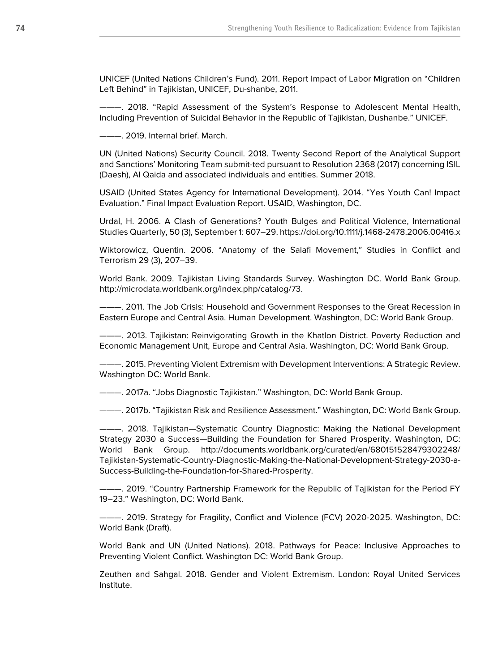UNICEF (United Nations Children's Fund). 2011. Report Impact of Labor Migration on "Children Left Behind" in Tajikistan, UNICEF, Du-shanbe, 2011.

———. 2018. "Rapid Assessment of the System's Response to Adolescent Mental Health, Including Prevention of Suicidal Behavior in the Republic of Tajikistan, Dushanbe." UNICEF.

———. 2019. Internal brief. March.

UN (United Nations) Security Council. 2018. Twenty Second Report of the Analytical Support and Sanctions' Monitoring Team submit-ted pursuant to Resolution 2368 (2017) concerning ISIL (Daesh), Al Qaida and associated individuals and entities. Summer 2018.

USAID (United States Agency for International Development). 2014. "Yes Youth Can! Impact Evaluation." Final Impact Evaluation Report. USAID, Washington, DC.

Urdal, H. 2006. A Clash of Generations? Youth Bulges and Political Violence, International Studies Quarterly, 50 (3), September 1: 607–29. https://doi.org/10.1111/j.1468-2478.2006.00416.x

Wiktorowicz, Quentin. 2006. "Anatomy of the Salafi Movement," Studies in Conflict and Terrorism 29 (3), 207–39.

World Bank. 2009. Tajikistan Living Standards Survey. Washington DC. World Bank Group. http://microdata.worldbank.org/index.php/catalog/73.

———. 2011. The Job Crisis: Household and Government Responses to the Great Recession in Eastern Europe and Central Asia. Human Development. Washington, DC: World Bank Group.

-—. 2013. Tajikistan: Reinvigorating Growth in the Khatlon District. Poverty Reduction and Economic Management Unit, Europe and Central Asia. Washington, DC: World Bank Group.

———. 2015. Preventing Violent Extremism with Development Interventions: A Strategic Review. Washington DC: World Bank.

———. 2017a. "Jobs Diagnostic Tajikistan." Washington, DC: World Bank Group.

———. 2017b. "Tajikistan Risk and Resilience Assessment." Washington, DC: World Bank Group.

———. 2018. Tajikistan—Systematic Country Diagnostic: Making the National Development Strategy 2030 a Success—Building the Foundation for Shared Prosperity. Washington, DC: World Bank Group. http://documents.worldbank.org/curated/en/680151528479302248/ Tajikistan-Systematic-Country-Diagnostic-Making-the-National-Development-Strategy-2030-a-Success-Building-the-Foundation-for-Shared-Prosperity.

-- 2019. "Country Partnership Framework for the Republic of Tajikistan for the Period FY 19–23." Washington, DC: World Bank.

———. 2019. Strategy for Fragility, Conflict and Violence (FCV) 2020-2025. Washington, DC: World Bank (Draft).

World Bank and UN (United Nations). 2018. Pathways for Peace: Inclusive Approaches to Preventing Violent Conflict. Washington DC: World Bank Group.

Zeuthen and Sahgal. 2018. Gender and Violent Extremism. London: Royal United Services Institute.